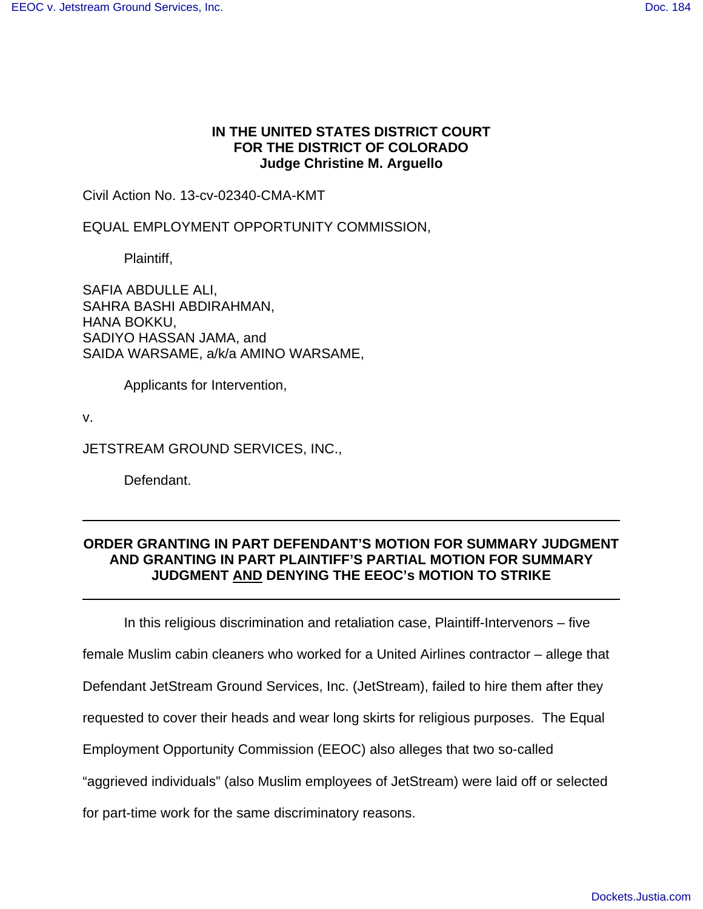# **IN THE UNITED STATES DISTRICT COURT FOR THE DISTRICT OF COLORADO Judge Christine M. Arguello**

Civil Action No. 13-cv-02340-CMA-KMT

EQUAL EMPLOYMENT OPPORTUNITY COMMISSION,

Plaintiff,

SAFIA ABDULLE ALI, SAHRA BASHI ABDIRAHMAN, HANA BOKKU, SADIYO HASSAN JAMA, and SAIDA WARSAME, a/k/a AMINO WARSAME,

Applicants for Intervention,

v.

JETSTREAM GROUND SERVICES, INC.,

Defendant.

# **ORDER GRANTING IN PART DEFENDANT'S MOTION FOR SUMMARY JUDGMENT AND GRANTING IN PART PLAINTIFF'S PARTIAL MOTION FOR SUMMARY JUDGMENT AND DENYING THE EEOC's MOTION TO STRIKE**

In this religious discrimination and retaliation case, Plaintiff-Intervenors – five

female Muslim cabin cleaners who worked for a United Airlines contractor – allege that

Defendant JetStream Ground Services, Inc. (JetStream), failed to hire them after they

requested to cover their heads and wear long skirts for religious purposes. The Equal

Employment Opportunity Commission (EEOC) also alleges that two so-called

"aggrieved individuals" (also Muslim employees of JetStream) were laid off or selected

for part-time work for the same discriminatory reasons.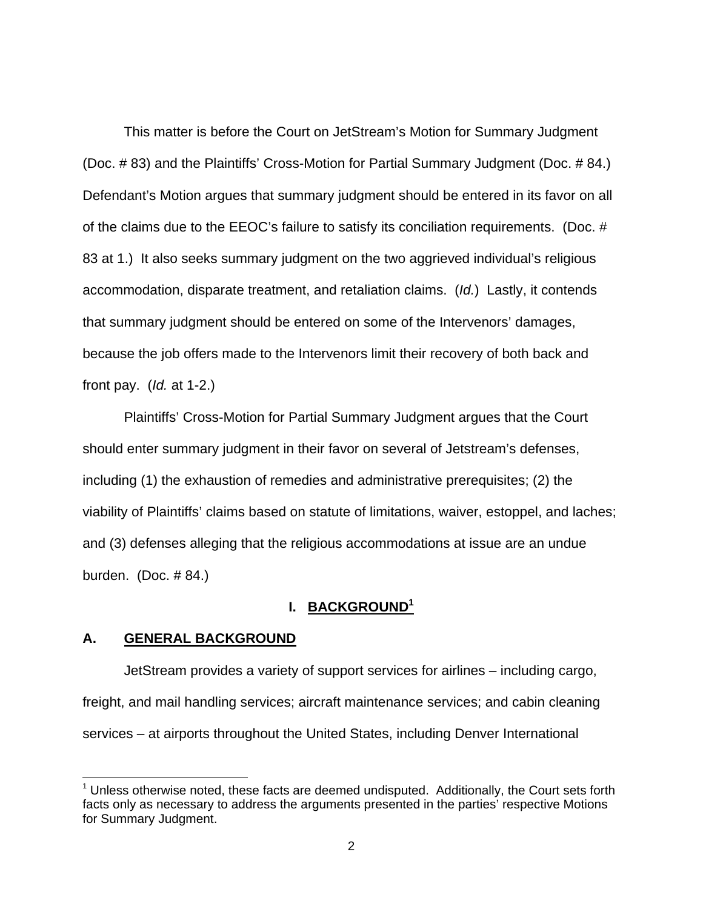This matter is before the Court on JetStream's Motion for Summary Judgment (Doc. # 83) and the Plaintiffs' Cross-Motion for Partial Summary Judgment (Doc. # 84.) Defendant's Motion argues that summary judgment should be entered in its favor on all of the claims due to the EEOC's failure to satisfy its conciliation requirements. (Doc. # 83 at 1.) It also seeks summary judgment on the two aggrieved individual's religious accommodation, disparate treatment, and retaliation claims. (Id.) Lastly, it contends that summary judgment should be entered on some of the Intervenors' damages, because the job offers made to the Intervenors limit their recovery of both back and front pay.  $\left(\frac{Id}{1}at\right)$  1-2.

 Plaintiffs' Cross-Motion for Partial Summary Judgment argues that the Court should enter summary judgment in their favor on several of Jetstream's defenses, including (1) the exhaustion of remedies and administrative prerequisites; (2) the viability of Plaintiffs' claims based on statute of limitations, waiver, estoppel, and laches; and (3) defenses alleging that the religious accommodations at issue are an undue burden. (Doc. # 84.)

# **I. BACKGROUND<sup>1</sup>**

### **A. GENERAL BACKGROUND**

 JetStream provides a variety of support services for airlines – including cargo, freight, and mail handling services; aircraft maintenance services; and cabin cleaning services – at airports throughout the United States, including Denver International

 $1$  Unless otherwise noted, these facts are deemed undisputed. Additionally, the Court sets forth facts only as necessary to address the arguments presented in the parties' respective Motions for Summary Judgment.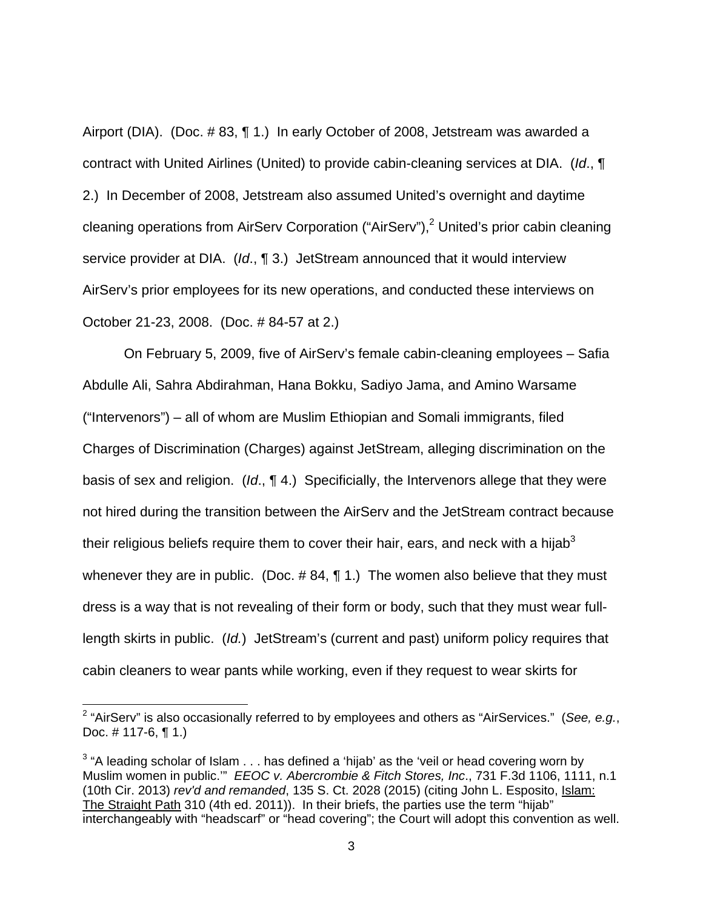Airport (DIA). (Doc. # 83, ¶ 1.) In early October of 2008, Jetstream was awarded a contract with United Airlines (United) to provide cabin-cleaning services at DIA. (Id., ¶ 2.) In December of 2008, Jetstream also assumed United's overnight and daytime cleaning operations from AirServ Corporation ("AirServ"),<sup>2</sup> United's prior cabin cleaning service provider at DIA.  $(Id, \P 3)$  JetStream announced that it would interview AirServ's prior employees for its new operations, and conducted these interviews on October 21-23, 2008. (Doc. # 84-57 at 2.)

 On February 5, 2009, five of AirServ's female cabin-cleaning employees – Safia Abdulle Ali, Sahra Abdirahman, Hana Bokku, Sadiyo Jama, and Amino Warsame ("Intervenors") – all of whom are Muslim Ethiopian and Somali immigrants, filed Charges of Discrimination (Charges) against JetStream, alleging discrimination on the basis of sex and religion. (Id.,  $\P$  4.) Specificially, the Intervenors allege that they were not hired during the transition between the AirServ and the JetStream contract because their religious beliefs require them to cover their hair, ears, and neck with a hijab $3$ whenever they are in public. (Doc.  $\#$  84,  $\P$  1.) The women also believe that they must dress is a way that is not revealing of their form or body, such that they must wear fulllength skirts in public. (Id.) JetStream's (current and past) uniform policy requires that cabin cleaners to wear pants while working, even if they request to wear skirts for

-

<sup>&</sup>lt;sup>2</sup> "AirServ" is also occasionally referred to by employees and others as "AirServices." (See, e.g., Doc. # 117-6, ¶ 1.)

 $3$  "A leading scholar of Islam  $\dots$  has defined a 'hijab' as the 'veil or head covering worn by Muslim women in public." EEOC v. Abercrombie & Fitch Stores, Inc., 731 F.3d 1106, 1111, n.1 (10th Cir. 2013) rev'd and remanded, 135 S. Ct. 2028 (2015) (citing John L. Esposito, Islam: The Straight Path 310 (4th ed. 2011)). In their briefs, the parties use the term "hijab" interchangeably with "headscarf" or "head covering"; the Court will adopt this convention as well.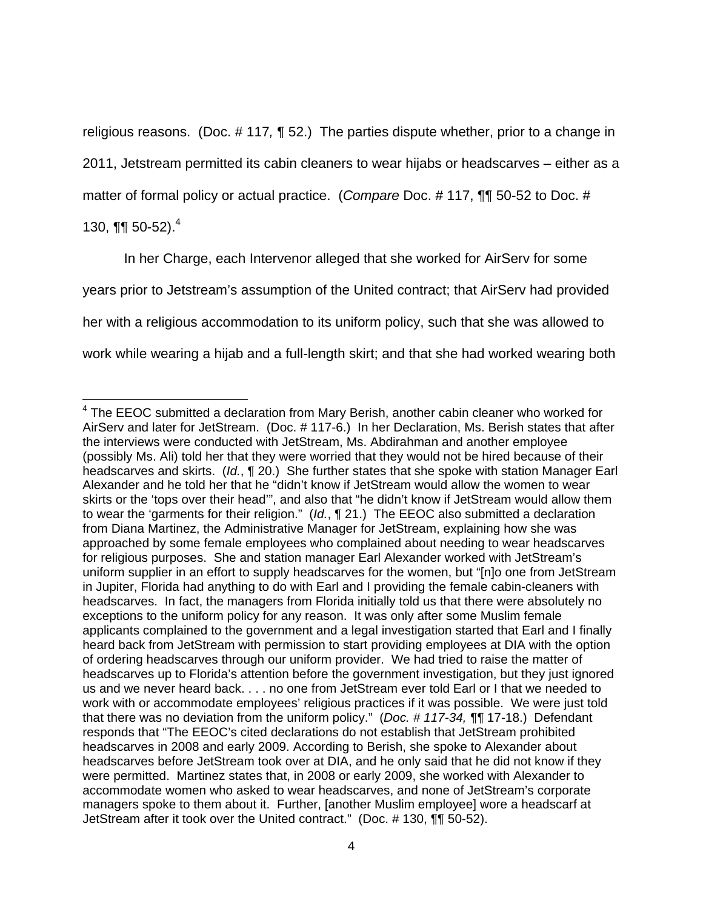religious reasons. (Doc. # 117, ¶ 52.) The parties dispute whether, prior to a change in

2011, Jetstream permitted its cabin cleaners to wear hijabs or headscarves – either as a

matter of formal policy or actual practice. (Compare Doc. #117, ¶¶ 50-52 to Doc. #

130,  $\P\P$  50-52).<sup>4</sup>

In her Charge, each Intervenor alleged that she worked for AirServ for some years prior to Jetstream's assumption of the United contract; that AirServ had provided her with a religious accommodation to its uniform policy, such that she was allowed to work while wearing a hijab and a full-length skirt; and that she had worked wearing both

 $\overline{a}$ <sup>4</sup> The EEOC submitted a declaration from Mary Berish, another cabin cleaner who worked for AirServ and later for JetStream. (Doc. # 117-6.) In her Declaration, Ms. Berish states that after the interviews were conducted with JetStream, Ms. Abdirahman and another employee (possibly Ms. Ali) told her that they were worried that they would not be hired because of their headscarves and skirts. (Id., ¶ 20.) She further states that she spoke with station Manager Earl Alexander and he told her that he "didn't know if JetStream would allow the women to wear skirts or the 'tops over their head'", and also that "he didn't know if JetStream would allow them to wear the 'garments for their religion." (Id., ¶ 21.) The EEOC also submitted a declaration from Diana Martinez, the Administrative Manager for JetStream, explaining how she was approached by some female employees who complained about needing to wear headscarves for religious purposes. She and station manager Earl Alexander worked with JetStream's uniform supplier in an effort to supply headscarves for the women, but "[n]o one from JetStream in Jupiter, Florida had anything to do with Earl and I providing the female cabin-cleaners with headscarves. In fact, the managers from Florida initially told us that there were absolutely no exceptions to the uniform policy for any reason. It was only after some Muslim female applicants complained to the government and a legal investigation started that Earl and I finally heard back from JetStream with permission to start providing employees at DIA with the option of ordering headscarves through our uniform provider. We had tried to raise the matter of headscarves up to Florida's attention before the government investigation, but they just ignored us and we never heard back. . . . no one from JetStream ever told Earl or I that we needed to work with or accommodate employees' religious practices if it was possible. We were just told that there was no deviation from the uniform policy." (Doc. # 117-34, ¶¶ 17-18.) Defendant responds that "The EEOC's cited declarations do not establish that JetStream prohibited headscarves in 2008 and early 2009. According to Berish, she spoke to Alexander about headscarves before JetStream took over at DIA, and he only said that he did not know if they were permitted. Martinez states that, in 2008 or early 2009, she worked with Alexander to accommodate women who asked to wear headscarves, and none of JetStream's corporate managers spoke to them about it. Further, [another Muslim employee] wore a headscarf at JetStream after it took over the United contract." (Doc. # 130, ¶¶ 50-52).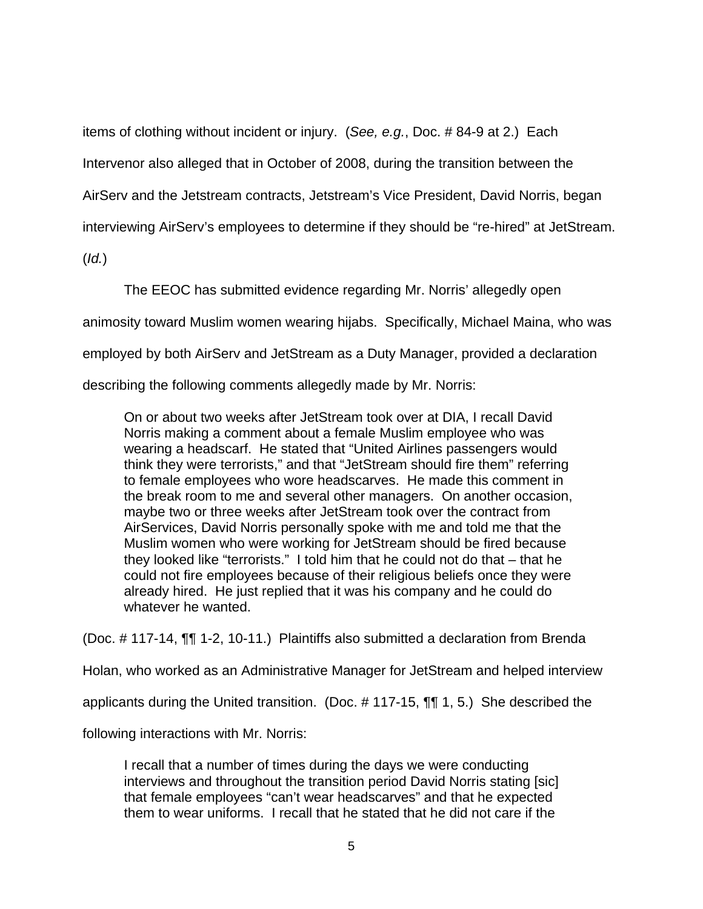items of clothing without incident or injury. (See, e.g., Doc. # 84-9 at 2.) Each

Intervenor also alleged that in October of 2008, during the transition between the

AirServ and the Jetstream contracts, Jetstream's Vice President, David Norris, began

interviewing AirServ's employees to determine if they should be "re-hired" at JetStream.

(Id.)

The EEOC has submitted evidence regarding Mr. Norris' allegedly open

animosity toward Muslim women wearing hijabs. Specifically, Michael Maina, who was

employed by both AirServ and JetStream as a Duty Manager, provided a declaration

describing the following comments allegedly made by Mr. Norris:

On or about two weeks after JetStream took over at DIA, I recall David Norris making a comment about a female Muslim employee who was wearing a headscarf. He stated that "United Airlines passengers would think they were terrorists," and that "JetStream should fire them" referring to female employees who wore headscarves. He made this comment in the break room to me and several other managers. On another occasion, maybe two or three weeks after JetStream took over the contract from AirServices, David Norris personally spoke with me and told me that the Muslim women who were working for JetStream should be fired because they looked like "terrorists." I told him that he could not do that – that he could not fire employees because of their religious beliefs once they were already hired. He just replied that it was his company and he could do whatever he wanted.

(Doc. # 117-14, ¶¶ 1-2, 10-11.) Plaintiffs also submitted a declaration from Brenda

Holan, who worked as an Administrative Manager for JetStream and helped interview

applicants during the United transition. (Doc. # 117-15, ¶¶ 1, 5.) She described the

following interactions with Mr. Norris:

I recall that a number of times during the days we were conducting interviews and throughout the transition period David Norris stating [sic] that female employees "can't wear headscarves" and that he expected them to wear uniforms. I recall that he stated that he did not care if the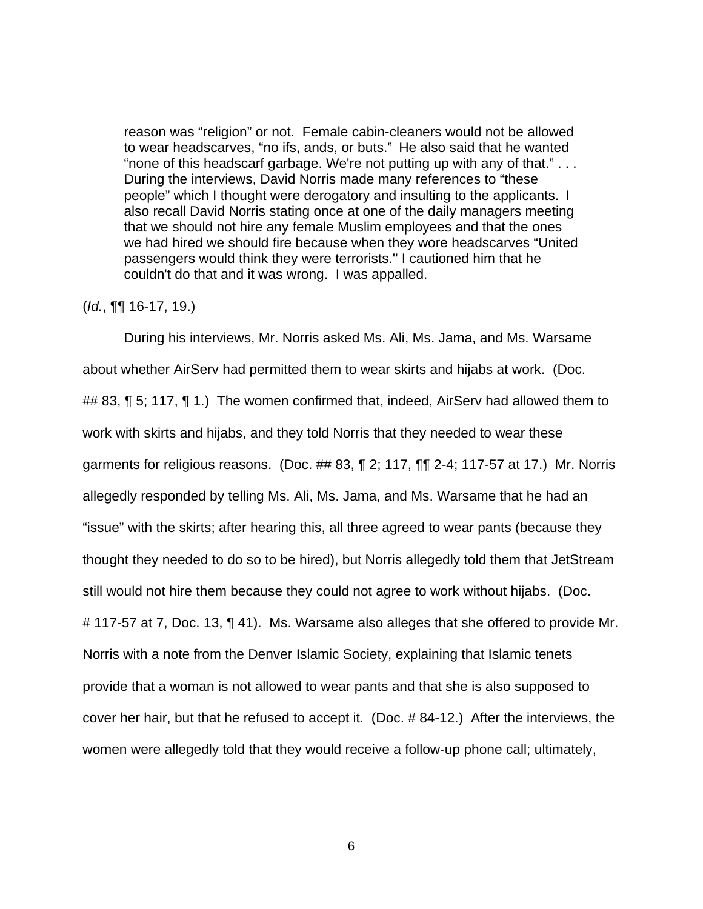reason was "religion" or not. Female cabin-cleaners would not be allowed to wear headscarves, "no ifs, ands, or buts." He also said that he wanted "none of this headscarf garbage. We're not putting up with any of that." . . . During the interviews, David Norris made many references to "these people" which I thought were derogatory and insulting to the applicants. I also recall David Norris stating once at one of the daily managers meeting that we should not hire any female Muslim employees and that the ones we had hired we should fire because when they wore headscarves "United passengers would think they were terrorists.'' I cautioned him that he couldn't do that and it was wrong. I was appalled.

## (Id., ¶¶ 16-17, 19.)

During his interviews, Mr. Norris asked Ms. Ali, Ms. Jama, and Ms. Warsame about whether AirServ had permitted them to wear skirts and hijabs at work. (Doc. ## 83, ¶ 5; 117, ¶ 1.) The women confirmed that, indeed, AirServ had allowed them to work with skirts and hijabs, and they told Norris that they needed to wear these garments for religious reasons. (Doc.  $\#$  83,  $\P$  2; 117,  $\P$  $\P$  2-4; 117-57 at 17.) Mr. Norris allegedly responded by telling Ms. Ali, Ms. Jama, and Ms. Warsame that he had an "issue" with the skirts; after hearing this, all three agreed to wear pants (because they thought they needed to do so to be hired), but Norris allegedly told them that JetStream still would not hire them because they could not agree to work without hijabs. (Doc. # 117-57 at 7, Doc. 13, ¶ 41). Ms. Warsame also alleges that she offered to provide Mr. Norris with a note from the Denver Islamic Society, explaining that Islamic tenets provide that a woman is not allowed to wear pants and that she is also supposed to cover her hair, but that he refused to accept it. (Doc. # 84-12.) After the interviews, the women were allegedly told that they would receive a follow-up phone call; ultimately,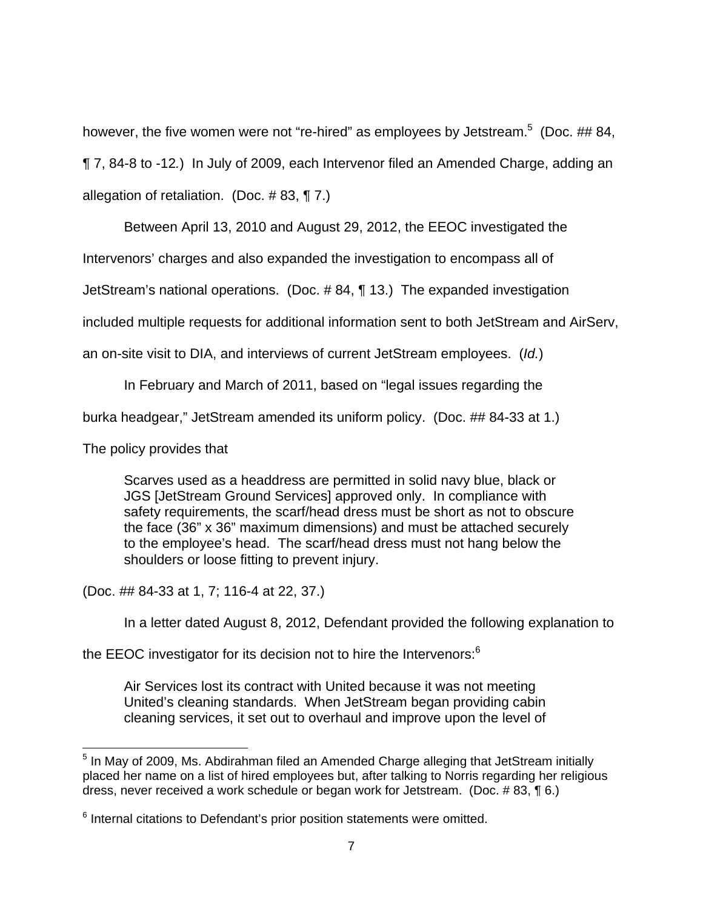however, the five women were not "re-hired" as employees by Jetstream.<sup>5</sup> (Doc. ## 84,

¶ 7, 84-8 to -12.) In July of 2009, each Intervenor filed an Amended Charge, adding an

allegation of retaliation. (Doc. # 83, ¶ 7.)

Between April 13, 2010 and August 29, 2012, the EEOC investigated the

Intervenors' charges and also expanded the investigation to encompass all of

JetStream's national operations. (Doc. # 84, ¶ 13.) The expanded investigation

included multiple requests for additional information sent to both JetStream and AirServ,

an on-site visit to DIA, and interviews of current JetStream employees. (Id.)

In February and March of 2011, based on "legal issues regarding the

burka headgear," JetStream amended its uniform policy. (Doc. ## 84-33 at 1.)

The policy provides that

Scarves used as a headdress are permitted in solid navy blue, black or JGS [JetStream Ground Services] approved only. In compliance with safety requirements, the scarf/head dress must be short as not to obscure the face (36" x 36" maximum dimensions) and must be attached securely to the employee's head. The scarf/head dress must not hang below the shoulders or loose fitting to prevent injury.

(Doc. ## 84-33 at 1, 7; 116-4 at 22, 37.)

In a letter dated August 8, 2012, Defendant provided the following explanation to

the EEOC investigator for its decision not to hire the Intervenors:<sup>6</sup>

Air Services lost its contract with United because it was not meeting United's cleaning standards. When JetStream began providing cabin cleaning services, it set out to overhaul and improve upon the level of

 <sup>5</sup> In May of 2009, Ms. Abdirahman filed an Amended Charge alleging that JetStream initially placed her name on a list of hired employees but, after talking to Norris regarding her religious dress, never received a work schedule or began work for Jetstream. (Doc. # 83, ¶ 6.)

 $6$  Internal citations to Defendant's prior position statements were omitted.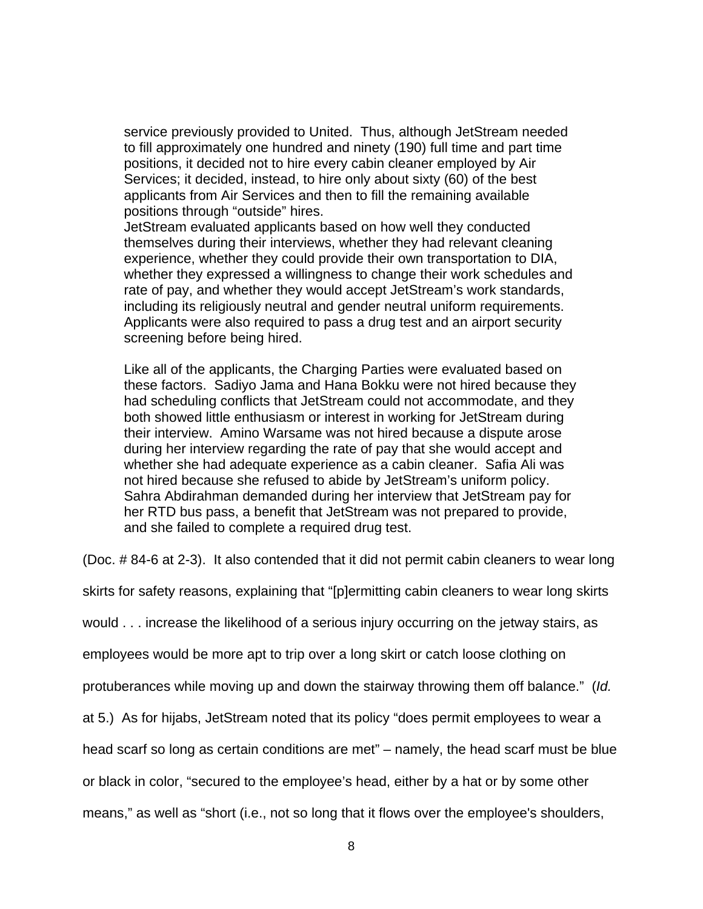service previously provided to United. Thus, although JetStream needed to fill approximately one hundred and ninety (190) full time and part time positions, it decided not to hire every cabin cleaner employed by Air Services; it decided, instead, to hire only about sixty (60) of the best applicants from Air Services and then to fill the remaining available positions through "outside" hires.

JetStream evaluated applicants based on how well they conducted themselves during their interviews, whether they had relevant cleaning experience, whether they could provide their own transportation to DIA, whether they expressed a willingness to change their work schedules and rate of pay, and whether they would accept JetStream's work standards, including its religiously neutral and gender neutral uniform requirements. Applicants were also required to pass a drug test and an airport security screening before being hired.

Like all of the applicants, the Charging Parties were evaluated based on these factors. Sadiyo Jama and Hana Bokku were not hired because they had scheduling conflicts that JetStream could not accommodate, and they both showed little enthusiasm or interest in working for JetStream during their interview. Amino Warsame was not hired because a dispute arose during her interview regarding the rate of pay that she would accept and whether she had adequate experience as a cabin cleaner. Safia Ali was not hired because she refused to abide by JetStream's uniform policy. Sahra Abdirahman demanded during her interview that JetStream pay for her RTD bus pass, a benefit that JetStream was not prepared to provide, and she failed to complete a required drug test.

(Doc. # 84-6 at 2-3). It also contended that it did not permit cabin cleaners to wear long

skirts for safety reasons, explaining that "[p]ermitting cabin cleaners to wear long skirts

would . . . increase the likelihood of a serious injury occurring on the jetway stairs, as

employees would be more apt to trip over a long skirt or catch loose clothing on

protuberances while moving up and down the stairway throwing them off balance." (Id.

at 5.) As for hijabs, JetStream noted that its policy "does permit employees to wear a

head scarf so long as certain conditions are met" – namely, the head scarf must be blue

or black in color, "secured to the employee's head, either by a hat or by some other

means," as well as "short (i.e., not so long that it flows over the employee's shoulders,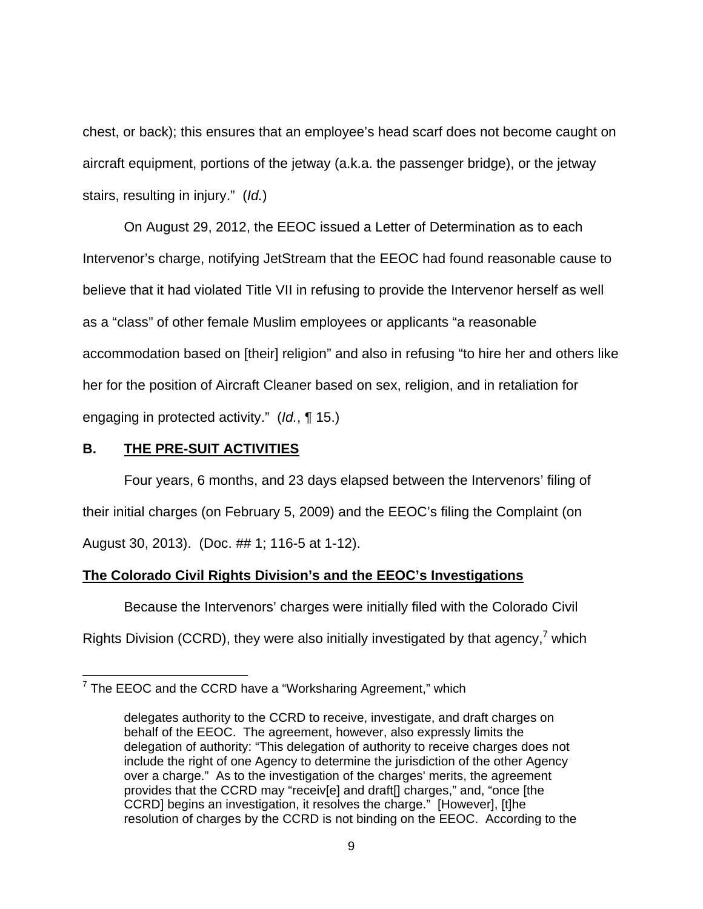chest, or back); this ensures that an employee's head scarf does not become caught on aircraft equipment, portions of the jetway (a.k.a. the passenger bridge), or the jetway stairs, resulting in injury." (Id.)

On August 29, 2012, the EEOC issued a Letter of Determination as to each Intervenor's charge, notifying JetStream that the EEOC had found reasonable cause to believe that it had violated Title VII in refusing to provide the Intervenor herself as well as a "class" of other female Muslim employees or applicants "a reasonable accommodation based on [their] religion" and also in refusing "to hire her and others like her for the position of Aircraft Cleaner based on sex, religion, and in retaliation for engaging in protected activity." (Id., ¶ 15.)

### **B. THE PRE-SUIT ACTIVITIES**

 Four years, 6 months, and 23 days elapsed between the Intervenors' filing of their initial charges (on February 5, 2009) and the EEOC's filing the Complaint (on August 30, 2013). (Doc. ## 1; 116-5 at 1-12).

## **The Colorado Civil Rights Division's and the EEOC's Investigations**

 Because the Intervenors' charges were initially filed with the Colorado Civil Rights Division (CCRD), they were also initially investigated by that agency, $7$  which

 7 The EEOC and the CCRD have a "Worksharing Agreement," which

delegates authority to the CCRD to receive, investigate, and draft charges on behalf of the EEOC. The agreement, however, also expressly limits the delegation of authority: "This delegation of authority to receive charges does not include the right of one Agency to determine the jurisdiction of the other Agency over a charge." As to the investigation of the charges' merits, the agreement provides that the CCRD may "receiv[e] and draft[] charges," and, "once [the CCRD] begins an investigation, it resolves the charge." [However], [t]he resolution of charges by the CCRD is not binding on the EEOC. According to the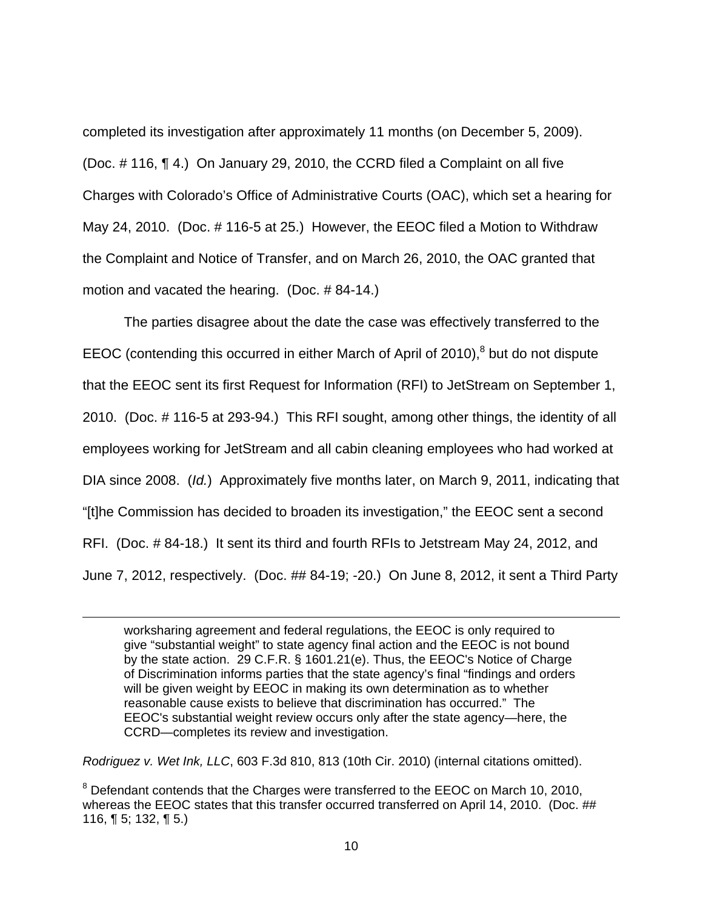completed its investigation after approximately 11 months (on December 5, 2009). (Doc. # 116, ¶ 4.) On January 29, 2010, the CCRD filed a Complaint on all five Charges with Colorado's Office of Administrative Courts (OAC), which set a hearing for May 24, 2010. (Doc. # 116-5 at 25.) However, the EEOC filed a Motion to Withdraw the Complaint and Notice of Transfer, and on March 26, 2010, the OAC granted that motion and vacated the hearing. (Doc. # 84-14.)

The parties disagree about the date the case was effectively transferred to the EEOC (contending this occurred in either March of April of 2010), $8$  but do not dispute that the EEOC sent its first Request for Information (RFI) to JetStream on September 1, 2010. (Doc. # 116-5 at 293-94.) This RFI sought, among other things, the identity of all employees working for JetStream and all cabin cleaning employees who had worked at DIA since 2008. (Id.) Approximately five months later, on March 9, 2011, indicating that "[t]he Commission has decided to broaden its investigation," the EEOC sent a second RFI. (Doc. # 84-18.) It sent its third and fourth RFIs to Jetstream May 24, 2012, and June 7, 2012, respectively. (Doc. ## 84-19; -20.) On June 8, 2012, it sent a Third Party

worksharing agreement and federal regulations, the EEOC is only required to give "substantial weight" to state agency final action and the EEOC is not bound by the state action. 29 C.F.R. § 1601.21(e). Thus, the EEOC's Notice of Charge of Discrimination informs parties that the state agency's final "findings and orders will be given weight by EEOC in making its own determination as to whether reasonable cause exists to believe that discrimination has occurred." The EEOC's substantial weight review occurs only after the state agency—here, the CCRD—completes its review and investigation.

Rodriguez v. Wet Ink, LLC, 603 F.3d 810, 813 (10th Cir. 2010) (internal citations omitted).

-

 $8$  Defendant contends that the Charges were transferred to the EEOC on March 10, 2010, whereas the EEOC states that this transfer occurred transferred on April 14, 2010. (Doc. ## 116,  $\P$  5; 132,  $\P$  5.)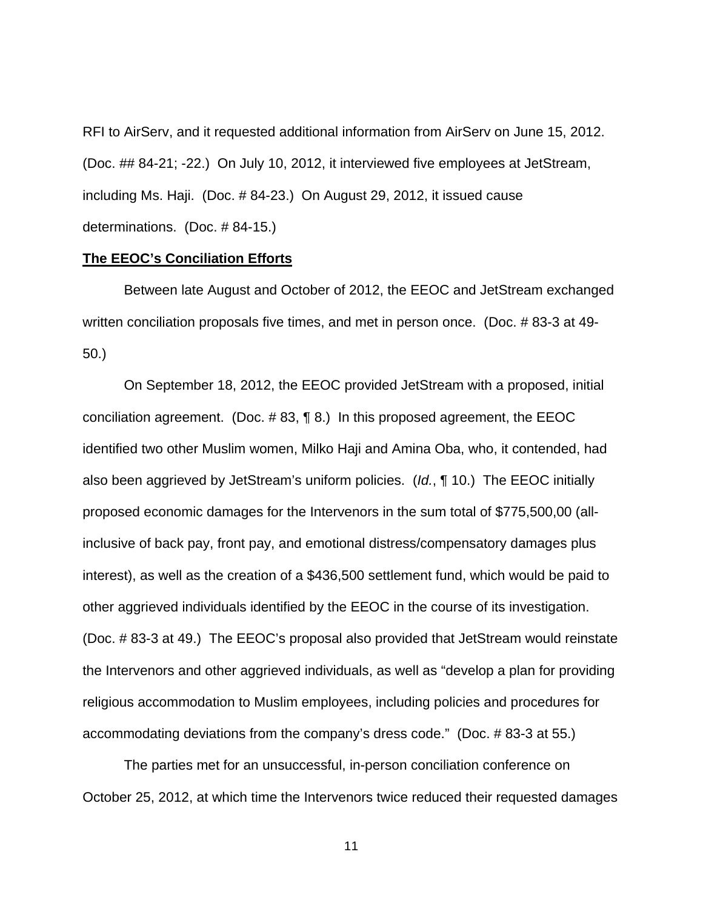RFI to AirServ, and it requested additional information from AirServ on June 15, 2012. (Doc. ## 84-21; -22.) On July 10, 2012, it interviewed five employees at JetStream, including Ms. Haji. (Doc. # 84-23.) On August 29, 2012, it issued cause determinations. (Doc. # 84-15.)

#### **The EEOC's Conciliation Efforts**

Between late August and October of 2012, the EEOC and JetStream exchanged written conciliation proposals five times, and met in person once. (Doc. # 83-3 at 49- 50.)

On September 18, 2012, the EEOC provided JetStream with a proposed, initial conciliation agreement. (Doc. # 83, ¶ 8.) In this proposed agreement, the EEOC identified two other Muslim women, Milko Haji and Amina Oba, who, it contended, had also been aggrieved by JetStream's uniform policies. (Id., ¶ 10.) The EEOC initially proposed economic damages for the Intervenors in the sum total of \$775,500,00 (allinclusive of back pay, front pay, and emotional distress/compensatory damages plus interest), as well as the creation of a \$436,500 settlement fund, which would be paid to other aggrieved individuals identified by the EEOC in the course of its investigation. (Doc. # 83-3 at 49.) The EEOC's proposal also provided that JetStream would reinstate the Intervenors and other aggrieved individuals, as well as "develop a plan for providing religious accommodation to Muslim employees, including policies and procedures for accommodating deviations from the company's dress code." (Doc. # 83-3 at 55.)

The parties met for an unsuccessful, in-person conciliation conference on October 25, 2012, at which time the Intervenors twice reduced their requested damages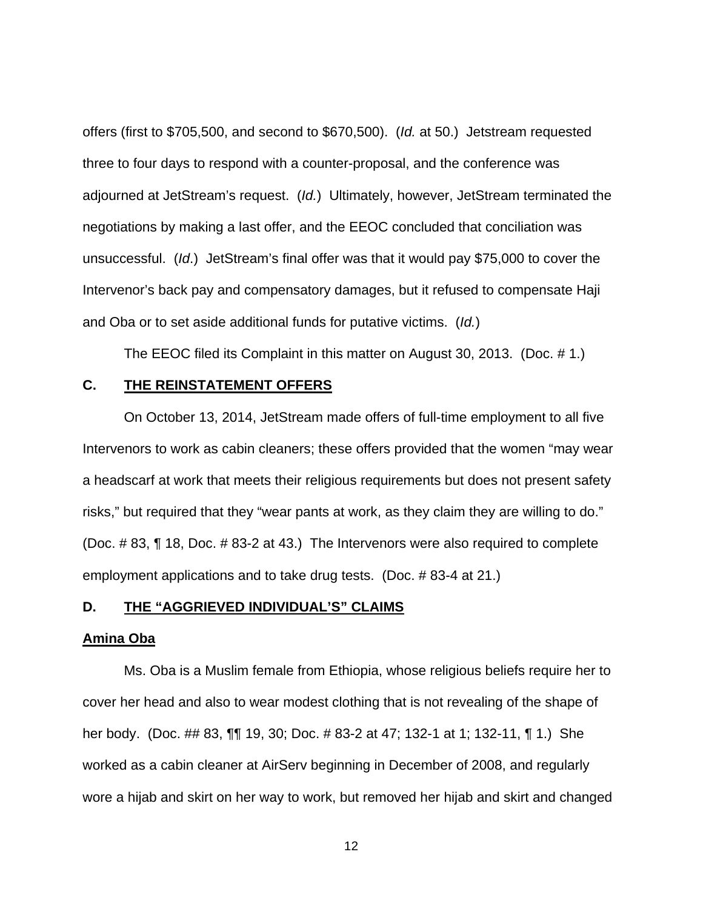offers (first to \$705,500, and second to \$670,500). (Id. at 50.) Jetstream requested three to four days to respond with a counter-proposal, and the conference was adjourned at JetStream's request. (Id.) Ultimately, however, JetStream terminated the negotiations by making a last offer, and the EEOC concluded that conciliation was unsuccessful. (Id.) JetStream's final offer was that it would pay \$75,000 to cover the Intervenor's back pay and compensatory damages, but it refused to compensate Haji and Oba or to set aside additional funds for putative victims. (Id.)

The EEOC filed its Complaint in this matter on August 30, 2013. (Doc. # 1.)

## **C. THE REINSTATEMENT OFFERS**

 On October 13, 2014, JetStream made offers of full-time employment to all five Intervenors to work as cabin cleaners; these offers provided that the women "may wear a headscarf at work that meets their religious requirements but does not present safety risks," but required that they "wear pants at work, as they claim they are willing to do." (Doc. # 83, ¶ 18, Doc. # 83-2 at 43.) The Intervenors were also required to complete employment applications and to take drug tests. (Doc. # 83-4 at 21.)

## **D. THE "AGGRIEVED INDIVIDUAL'S" CLAIMS**

#### **Amina Oba**

Ms. Oba is a Muslim female from Ethiopia, whose religious beliefs require her to cover her head and also to wear modest clothing that is not revealing of the shape of her body. (Doc. ## 83, ¶¶ 19, 30; Doc. # 83-2 at 47; 132-1 at 1; 132-11, ¶ 1.) She worked as a cabin cleaner at AirServ beginning in December of 2008, and regularly wore a hijab and skirt on her way to work, but removed her hijab and skirt and changed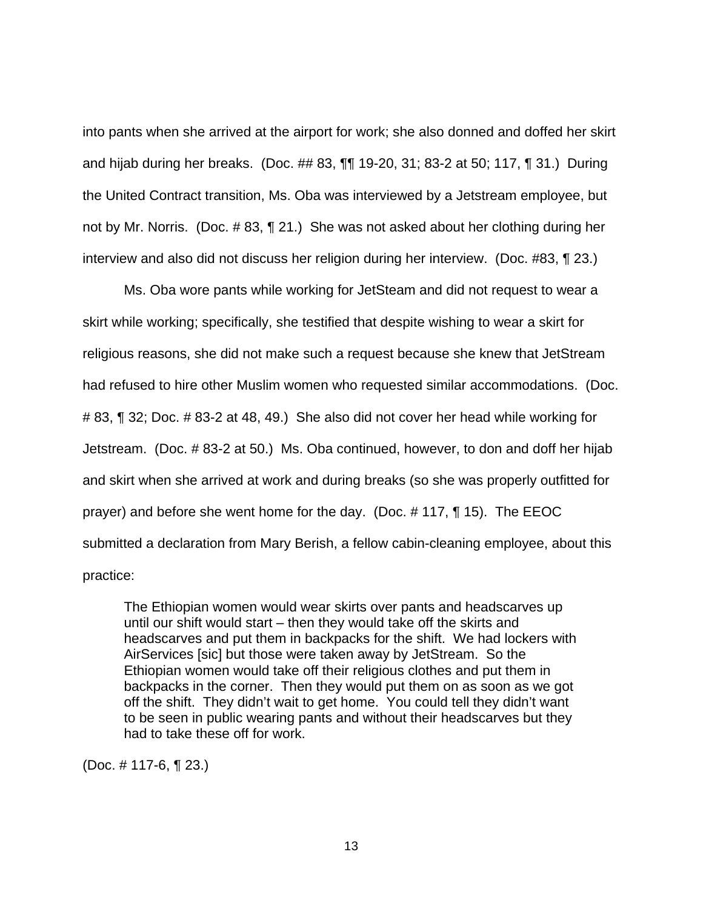into pants when she arrived at the airport for work; she also donned and doffed her skirt and hijab during her breaks. (Doc. ## 83, ¶¶ 19-20, 31; 83-2 at 50; 117, ¶ 31.) During the United Contract transition, Ms. Oba was interviewed by a Jetstream employee, but not by Mr. Norris. (Doc. # 83, ¶ 21.) She was not asked about her clothing during her interview and also did not discuss her religion during her interview. (Doc. #83, ¶ 23.)

Ms. Oba wore pants while working for JetSteam and did not request to wear a skirt while working; specifically, she testified that despite wishing to wear a skirt for religious reasons, she did not make such a request because she knew that JetStream had refused to hire other Muslim women who requested similar accommodations. (Doc. # 83, ¶ 32; Doc. # 83-2 at 48, 49.) She also did not cover her head while working for Jetstream. (Doc. # 83-2 at 50.) Ms. Oba continued, however, to don and doff her hijab and skirt when she arrived at work and during breaks (so she was properly outfitted for prayer) and before she went home for the day. (Doc. # 117, ¶ 15). The EEOC submitted a declaration from Mary Berish, a fellow cabin-cleaning employee, about this practice:

The Ethiopian women would wear skirts over pants and headscarves up until our shift would start – then they would take off the skirts and headscarves and put them in backpacks for the shift. We had lockers with AirServices [sic] but those were taken away by JetStream. So the Ethiopian women would take off their religious clothes and put them in backpacks in the corner. Then they would put them on as soon as we got off the shift. They didn't wait to get home. You could tell they didn't want to be seen in public wearing pants and without their headscarves but they had to take these off for work.

(Doc. # 117-6, ¶ 23.)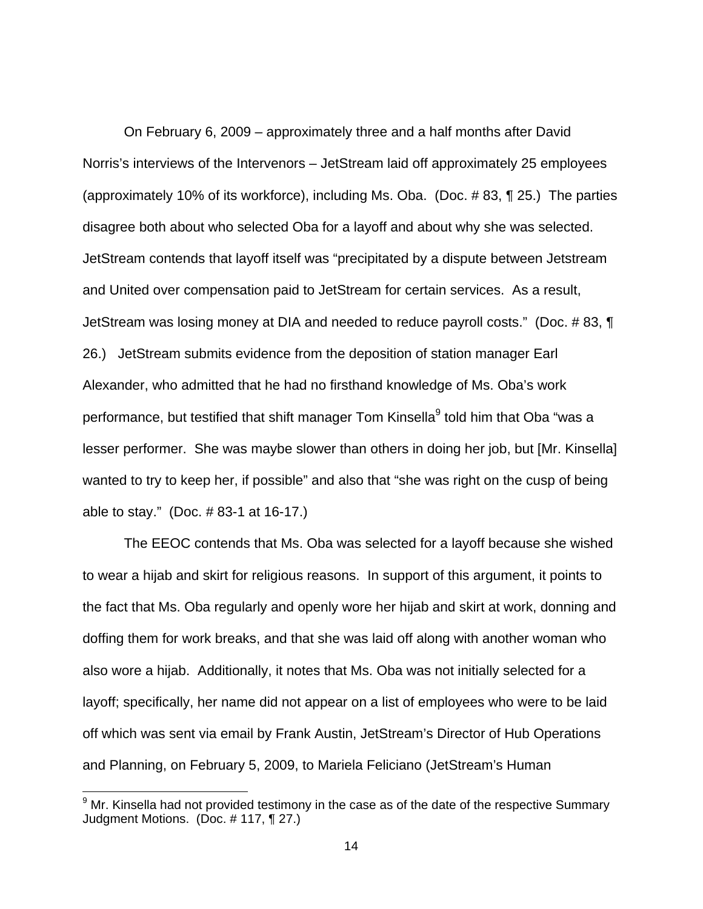On February 6, 2009 – approximately three and a half months after David Norris's interviews of the Intervenors – JetStream laid off approximately 25 employees (approximately 10% of its workforce), including Ms. Oba. (Doc. # 83, ¶ 25.) The parties disagree both about who selected Oba for a layoff and about why she was selected. JetStream contends that layoff itself was "precipitated by a dispute between Jetstream and United over compensation paid to JetStream for certain services. As a result, JetStream was losing money at DIA and needed to reduce payroll costs." (Doc. # 83, ¶ 26.) JetStream submits evidence from the deposition of station manager Earl Alexander, who admitted that he had no firsthand knowledge of Ms. Oba's work performance, but testified that shift manager Tom Kinsella<sup>9</sup> told him that Oba "was a lesser performer. She was maybe slower than others in doing her job, but [Mr. Kinsella] wanted to try to keep her, if possible" and also that "she was right on the cusp of being able to stay." (Doc. # 83-1 at 16-17.)

The EEOC contends that Ms. Oba was selected for a layoff because she wished to wear a hijab and skirt for religious reasons. In support of this argument, it points to the fact that Ms. Oba regularly and openly wore her hijab and skirt at work, donning and doffing them for work breaks, and that she was laid off along with another woman who also wore a hijab. Additionally, it notes that Ms. Oba was not initially selected for a layoff; specifically, her name did not appear on a list of employees who were to be laid off which was sent via email by Frank Austin, JetStream's Director of Hub Operations and Planning, on February 5, 2009, to Mariela Feliciano (JetStream's Human

-

 $9$  Mr. Kinsella had not provided testimony in the case as of the date of the respective Summary Judgment Motions. (Doc. # 117, ¶ 27.)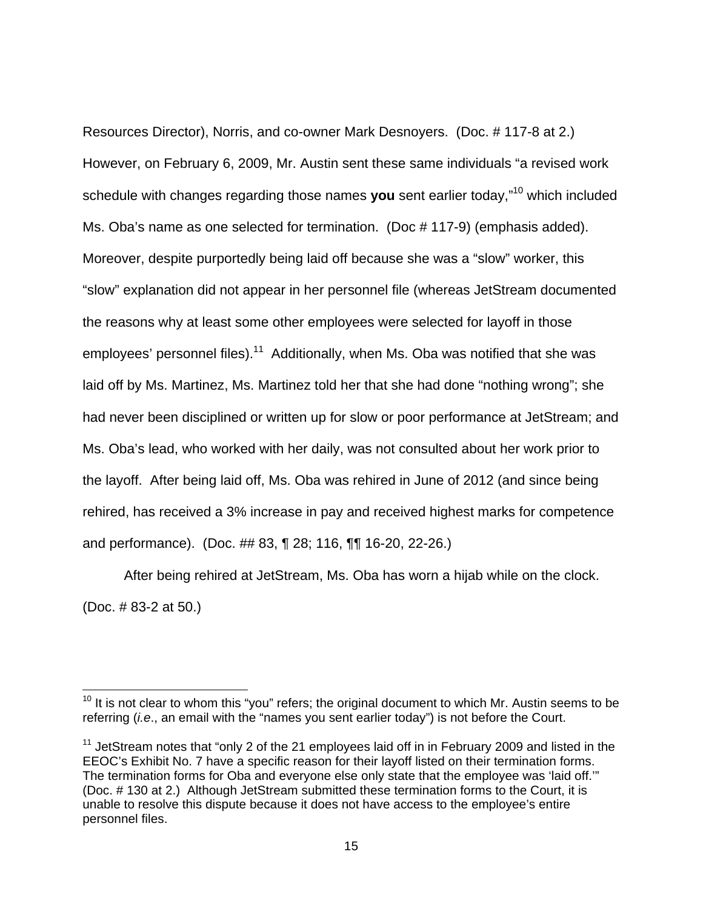Resources Director), Norris, and co-owner Mark Desnoyers. (Doc. # 117-8 at 2.) However, on February 6, 2009, Mr. Austin sent these same individuals "a revised work schedule with changes regarding those names **you** sent earlier today,"<sup>10</sup> which included Ms. Oba's name as one selected for termination. (Doc # 117-9) (emphasis added). Moreover, despite purportedly being laid off because she was a "slow" worker, this "slow" explanation did not appear in her personnel file (whereas JetStream documented the reasons why at least some other employees were selected for layoff in those employees' personnel files).<sup>11</sup> Additionally, when Ms. Oba was notified that she was laid off by Ms. Martinez, Ms. Martinez told her that she had done "nothing wrong"; she had never been disciplined or written up for slow or poor performance at JetStream; and Ms. Oba's lead, who worked with her daily, was not consulted about her work prior to the layoff. After being laid off, Ms. Oba was rehired in June of 2012 (and since being rehired, has received a 3% increase in pay and received highest marks for competence and performance). (Doc. ## 83, ¶ 28; 116, ¶¶ 16-20, 22-26.)

After being rehired at JetStream, Ms. Oba has worn a hijab while on the clock. (Doc. # 83-2 at 50.)

 $10$  It is not clear to whom this "you" refers; the original document to which Mr. Austin seems to be referring (*i.e.*, an email with the "names you sent earlier today") is not before the Court.

 $11$  JetStream notes that "only 2 of the 21 employees laid off in in February 2009 and listed in the EEOC's Exhibit No. 7 have a specific reason for their layoff listed on their termination forms. The termination forms for Oba and everyone else only state that the employee was 'laid off.'" (Doc. # 130 at 2.) Although JetStream submitted these termination forms to the Court, it is unable to resolve this dispute because it does not have access to the employee's entire personnel files.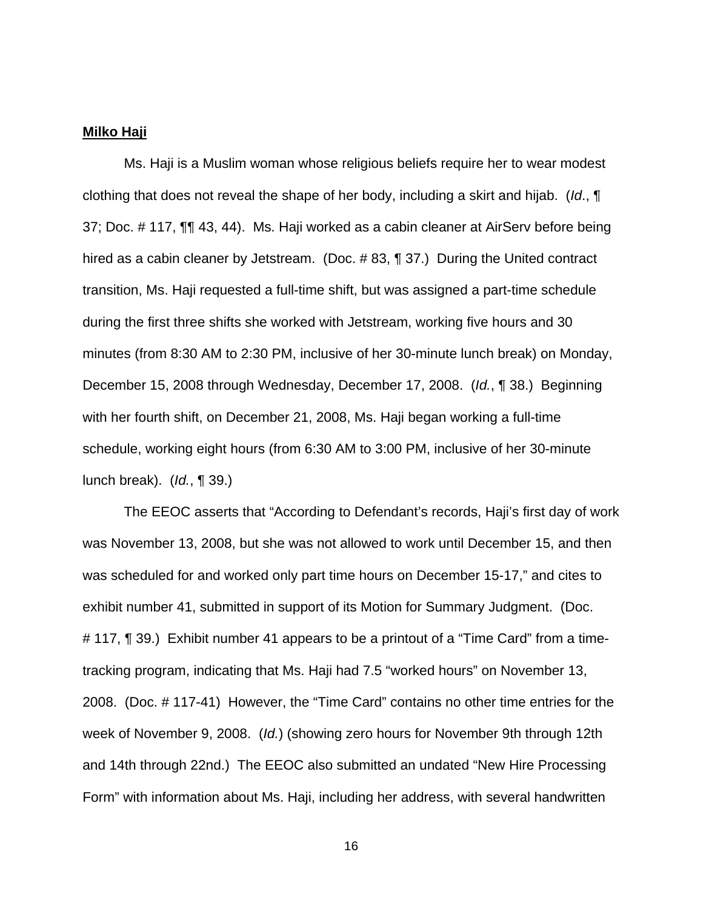### **Milko Haji**

Ms. Haji is a Muslim woman whose religious beliefs require her to wear modest clothing that does not reveal the shape of her body, including a skirt and hijab. (Id., ¶ 37; Doc. # 117, ¶¶ 43, 44). Ms. Haji worked as a cabin cleaner at AirServ before being hired as a cabin cleaner by Jetstream. (Doc. #83, ¶ 37.) During the United contract transition, Ms. Haji requested a full-time shift, but was assigned a part-time schedule during the first three shifts she worked with Jetstream, working five hours and 30 minutes (from 8:30 AM to 2:30 PM, inclusive of her 30-minute lunch break) on Monday, December 15, 2008 through Wednesday, December 17, 2008. (Id., ¶ 38.) Beginning with her fourth shift, on December 21, 2008, Ms. Haji began working a full-time schedule, working eight hours (from 6:30 AM to 3:00 PM, inclusive of her 30-minute lunch break). (Id., ¶ 39.)

 The EEOC asserts that "According to Defendant's records, Haji's first day of work was November 13, 2008, but she was not allowed to work until December 15, and then was scheduled for and worked only part time hours on December 15-17," and cites to exhibit number 41, submitted in support of its Motion for Summary Judgment. (Doc. # 117, ¶ 39.) Exhibit number 41 appears to be a printout of a "Time Card" from a timetracking program, indicating that Ms. Haji had 7.5 "worked hours" on November 13, 2008. (Doc. # 117-41) However, the "Time Card" contains no other time entries for the week of November 9, 2008. (Id.) (showing zero hours for November 9th through 12th and 14th through 22nd.) The EEOC also submitted an undated "New Hire Processing Form" with information about Ms. Haji, including her address, with several handwritten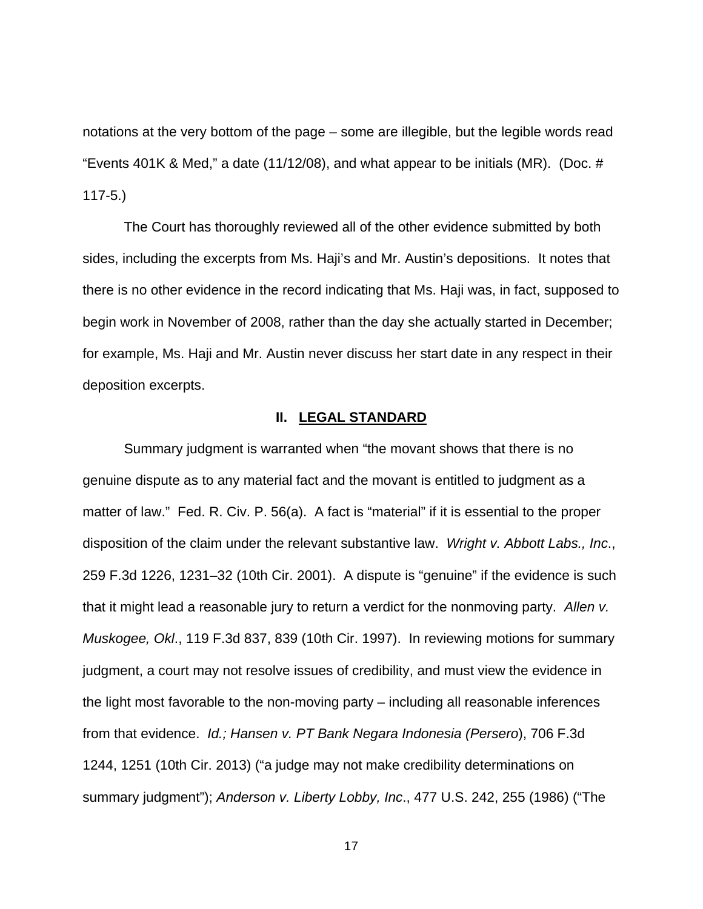notations at the very bottom of the page – some are illegible, but the legible words read "Events 401K & Med," a date (11/12/08), and what appear to be initials (MR). (Doc.  $#$ 117-5.)

The Court has thoroughly reviewed all of the other evidence submitted by both sides, including the excerpts from Ms. Haji's and Mr. Austin's depositions. It notes that there is no other evidence in the record indicating that Ms. Haji was, in fact, supposed to begin work in November of 2008, rather than the day she actually started in December; for example, Ms. Haji and Mr. Austin never discuss her start date in any respect in their deposition excerpts.

#### **II. LEGAL STANDARD**

Summary judgment is warranted when "the movant shows that there is no genuine dispute as to any material fact and the movant is entitled to judgment as a matter of law." Fed. R. Civ. P. 56(a). A fact is "material" if it is essential to the proper disposition of the claim under the relevant substantive law. Wright v. Abbott Labs., Inc., 259 F.3d 1226, 1231–32 (10th Cir. 2001). A dispute is "genuine" if the evidence is such that it might lead a reasonable jury to return a verdict for the nonmoving party. Allen v. Muskogee, Okl., 119 F.3d 837, 839 (10th Cir. 1997). In reviewing motions for summary judgment, a court may not resolve issues of credibility, and must view the evidence in the light most favorable to the non-moving party – including all reasonable inferences from that evidence. Id.; Hansen v. PT Bank Negara Indonesia (Persero), 706 F.3d 1244, 1251 (10th Cir. 2013) ("a judge may not make credibility determinations on summary judgment"); Anderson v. Liberty Lobby, Inc., 477 U.S. 242, 255 (1986) ("The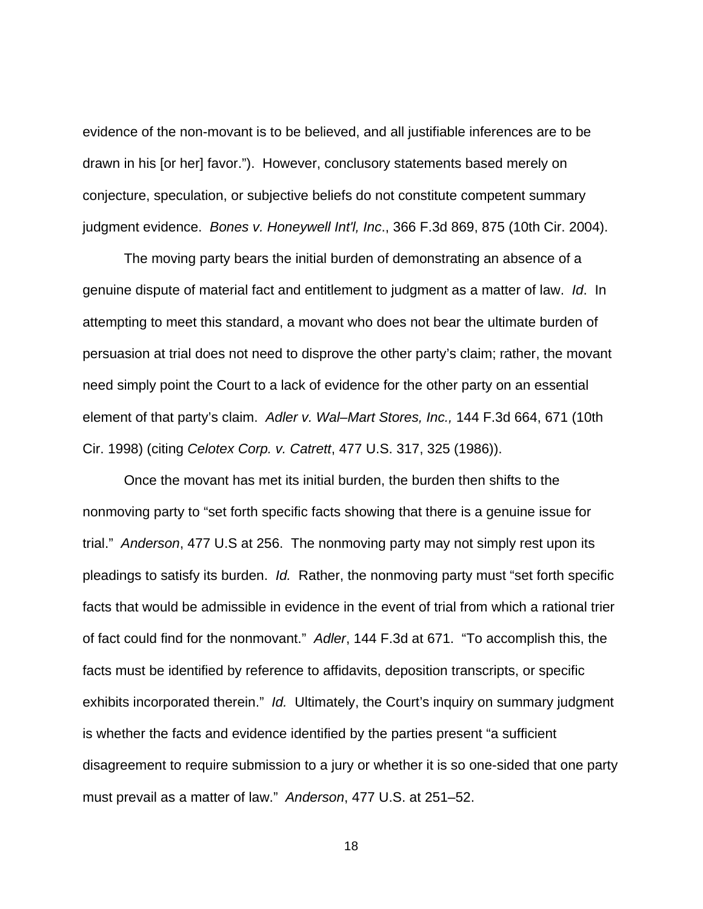evidence of the non-movant is to be believed, and all justifiable inferences are to be drawn in his [or her] favor."). However, conclusory statements based merely on conjecture, speculation, or subjective beliefs do not constitute competent summary judgment evidence. Bones v. Honeywell Int'l, Inc., 366 F.3d 869, 875 (10th Cir. 2004).

The moving party bears the initial burden of demonstrating an absence of a genuine dispute of material fact and entitlement to judgment as a matter of law. Id. In attempting to meet this standard, a movant who does not bear the ultimate burden of persuasion at trial does not need to disprove the other party's claim; rather, the movant need simply point the Court to a lack of evidence for the other party on an essential element of that party's claim. Adler v. Wal–Mart Stores, Inc., 144 F.3d 664, 671 (10th Cir. 1998) (citing Celotex Corp. v. Catrett, 477 U.S. 317, 325 (1986)).

Once the movant has met its initial burden, the burden then shifts to the nonmoving party to "set forth specific facts showing that there is a genuine issue for trial." Anderson, 477 U.S at 256. The nonmoving party may not simply rest upon its pleadings to satisfy its burden. Id. Rather, the nonmoving party must "set forth specific facts that would be admissible in evidence in the event of trial from which a rational trier of fact could find for the nonmovant." Adler, 144 F.3d at 671. "To accomplish this, the facts must be identified by reference to affidavits, deposition transcripts, or specific exhibits incorporated therein." Id. Ultimately, the Court's inquiry on summary judgment is whether the facts and evidence identified by the parties present "a sufficient disagreement to require submission to a jury or whether it is so one-sided that one party must prevail as a matter of law." Anderson, 477 U.S. at 251–52.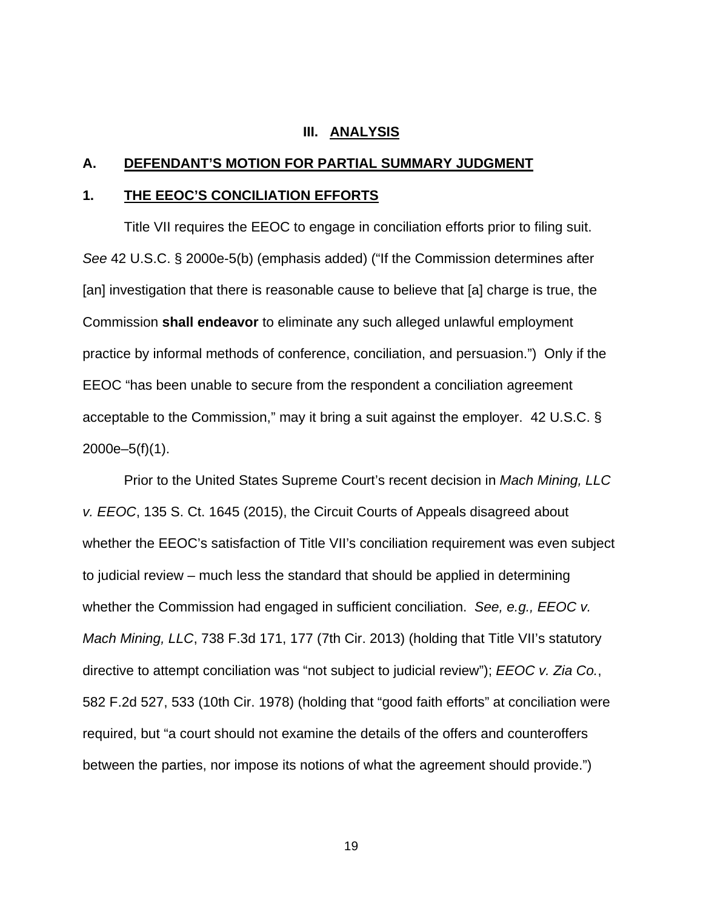#### **III. ANALYSIS**

#### **A. DEFENDANT'S MOTION FOR PARTIAL SUMMARY JUDGMENT**

### **1. THE EEOC'S CONCILIATION EFFORTS**

Title VII requires the EEOC to engage in conciliation efforts prior to filing suit. See 42 U.S.C. § 2000e-5(b) (emphasis added) ("If the Commission determines after [an] investigation that there is reasonable cause to believe that [a] charge is true, the Commission **shall endeavor** to eliminate any such alleged unlawful employment practice by informal methods of conference, conciliation, and persuasion.") Only if the EEOC "has been unable to secure from the respondent a conciliation agreement acceptable to the Commission," may it bring a suit against the employer. 42 U.S.C. § 2000e–5(f)(1).

 Prior to the United States Supreme Court's recent decision in Mach Mining, LLC v. EEOC, 135 S. Ct. 1645 (2015), the Circuit Courts of Appeals disagreed about whether the EEOC's satisfaction of Title VII's conciliation requirement was even subject to judicial review – much less the standard that should be applied in determining whether the Commission had engaged in sufficient conciliation. See, e.g., EEOC v. Mach Mining, LLC, 738 F.3d 171, 177 (7th Cir. 2013) (holding that Title VII's statutory directive to attempt conciliation was "not subject to judicial review"); EEOC v. Zia Co., 582 F.2d 527, 533 (10th Cir. 1978) (holding that "good faith efforts" at conciliation were required, but "a court should not examine the details of the offers and counteroffers between the parties, nor impose its notions of what the agreement should provide.")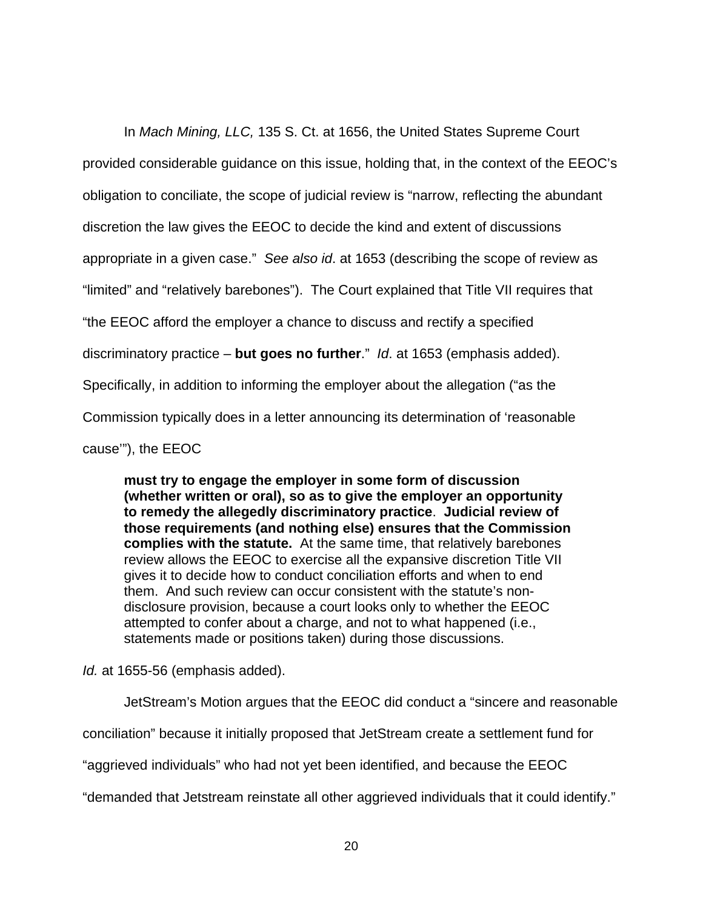In Mach Mining, LLC, 135 S. Ct. at 1656, the United States Supreme Court provided considerable guidance on this issue, holding that, in the context of the EEOC's obligation to conciliate, the scope of judicial review is "narrow, reflecting the abundant discretion the law gives the EEOC to decide the kind and extent of discussions appropriate in a given case." See also id. at 1653 (describing the scope of review as "limited" and "relatively barebones"). The Court explained that Title VII requires that "the EEOC afford the employer a chance to discuss and rectify a specified discriminatory practice – **but goes no further**." Id. at 1653 (emphasis added). Specifically, in addition to informing the employer about the allegation ("as the Commission typically does in a letter announcing its determination of 'reasonable cause'"), the EEOC

**must try to engage the employer in some form of discussion (whether written or oral), so as to give the employer an opportunity to remedy the allegedly discriminatory practice**. **Judicial review of those requirements (and nothing else) ensures that the Commission complies with the statute.** At the same time, that relatively barebones review allows the EEOC to exercise all the expansive discretion Title VII gives it to decide how to conduct conciliation efforts and when to end them. And such review can occur consistent with the statute's nondisclosure provision, because a court looks only to whether the EEOC attempted to confer about a charge, and not to what happened (i.e., statements made or positions taken) during those discussions.

Id. at 1655-56 (emphasis added).

JetStream's Motion argues that the EEOC did conduct a "sincere and reasonable

conciliation" because it initially proposed that JetStream create a settlement fund for

"aggrieved individuals" who had not yet been identified, and because the EEOC

"demanded that Jetstream reinstate all other aggrieved individuals that it could identify."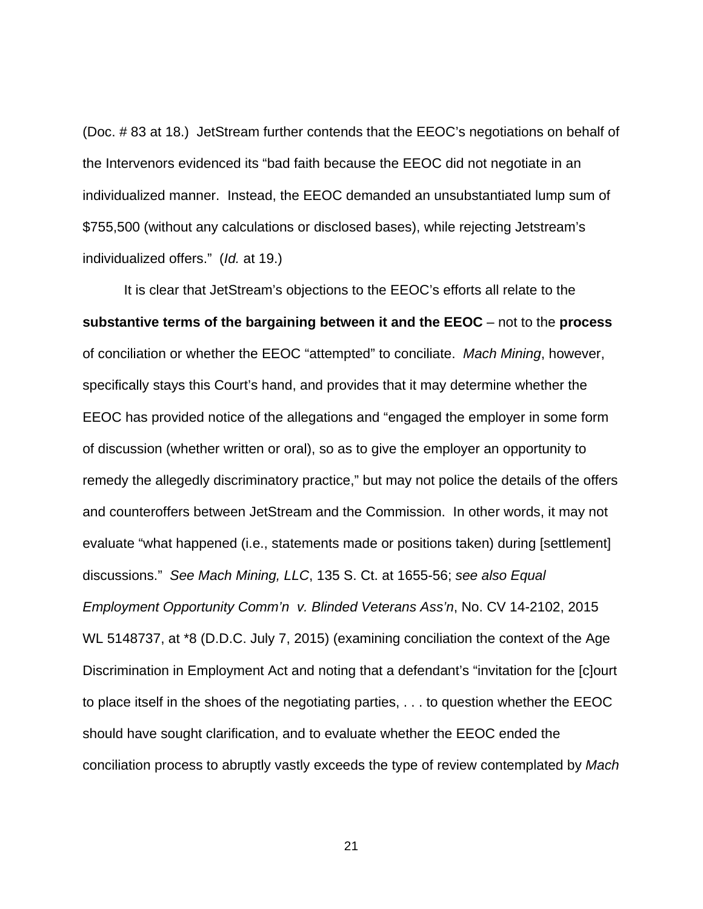(Doc. # 83 at 18.) JetStream further contends that the EEOC's negotiations on behalf of the Intervenors evidenced its "bad faith because the EEOC did not negotiate in an individualized manner. Instead, the EEOC demanded an unsubstantiated lump sum of \$755,500 (without any calculations or disclosed bases), while rejecting Jetstream's individualized offers." (Id. at 19.)

It is clear that JetStream's objections to the EEOC's efforts all relate to the **substantive terms of the bargaining between it and the EEOC** – not to the **process** of conciliation or whether the EEOC "attempted" to conciliate. Mach Mining, however, specifically stays this Court's hand, and provides that it may determine whether the EEOC has provided notice of the allegations and "engaged the employer in some form of discussion (whether written or oral), so as to give the employer an opportunity to remedy the allegedly discriminatory practice," but may not police the details of the offers and counteroffers between JetStream and the Commission. In other words, it may not evaluate "what happened (i.e., statements made or positions taken) during [settlement] discussions." See Mach Mining, LLC, 135 S. Ct. at 1655-56; see also Equal Employment Opportunity Comm'n v. Blinded Veterans Ass'n, No. CV 14-2102, 2015 WL 5148737, at \*8 (D.D.C. July 7, 2015) (examining conciliation the context of the Age Discrimination in Employment Act and noting that a defendant's "invitation for the [c]ourt to place itself in the shoes of the negotiating parties, . . . to question whether the EEOC should have sought clarification, and to evaluate whether the EEOC ended the conciliation process to abruptly vastly exceeds the type of review contemplated by Mach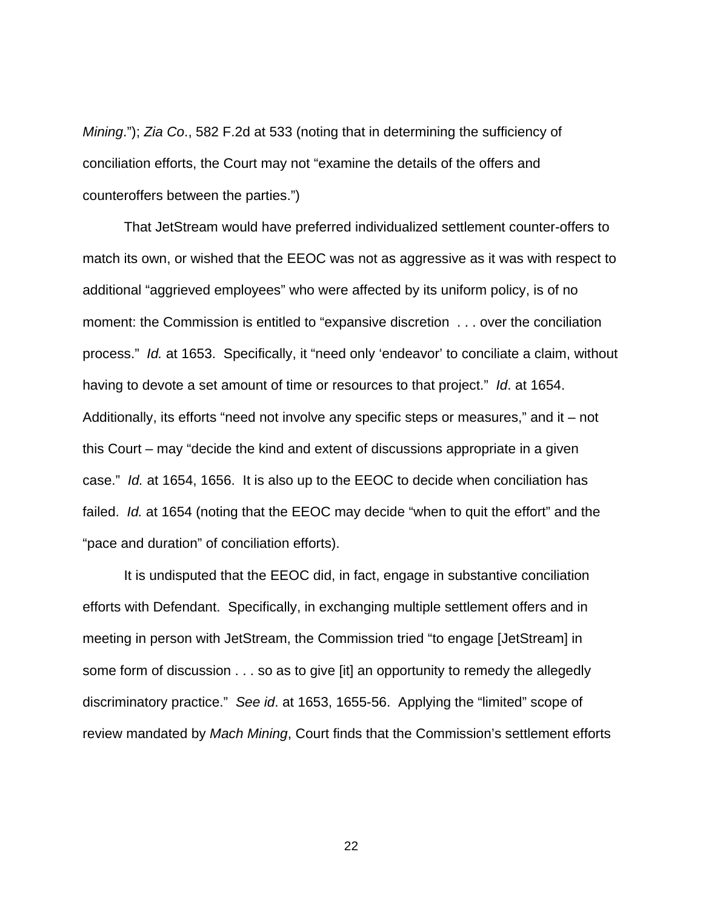Mining."); Zia Co., 582 F.2d at 533 (noting that in determining the sufficiency of conciliation efforts, the Court may not "examine the details of the offers and counteroffers between the parties.")

That JetStream would have preferred individualized settlement counter-offers to match its own, or wished that the EEOC was not as aggressive as it was with respect to additional "aggrieved employees" who were affected by its uniform policy, is of no moment: the Commission is entitled to "expansive discretion . . . over the conciliation process." Id. at 1653. Specifically, it "need only 'endeavor' to conciliate a claim, without having to devote a set amount of time or resources to that project." Id. at 1654. Additionally, its efforts "need not involve any specific steps or measures," and it – not this Court – may "decide the kind and extent of discussions appropriate in a given case." Id. at 1654, 1656. It is also up to the EEOC to decide when conciliation has failed. *Id.* at 1654 (noting that the EEOC may decide "when to quit the effort" and the "pace and duration" of conciliation efforts).

It is undisputed that the EEOC did, in fact, engage in substantive conciliation efforts with Defendant. Specifically, in exchanging multiple settlement offers and in meeting in person with JetStream, the Commission tried "to engage [JetStream] in some form of discussion . . . so as to give [it] an opportunity to remedy the allegedly discriminatory practice." See id. at 1653, 1655-56. Applying the "limited" scope of review mandated by Mach Mining, Court finds that the Commission's settlement efforts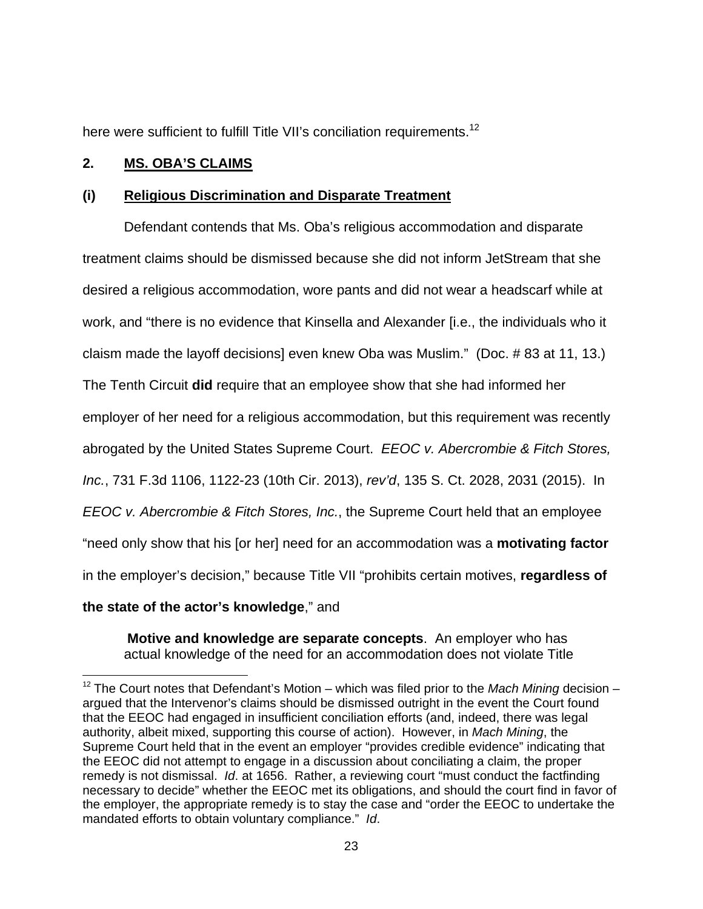here were sufficient to fulfill Title VII's conciliation requirements.<sup>12</sup>

# **2. MS. OBA'S CLAIMS**

# **(i) Religious Discrimination and Disparate Treatment**

Defendant contends that Ms. Oba's religious accommodation and disparate treatment claims should be dismissed because she did not inform JetStream that she desired a religious accommodation, wore pants and did not wear a headscarf while at work, and "there is no evidence that Kinsella and Alexander [i.e., the individuals who it claism made the layoff decisions] even knew Oba was Muslim." (Doc. # 83 at 11, 13.)

The Tenth Circuit **did** require that an employee show that she had informed her

employer of her need for a religious accommodation, but this requirement was recently

abrogated by the United States Supreme Court. EEOC v. Abercrombie & Fitch Stores,

Inc., 731 F.3d 1106, 1122-23 (10th Cir. 2013), rev'd, 135 S. Ct. 2028, 2031 (2015). In

EEOC v. Abercrombie & Fitch Stores, Inc., the Supreme Court held that an employee

"need only show that his [or her] need for an accommodation was a **motivating factor**

in the employer's decision," because Title VII "prohibits certain motives, **regardless of** 

# **the state of the actor's knowledge**," and

**Motive and knowledge are separate concepts**. An employer who has actual knowledge of the need for an accommodation does not violate Title

 $12$  The Court notes that Defendant's Motion – which was filed prior to the Mach Mining decision – argued that the Intervenor's claims should be dismissed outright in the event the Court found that the EEOC had engaged in insufficient conciliation efforts (and, indeed, there was legal authority, albeit mixed, supporting this course of action). However, in Mach Mining, the Supreme Court held that in the event an employer "provides credible evidence" indicating that the EEOC did not attempt to engage in a discussion about conciliating a claim, the proper remedy is not dismissal. Id. at 1656. Rather, a reviewing court "must conduct the factfinding necessary to decide" whether the EEOC met its obligations, and should the court find in favor of the employer, the appropriate remedy is to stay the case and "order the EEOC to undertake the mandated efforts to obtain voluntary compliance." Id.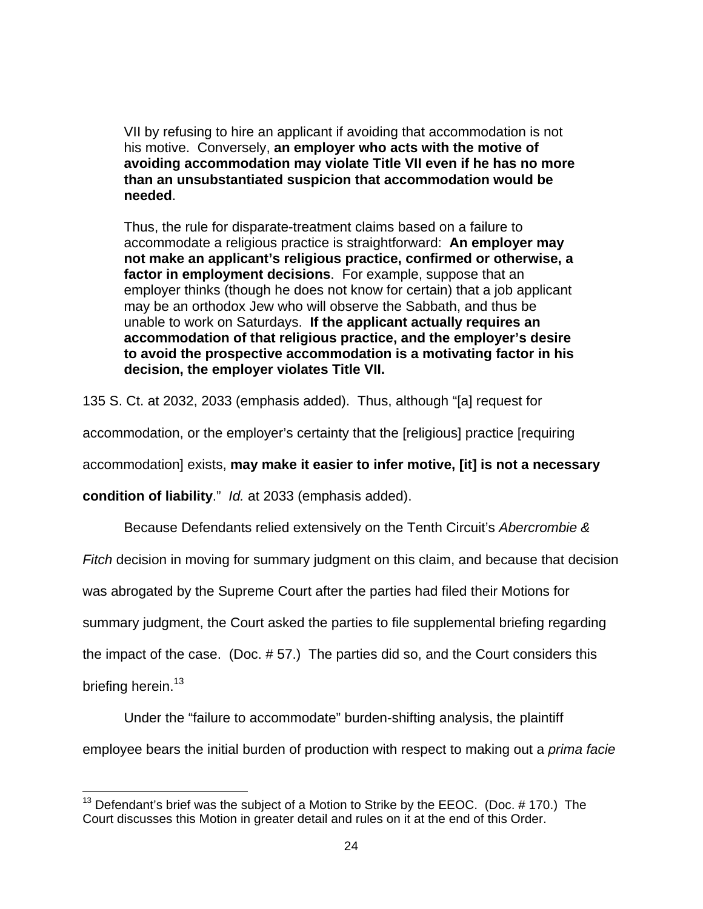VII by refusing to hire an applicant if avoiding that accommodation is not his motive. Conversely, **an employer who acts with the motive of avoiding accommodation may violate Title VII even if he has no more than an unsubstantiated suspicion that accommodation would be needed**.

Thus, the rule for disparate-treatment claims based on a failure to accommodate a religious practice is straightforward: **An employer may not make an applicant's religious practice, confirmed or otherwise, a factor in employment decisions**. For example, suppose that an employer thinks (though he does not know for certain) that a job applicant may be an orthodox Jew who will observe the Sabbath, and thus be unable to work on Saturdays. **If the applicant actually requires an accommodation of that religious practice, and the employer's desire to avoid the prospective accommodation is a motivating factor in his decision, the employer violates Title VII.** 

135 S. Ct. at 2032, 2033 (emphasis added). Thus, although "[a] request for

accommodation, or the employer's certainty that the [religious] practice [requiring

accommodation] exists, **may make it easier to infer motive, [it] is not a necessary** 

**condition of liability**." Id. at 2033 (emphasis added).

Because Defendants relied extensively on the Tenth Circuit's Abercrombie &

Fitch decision in moving for summary judgment on this claim, and because that decision

was abrogated by the Supreme Court after the parties had filed their Motions for

summary judgment, the Court asked the parties to file supplemental briefing regarding

the impact of the case. (Doc. # 57.) The parties did so, and the Court considers this

briefing herein.<sup>13</sup>

-

 Under the "failure to accommodate" burden-shifting analysis, the plaintiff employee bears the initial burden of production with respect to making out a *prima facie* 

 $13$  Defendant's brief was the subject of a Motion to Strike by the EEOC. (Doc. # 170.) The Court discusses this Motion in greater detail and rules on it at the end of this Order.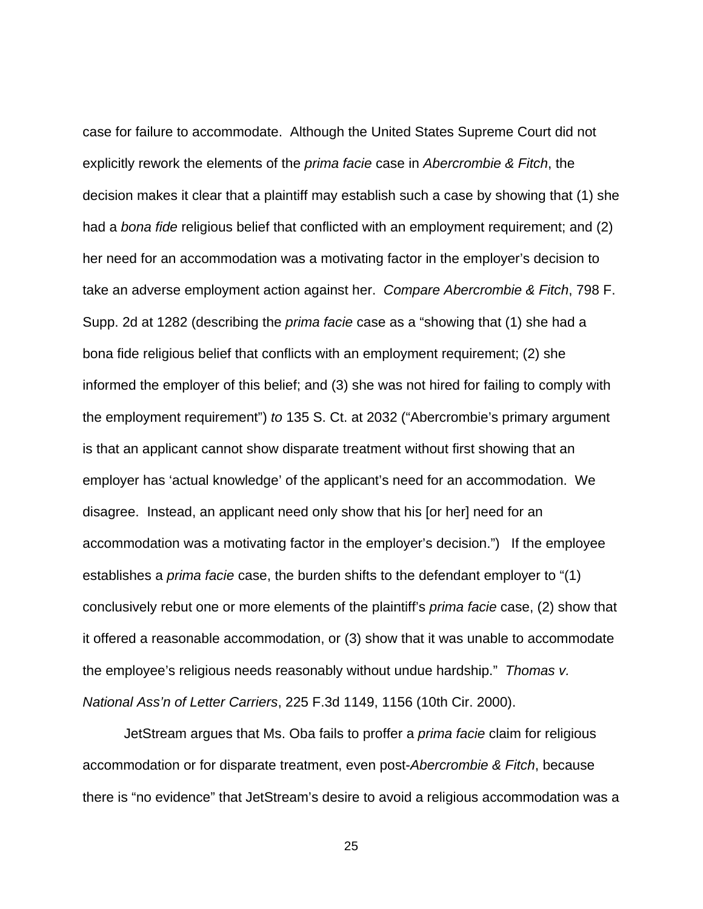case for failure to accommodate. Although the United States Supreme Court did not explicitly rework the elements of the *prima facie* case in Abercrombie & Fitch, the decision makes it clear that a plaintiff may establish such a case by showing that (1) she had a *bona fide* religious belief that conflicted with an employment requirement; and (2) her need for an accommodation was a motivating factor in the employer's decision to take an adverse employment action against her. Compare Abercrombie & Fitch, 798 F. Supp. 2d at 1282 (describing the prima facie case as a "showing that (1) she had a bona fide religious belief that conflicts with an employment requirement; (2) she informed the employer of this belief; and (3) she was not hired for failing to comply with the employment requirement") to 135 S. Ct. at 2032 ("Abercrombie's primary argument is that an applicant cannot show disparate treatment without first showing that an employer has 'actual knowledge' of the applicant's need for an accommodation. We disagree. Instead, an applicant need only show that his [or her] need for an accommodation was a motivating factor in the employer's decision.") If the employee establishes a *prima facie* case, the burden shifts to the defendant employer to "(1) conclusively rebut one or more elements of the plaintiff's prima facie case, (2) show that it offered a reasonable accommodation, or (3) show that it was unable to accommodate the employee's religious needs reasonably without undue hardship." Thomas v. National Ass'n of Letter Carriers, 225 F.3d 1149, 1156 (10th Cir. 2000).

JetStream argues that Ms. Oba fails to proffer a prima facie claim for religious accommodation or for disparate treatment, even post-Abercrombie & Fitch, because there is "no evidence" that JetStream's desire to avoid a religious accommodation was a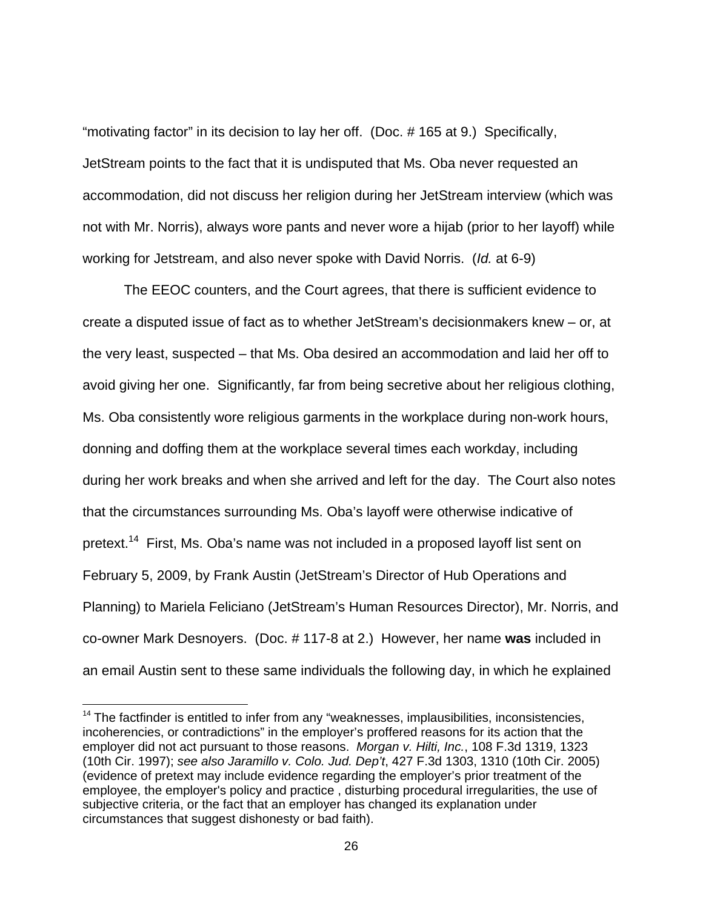"motivating factor" in its decision to lay her off. (Doc. # 165 at 9.) Specifically, JetStream points to the fact that it is undisputed that Ms. Oba never requested an accommodation, did not discuss her religion during her JetStream interview (which was not with Mr. Norris), always wore pants and never wore a hijab (prior to her layoff) while working for Jetstream, and also never spoke with David Norris. (Id. at 6-9)

The EEOC counters, and the Court agrees, that there is sufficient evidence to create a disputed issue of fact as to whether JetStream's decisionmakers knew – or, at the very least, suspected – that Ms. Oba desired an accommodation and laid her off to avoid giving her one. Significantly, far from being secretive about her religious clothing, Ms. Oba consistently wore religious garments in the workplace during non-work hours, donning and doffing them at the workplace several times each workday, including during her work breaks and when she arrived and left for the day. The Court also notes that the circumstances surrounding Ms. Oba's layoff were otherwise indicative of pretext.<sup>14</sup> First, Ms. Oba's name was not included in a proposed layoff list sent on February 5, 2009, by Frank Austin (JetStream's Director of Hub Operations and Planning) to Mariela Feliciano (JetStream's Human Resources Director), Mr. Norris, and co-owner Mark Desnoyers. (Doc. # 117-8 at 2.) However, her name **was** included in an email Austin sent to these same individuals the following day, in which he explained

 $14$  The factfinder is entitled to infer from any "weaknesses, implausibilities, inconsistencies, incoherencies, or contradictions" in the employer's proffered reasons for its action that the employer did not act pursuant to those reasons. Morgan v. Hilti, Inc., 108 F.3d 1319, 1323 (10th Cir. 1997); see also Jaramillo v. Colo. Jud. Dep't, 427 F.3d 1303, 1310 (10th Cir. 2005) (evidence of pretext may include evidence regarding the employer's prior treatment of the employee, the employer's policy and practice , disturbing procedural irregularities, the use of subjective criteria, or the fact that an employer has changed its explanation under circumstances that suggest dishonesty or bad faith).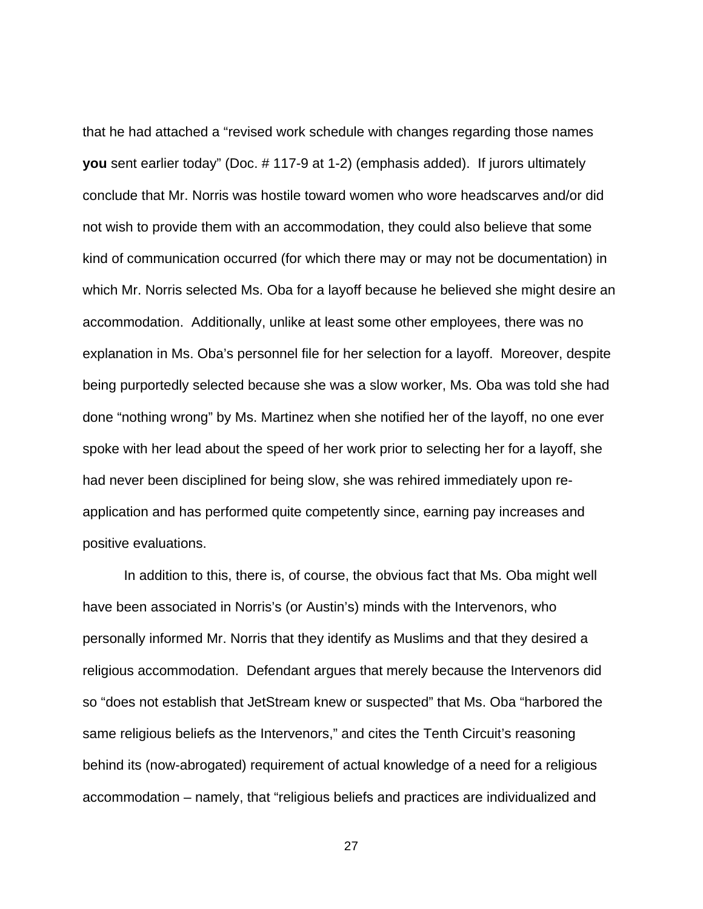that he had attached a "revised work schedule with changes regarding those names **you** sent earlier today" (Doc. # 117-9 at 1-2) (emphasis added). If jurors ultimately conclude that Mr. Norris was hostile toward women who wore headscarves and/or did not wish to provide them with an accommodation, they could also believe that some kind of communication occurred (for which there may or may not be documentation) in which Mr. Norris selected Ms. Oba for a layoff because he believed she might desire an accommodation. Additionally, unlike at least some other employees, there was no explanation in Ms. Oba's personnel file for her selection for a layoff. Moreover, despite being purportedly selected because she was a slow worker, Ms. Oba was told she had done "nothing wrong" by Ms. Martinez when she notified her of the layoff, no one ever spoke with her lead about the speed of her work prior to selecting her for a layoff, she had never been disciplined for being slow, she was rehired immediately upon reapplication and has performed quite competently since, earning pay increases and positive evaluations.

In addition to this, there is, of course, the obvious fact that Ms. Oba might well have been associated in Norris's (or Austin's) minds with the Intervenors, who personally informed Mr. Norris that they identify as Muslims and that they desired a religious accommodation. Defendant argues that merely because the Intervenors did so "does not establish that JetStream knew or suspected" that Ms. Oba "harbored the same religious beliefs as the Intervenors," and cites the Tenth Circuit's reasoning behind its (now-abrogated) requirement of actual knowledge of a need for a religious accommodation – namely, that "religious beliefs and practices are individualized and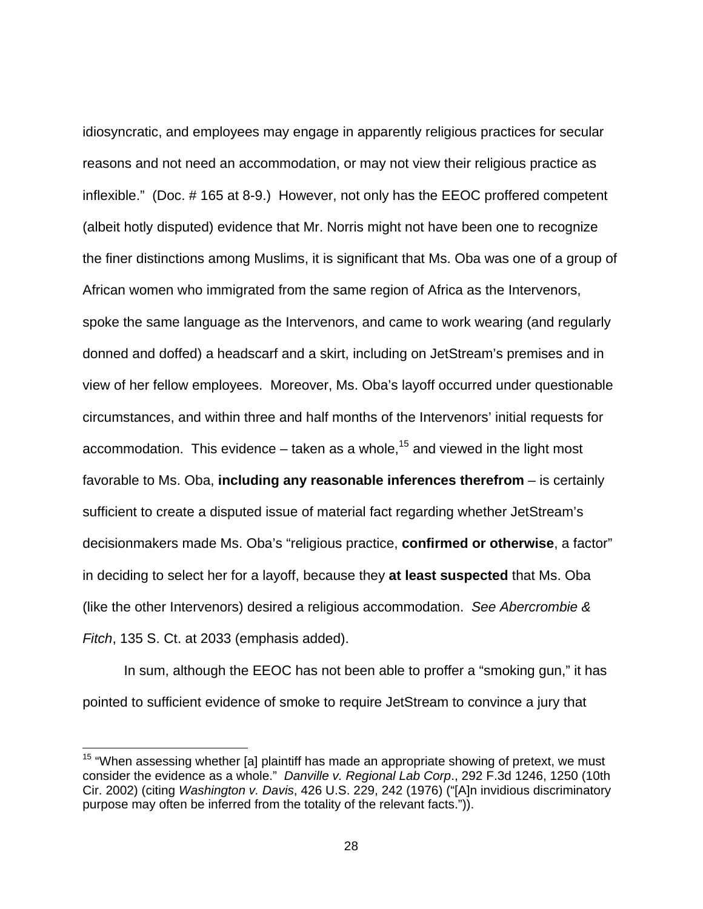idiosyncratic, and employees may engage in apparently religious practices for secular reasons and not need an accommodation, or may not view their religious practice as inflexible." (Doc. # 165 at 8-9.) However, not only has the EEOC proffered competent (albeit hotly disputed) evidence that Mr. Norris might not have been one to recognize the finer distinctions among Muslims, it is significant that Ms. Oba was one of a group of African women who immigrated from the same region of Africa as the Intervenors, spoke the same language as the Intervenors, and came to work wearing (and regularly donned and doffed) a headscarf and a skirt, including on JetStream's premises and in view of her fellow employees. Moreover, Ms. Oba's layoff occurred under questionable circumstances, and within three and half months of the Intervenors' initial requests for accommodation. This evidence – taken as a whole,<sup>15</sup> and viewed in the light most favorable to Ms. Oba, **including any reasonable inferences therefrom** – is certainly sufficient to create a disputed issue of material fact regarding whether JetStream's decisionmakers made Ms. Oba's "religious practice, **confirmed or otherwise**, a factor" in deciding to select her for a layoff, because they **at least suspected** that Ms. Oba (like the other Intervenors) desired a religious accommodation. See Abercrombie & Fitch, 135 S. Ct. at 2033 (emphasis added).

In sum, although the EEOC has not been able to proffer a "smoking gun," it has pointed to sufficient evidence of smoke to require JetStream to convince a jury that

-

 $15$  "When assessing whether [a] plaintiff has made an appropriate showing of pretext, we must consider the evidence as a whole." Danville v. Regional Lab Corp., 292 F.3d 1246, 1250 (10th Cir. 2002) (citing Washington v. Davis, 426 U.S. 229, 242 (1976) ("[A]n invidious discriminatory purpose may often be inferred from the totality of the relevant facts.")).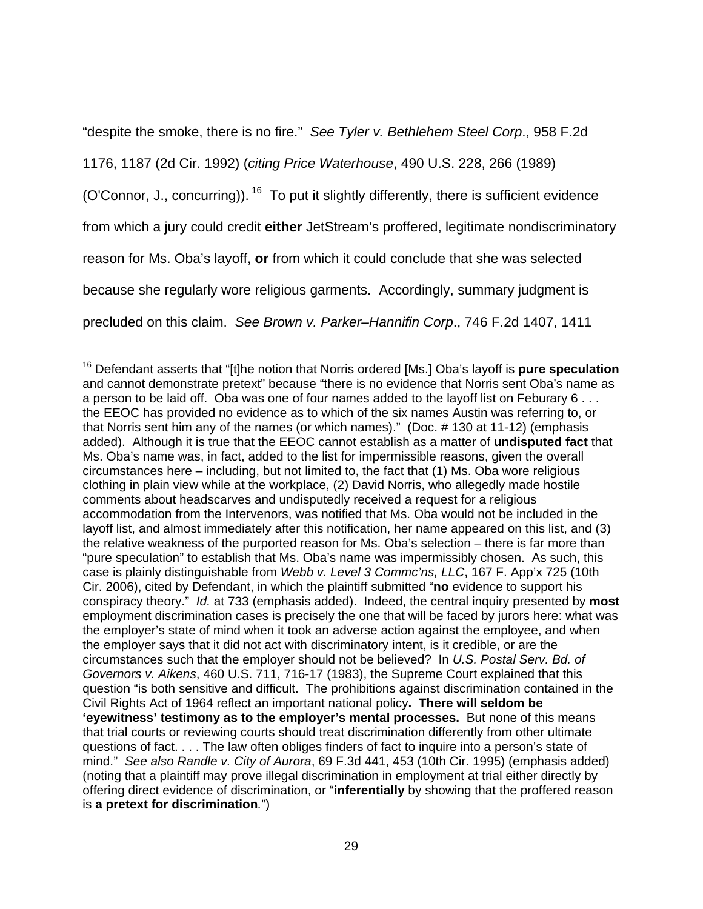"despite the smoke, there is no fire." See Tyler v. Bethlehem Steel Corp., 958 F.2d 1176, 1187 (2d Cir. 1992) (citing Price Waterhouse, 490 U.S. 228, 266 (1989) (O'Connor, J., concurring)).<sup>16</sup> To put it slightly differently, there is sufficient evidence from which a jury could credit **either** JetStream's proffered, legitimate nondiscriminatory reason for Ms. Oba's layoff, **or** from which it could conclude that she was selected because she regularly wore religious garments. Accordingly, summary judgment is precluded on this claim. See Brown v. Parker–Hannifin Corp., 746 F.2d 1407, 1411

 <sup>16</sup> Defendant asserts that "[t]he notion that Norris ordered [Ms.] Oba's layoff is **pure speculation** and cannot demonstrate pretext" because "there is no evidence that Norris sent Oba's name as a person to be laid off. Oba was one of four names added to the layoff list on Feburary 6... the EEOC has provided no evidence as to which of the six names Austin was referring to, or that Norris sent him any of the names (or which names)." (Doc. # 130 at 11-12) (emphasis added). Although it is true that the EEOC cannot establish as a matter of **undisputed fact** that Ms. Oba's name was, in fact, added to the list for impermissible reasons, given the overall circumstances here – including, but not limited to, the fact that (1) Ms. Oba wore religious clothing in plain view while at the workplace, (2) David Norris, who allegedly made hostile comments about headscarves and undisputedly received a request for a religious accommodation from the Intervenors, was notified that Ms. Oba would not be included in the layoff list, and almost immediately after this notification, her name appeared on this list, and (3) the relative weakness of the purported reason for Ms. Oba's selection – there is far more than "pure speculation" to establish that Ms. Oba's name was impermissibly chosen. As such, this case is plainly distinguishable from Webb v. Level 3 Commc'ns, LLC, 167 F. App'x 725 (10th Cir. 2006), cited by Defendant, in which the plaintiff submitted "**no** evidence to support his conspiracy theory." Id. at 733 (emphasis added). Indeed, the central inquiry presented by **most** employment discrimination cases is precisely the one that will be faced by jurors here: what was the employer's state of mind when it took an adverse action against the employee, and when the employer says that it did not act with discriminatory intent, is it credible, or are the circumstances such that the employer should not be believed? In U.S. Postal Serv. Bd. of Governors v. Aikens, 460 U.S. 711, 716-17 (1983), the Supreme Court explained that this question "is both sensitive and difficult. The prohibitions against discrimination contained in the Civil Rights Act of 1964 reflect an important national policy**. There will seldom be 'eyewitness' testimony as to the employer's mental processes.** But none of this means that trial courts or reviewing courts should treat discrimination differently from other ultimate questions of fact. . . . The law often obliges finders of fact to inquire into a person's state of mind." See also Randle v. City of Aurora, 69 F.3d 441, 453 (10th Cir. 1995) (emphasis added) (noting that a plaintiff may prove illegal discrimination in employment at trial either directly by offering direct evidence of discrimination, or "**inferentially** by showing that the proffered reason is **a pretext for discrimination**.")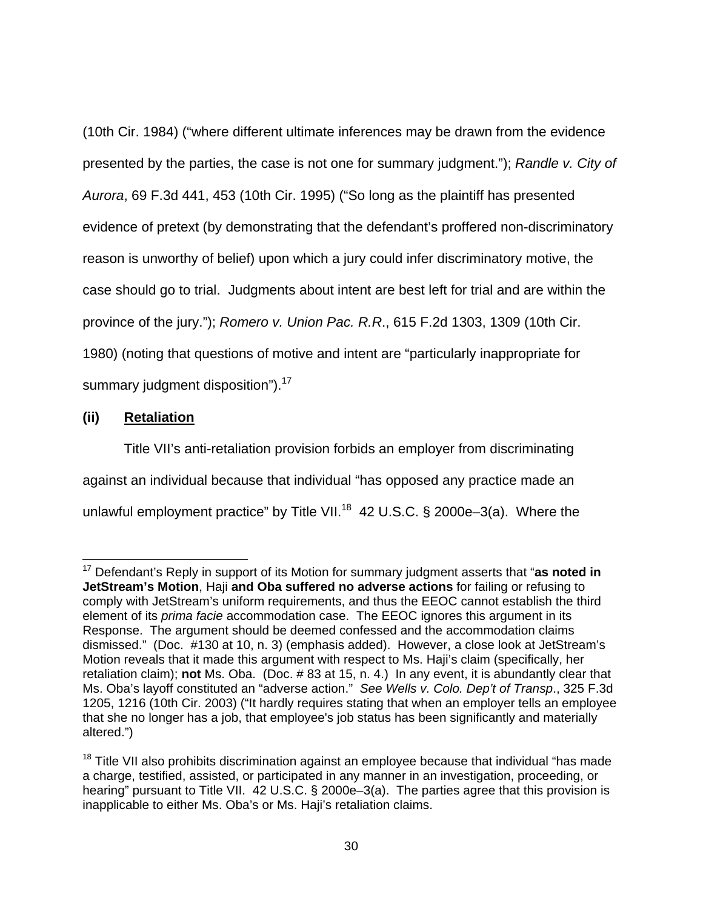(10th Cir. 1984) ("where different ultimate inferences may be drawn from the evidence presented by the parties, the case is not one for summary judgment."); Randle v. City of Aurora, 69 F.3d 441, 453 (10th Cir. 1995) ("So long as the plaintiff has presented evidence of pretext (by demonstrating that the defendant's proffered non-discriminatory reason is unworthy of belief) upon which a jury could infer discriminatory motive, the case should go to trial. Judgments about intent are best left for trial and are within the province of the jury."); Romero v. Union Pac. R.R., 615 F.2d 1303, 1309 (10th Cir. 1980) (noting that questions of motive and intent are "particularly inappropriate for summary judgment disposition").<sup>17</sup>

## **(ii) Retaliation**

 $\overline{a}$ 

 Title VII's anti-retaliation provision forbids an employer from discriminating against an individual because that individual "has opposed any practice made an unlawful employment practice" by Title VII.<sup>18</sup> 42 U.S.C. § 2000e–3(a). Where the

<sup>17</sup> Defendant's Reply in support of its Motion for summary judgment asserts that "**as noted in JetStream's Motion**, Haji **and Oba suffered no adverse actions** for failing or refusing to comply with JetStream's uniform requirements, and thus the EEOC cannot establish the third element of its *prima facie* accommodation case. The EEOC ignores this argument in its Response. The argument should be deemed confessed and the accommodation claims dismissed." (Doc. #130 at 10, n. 3) (emphasis added). However, a close look at JetStream's Motion reveals that it made this argument with respect to Ms. Haji's claim (specifically, her retaliation claim); **not** Ms. Oba. (Doc. # 83 at 15, n. 4.) In any event, it is abundantly clear that Ms. Oba's layoff constituted an "adverse action." See Wells v. Colo. Dep't of Transp., 325 F.3d 1205, 1216 (10th Cir. 2003) ("It hardly requires stating that when an employer tells an employee that she no longer has a job, that employee's job status has been significantly and materially altered.")

 $18$  Title VII also prohibits discrimination against an employee because that individual "has made a charge, testified, assisted, or participated in any manner in an investigation, proceeding, or hearing" pursuant to Title VII. 42 U.S.C. § 2000e–3(a). The parties agree that this provision is inapplicable to either Ms. Oba's or Ms. Haji's retaliation claims.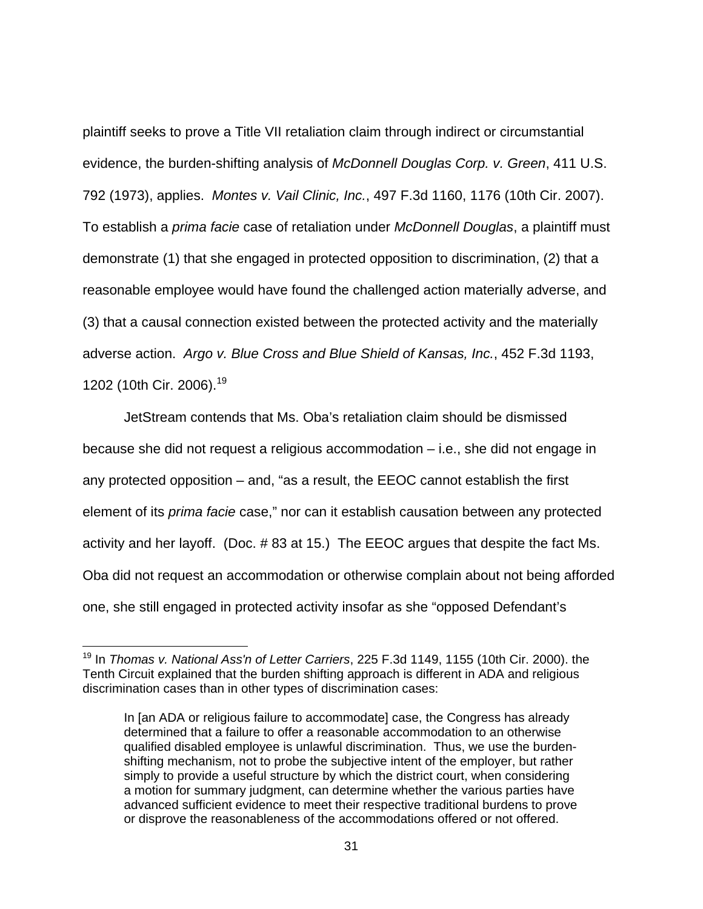plaintiff seeks to prove a Title VII retaliation claim through indirect or circumstantial evidence, the burden-shifting analysis of McDonnell Douglas Corp. v. Green, 411 U.S. 792 (1973), applies. Montes v. Vail Clinic, Inc., 497 F.3d 1160, 1176 (10th Cir. 2007). To establish a *prima facie* case of retaliation under McDonnell Douglas, a plaintiff must demonstrate (1) that she engaged in protected opposition to discrimination, (2) that a reasonable employee would have found the challenged action materially adverse, and (3) that a causal connection existed between the protected activity and the materially adverse action. Argo v. Blue Cross and Blue Shield of Kansas, Inc., 452 F.3d 1193, 1202 (10th Cir. 2006).<sup>19</sup>

JetStream contends that Ms. Oba's retaliation claim should be dismissed because she did not request a religious accommodation – i.e., she did not engage in any protected opposition – and, "as a result, the EEOC cannot establish the first element of its prima facie case," nor can it establish causation between any protected activity and her layoff. (Doc. # 83 at 15.) The EEOC argues that despite the fact Ms. Oba did not request an accommodation or otherwise complain about not being afforded one, she still engaged in protected activity insofar as she "opposed Defendant's

-

 $19$  In Thomas v. National Ass'n of Letter Carriers, 225 F.3d 1149, 1155 (10th Cir. 2000). the Tenth Circuit explained that the burden shifting approach is different in ADA and religious discrimination cases than in other types of discrimination cases:

In [an ADA or religious failure to accommodate] case, the Congress has already determined that a failure to offer a reasonable accommodation to an otherwise qualified disabled employee is unlawful discrimination. Thus, we use the burdenshifting mechanism, not to probe the subjective intent of the employer, but rather simply to provide a useful structure by which the district court, when considering a motion for summary judgment, can determine whether the various parties have advanced sufficient evidence to meet their respective traditional burdens to prove or disprove the reasonableness of the accommodations offered or not offered.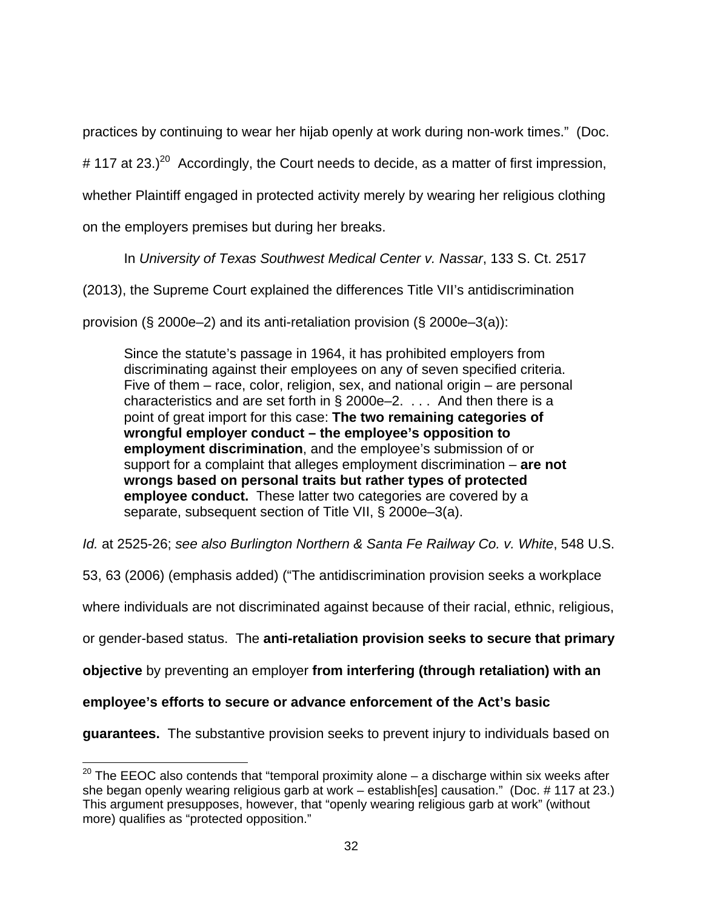practices by continuing to wear her hijab openly at work during non-work times." (Doc.

# 117 at 23.)<sup>20</sup> Accordingly, the Court needs to decide, as a matter of first impression,

whether Plaintiff engaged in protected activity merely by wearing her religious clothing

on the employers premises but during her breaks.

In University of Texas Southwest Medical Center v. Nassar, 133 S. Ct. 2517

(2013), the Supreme Court explained the differences Title VII's antidiscrimination

provision (§ 2000e–2) and its anti-retaliation provision (§ 2000e–3(a)):

Since the statute's passage in 1964, it has prohibited employers from discriminating against their employees on any of seven specified criteria. Five of them – race, color, religion, sex, and national origin – are personal characteristics and are set forth in  $\S 2000e-2$ . ... And then there is a point of great import for this case: **The two remaining categories of wrongful employer conduct – the employee's opposition to employment discrimination**, and the employee's submission of or support for a complaint that alleges employment discrimination – **are not wrongs based on personal traits but rather types of protected employee conduct.** These latter two categories are covered by a separate, subsequent section of Title VII, § 2000e–3(a).

Id. at 2525-26; see also Burlington Northern & Santa Fe Railway Co. v. White, 548 U.S.

53, 63 (2006) (emphasis added) ("The antidiscrimination provision seeks a workplace

where individuals are not discriminated against because of their racial, ethnic, religious,

or gender-based status.The **anti-retaliation provision seeks to secure that primary** 

**objective** by preventing an employer **from interfering (through retaliation) with an** 

**employee's efforts to secure or advance enforcement of the Act's basic** 

 $\overline{a}$ 

**guarantees.** The substantive provision seeks to prevent injury to individuals based on

 $20$  The EEOC also contends that "temporal proximity alone – a discharge within six weeks after she began openly wearing religious garb at work – establish[es] causation." (Doc. #117 at 23.) This argument presupposes, however, that "openly wearing religious garb at work" (without more) qualifies as "protected opposition."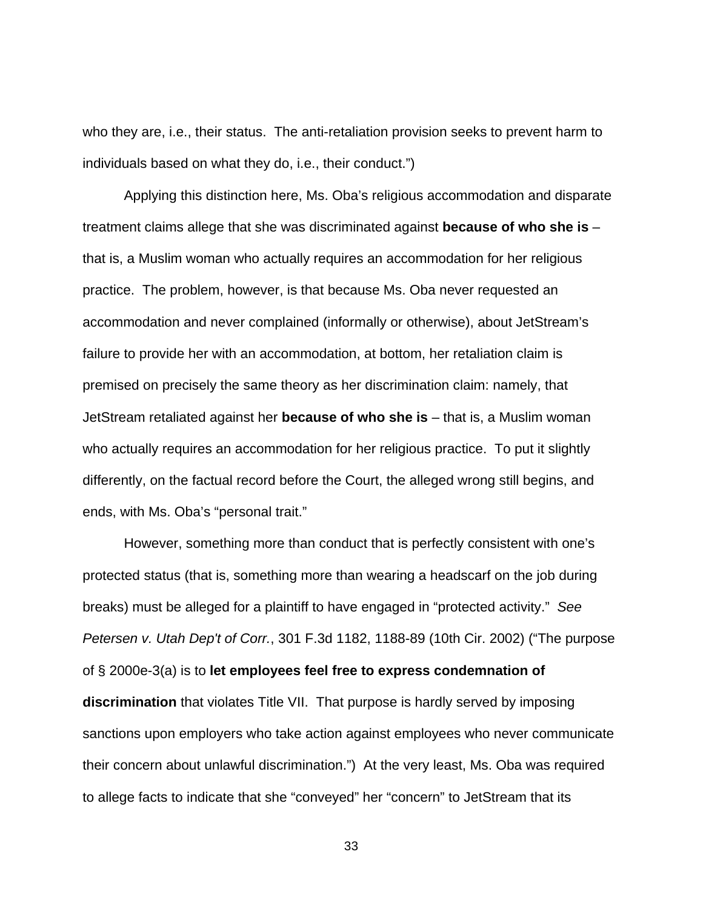who they are, i.e., their status. The anti-retaliation provision seeks to prevent harm to individuals based on what they do, i.e., their conduct.")

 Applying this distinction here, Ms. Oba's religious accommodation and disparate treatment claims allege that she was discriminated against **because of who she is** – that is, a Muslim woman who actually requires an accommodation for her religious practice. The problem, however, is that because Ms. Oba never requested an accommodation and never complained (informally or otherwise), about JetStream's failure to provide her with an accommodation, at bottom, her retaliation claim is premised on precisely the same theory as her discrimination claim: namely, that JetStream retaliated against her **because of who she is** – that is, a Muslim woman who actually requires an accommodation for her religious practice. To put it slightly differently, on the factual record before the Court, the alleged wrong still begins, and ends, with Ms. Oba's "personal trait."

However, something more than conduct that is perfectly consistent with one's protected status (that is, something more than wearing a headscarf on the job during breaks) must be alleged for a plaintiff to have engaged in "protected activity." See Petersen v. Utah Dep't of Corr., 301 F.3d 1182, 1188-89 (10th Cir. 2002) ("The purpose of § 2000e-3(a) is to **let employees feel free to express condemnation of discrimination** that violates Title VII. That purpose is hardly served by imposing sanctions upon employers who take action against employees who never communicate their concern about unlawful discrimination.") At the very least, Ms. Oba was required to allege facts to indicate that she "conveyed" her "concern" to JetStream that its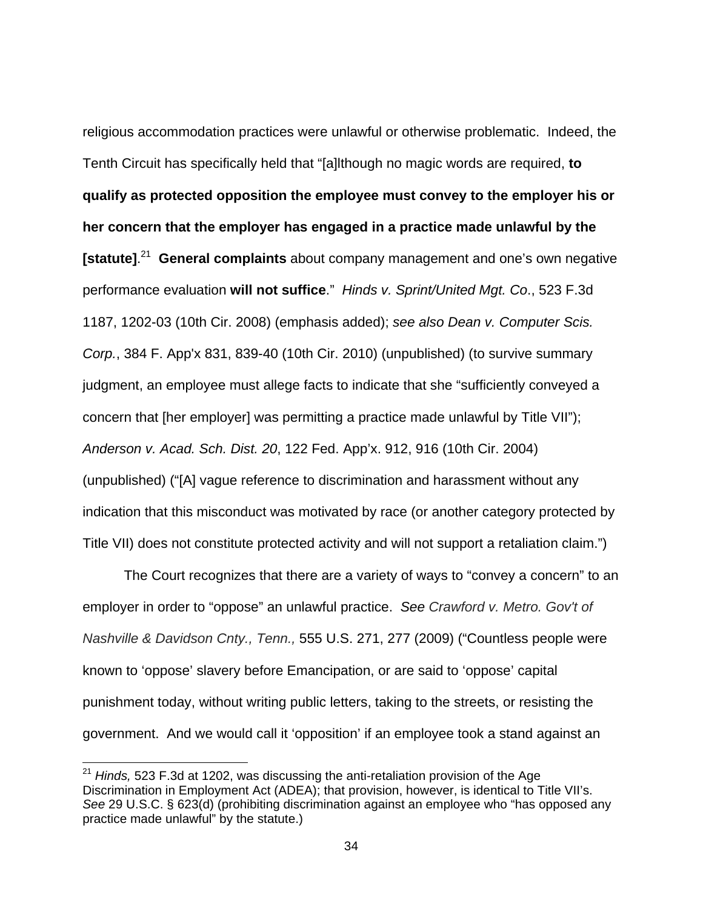religious accommodation practices were unlawful or otherwise problematic. Indeed, the Tenth Circuit has specifically held that "[a]lthough no magic words are required, **to qualify as protected opposition the employee must convey to the employer his or her concern that the employer has engaged in a practice made unlawful by the [statute]**. 21 **General complaints** about company management and one's own negative performance evaluation **will not suffice**." Hinds v. Sprint/United Mgt. Co., 523 F.3d 1187, 1202-03 (10th Cir. 2008) (emphasis added); see also Dean v. Computer Scis. Corp., 384 F. App'x 831, 839-40 (10th Cir. 2010) (unpublished) (to survive summary judgment, an employee must allege facts to indicate that she "sufficiently conveyed a concern that [her employer] was permitting a practice made unlawful by Title VII"); Anderson v. Acad. Sch. Dist. 20, 122 Fed. App'x. 912, 916 (10th Cir. 2004) (unpublished) ("[A] vague reference to discrimination and harassment without any indication that this misconduct was motivated by race (or another category protected by Title VII) does not constitute protected activity and will not support a retaliation claim.")

The Court recognizes that there are a variety of ways to "convey a concern" to an employer in order to "oppose" an unlawful practice. See Crawford v. Metro. Gov't of Nashville & Davidson Cnty., Tenn., 555 U.S. 271, 277 (2009) ("Countless people were known to 'oppose' slavery before Emancipation, or are said to 'oppose' capital punishment today, without writing public letters, taking to the streets, or resisting the government. And we would call it 'opposition' if an employee took a stand against an

 $\overline{a}$ 

 $21$  Hinds, 523 F.3d at 1202, was discussing the anti-retaliation provision of the Age Discrimination in Employment Act (ADEA); that provision, however, is identical to Title VII's. See 29 U.S.C. § 623(d) (prohibiting discrimination against an employee who "has opposed any practice made unlawful" by the statute.)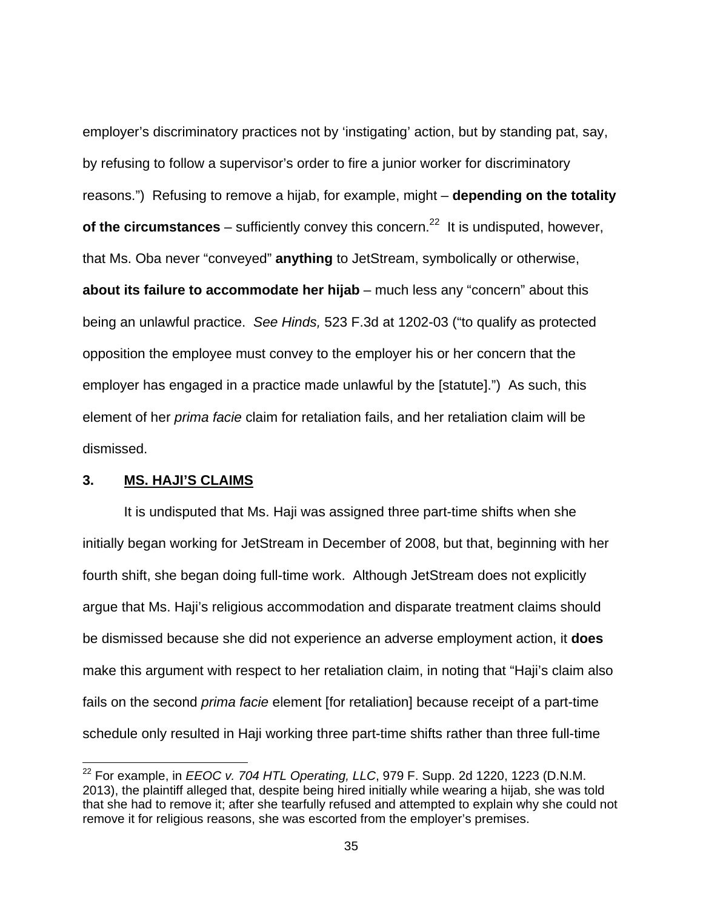employer's discriminatory practices not by 'instigating' action, but by standing pat, say, by refusing to follow a supervisor's order to fire a junior worker for discriminatory reasons.") Refusing to remove a hijab, for example, might – **depending on the totality of the circumstances** – sufficiently convey this concern.<sup>22</sup> It is undisputed, however, that Ms. Oba never "conveyed" **anything** to JetStream, symbolically or otherwise, **about its failure to accommodate her hijab** – much less any "concern" about this being an unlawful practice. See Hinds, 523 F.3d at 1202-03 ("to qualify as protected opposition the employee must convey to the employer his or her concern that the employer has engaged in a practice made unlawful by the [statute].") As such, this element of her prima facie claim for retaliation fails, and her retaliation claim will be dismissed.

### **3. MS. HAJI'S CLAIMS**

 $\overline{a}$ 

 It is undisputed that Ms. Haji was assigned three part-time shifts when she initially began working for JetStream in December of 2008, but that, beginning with her fourth shift, she began doing full-time work. Although JetStream does not explicitly argue that Ms. Haji's religious accommodation and disparate treatment claims should be dismissed because she did not experience an adverse employment action, it **does**  make this argument with respect to her retaliation claim, in noting that "Haji's claim also fails on the second *prima facie* element [for retaliation] because receipt of a part-time schedule only resulted in Haji working three part-time shifts rather than three full-time

 $^{22}$  For example, in *EEOC v. 704 HTL Operating, LLC*, 979 F. Supp. 2d 1220, 1223 (D.N.M.) 2013), the plaintiff alleged that, despite being hired initially while wearing a hijab, she was told that she had to remove it; after she tearfully refused and attempted to explain why she could not remove it for religious reasons, she was escorted from the employer's premises.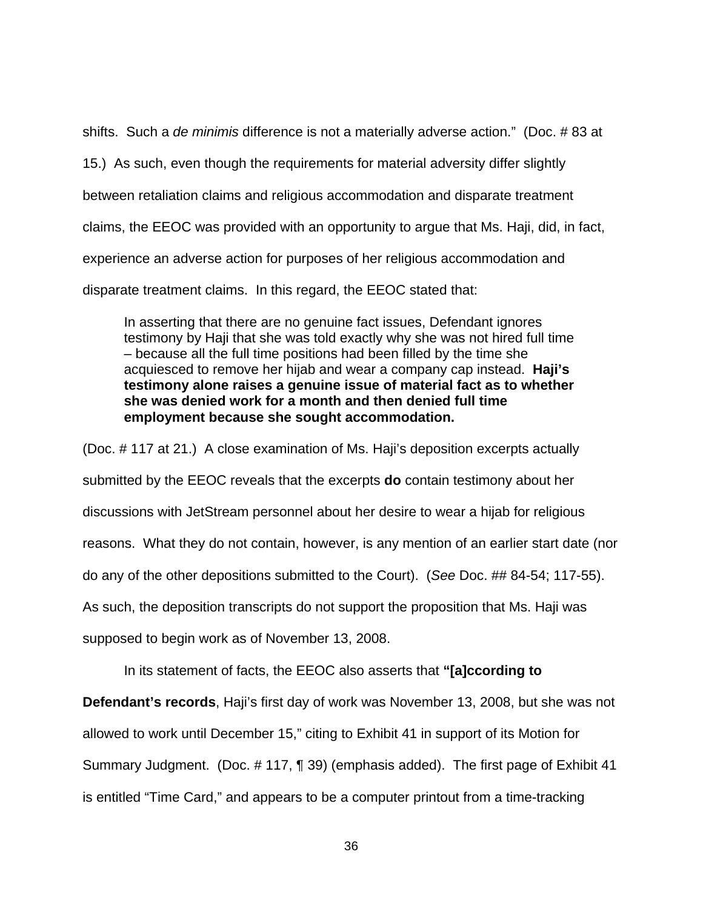shifts. Such a de minimis difference is not a materially adverse action." (Doc. # 83 at 15.) As such, even though the requirements for material adversity differ slightly between retaliation claims and religious accommodation and disparate treatment claims, the EEOC was provided with an opportunity to argue that Ms. Haji, did, in fact, experience an adverse action for purposes of her religious accommodation and disparate treatment claims. In this regard, the EEOC stated that:

In asserting that there are no genuine fact issues, Defendant ignores testimony by Haji that she was told exactly why she was not hired full time – because all the full time positions had been filled by the time she acquiesced to remove her hijab and wear a company cap instead. **Haji's testimony alone raises a genuine issue of material fact as to whether she was denied work for a month and then denied full time employment because she sought accommodation.** 

(Doc. # 117 at 21.) A close examination of Ms. Haji's deposition excerpts actually submitted by the EEOC reveals that the excerpts **do** contain testimony about her discussions with JetStream personnel about her desire to wear a hijab for religious reasons. What they do not contain, however, is any mention of an earlier start date (nor do any of the other depositions submitted to the Court). (See Doc. ## 84-54; 117-55). As such, the deposition transcripts do not support the proposition that Ms. Haji was supposed to begin work as of November 13, 2008.

In its statement of facts, the EEOC also asserts that **"[a]ccording to** 

**Defendant's records**, Haji's first day of work was November 13, 2008, but she was not

allowed to work until December 15," citing to Exhibit 41 in support of its Motion for

Summary Judgment. (Doc. # 117, ¶ 39) (emphasis added). The first page of Exhibit 41

is entitled "Time Card," and appears to be a computer printout from a time-tracking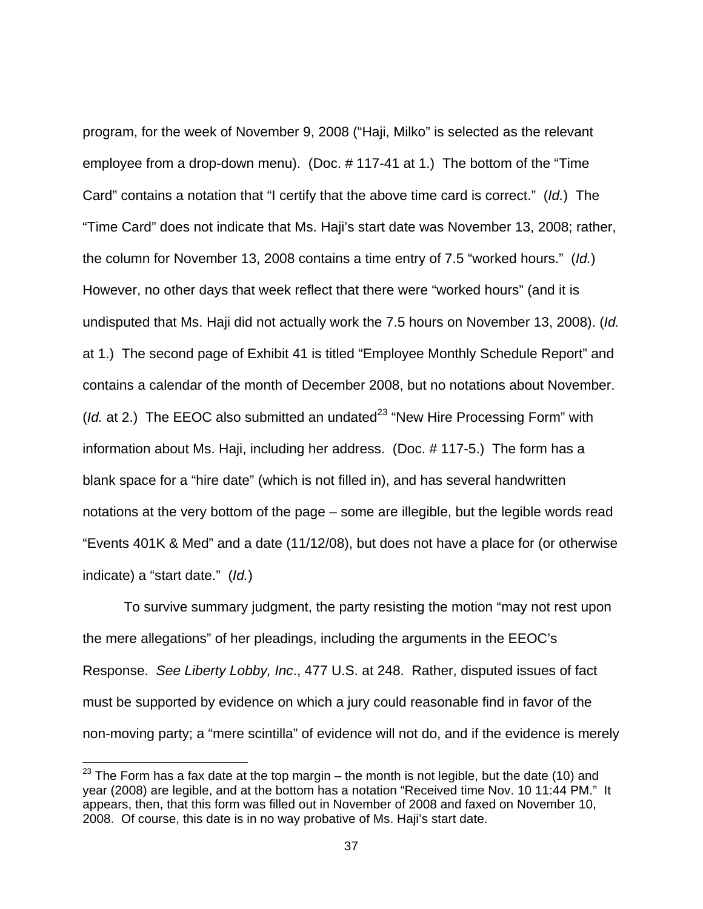program, for the week of November 9, 2008 ("Haji, Milko" is selected as the relevant employee from a drop-down menu). (Doc. # 117-41 at 1.) The bottom of the "Time Card" contains a notation that "I certify that the above time card is correct." (Id.) The "Time Card" does not indicate that Ms. Haji's start date was November 13, 2008; rather, the column for November 13, 2008 contains a time entry of 7.5 "worked hours." (Id.) However, no other days that week reflect that there were "worked hours" (and it is undisputed that Ms. Haji did not actually work the 7.5 hours on November 13, 2008). (Id. at 1.) The second page of Exhibit 41 is titled "Employee Monthly Schedule Report" and contains a calendar of the month of December 2008, but no notations about November. (*Id.* at 2.) The EEOC also submitted an undated<sup>23</sup> "New Hire Processing Form" with information about Ms. Haji, including her address. (Doc. # 117-5.) The form has a blank space for a "hire date" (which is not filled in), and has several handwritten notations at the very bottom of the page – some are illegible, but the legible words read "Events 401K & Med" and a date (11/12/08), but does not have a place for (or otherwise indicate) a "start date." (Id.)

To survive summary judgment, the party resisting the motion "may not rest upon the mere allegations" of her pleadings, including the arguments in the EEOC's Response. See Liberty Lobby, Inc., 477 U.S. at 248. Rather, disputed issues of fact must be supported by evidence on which a jury could reasonable find in favor of the non-moving party; a "mere scintilla" of evidence will not do, and if the evidence is merely

-

 $23$  The Form has a fax date at the top margin – the month is not legible, but the date (10) and year (2008) are legible, and at the bottom has a notation "Received time Nov. 10 11:44 PM." It appears, then, that this form was filled out in November of 2008 and faxed on November 10, 2008. Of course, this date is in no way probative of Ms. Haji's start date.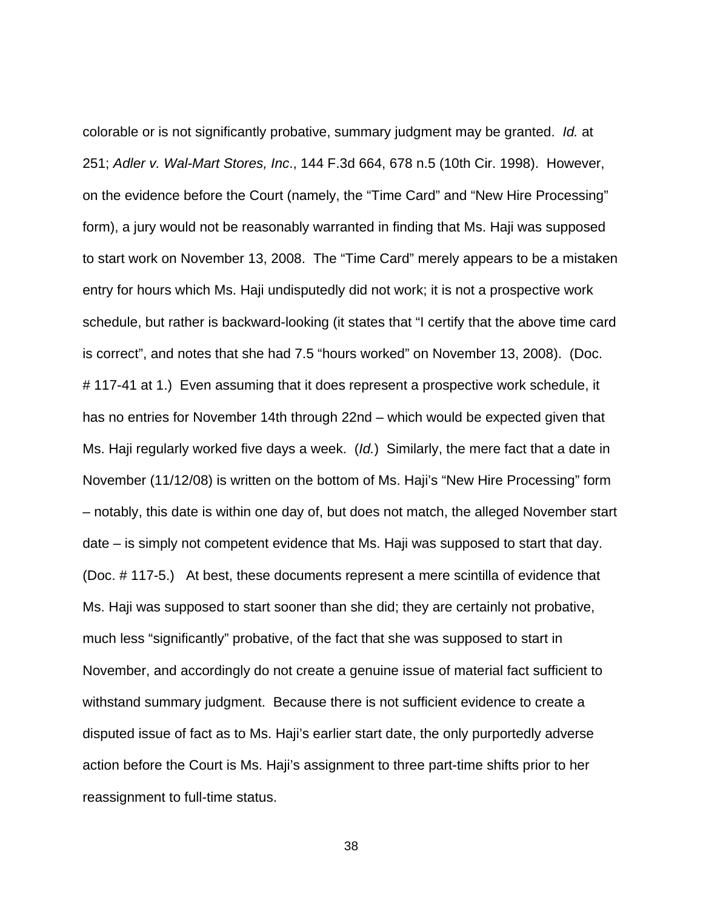colorable or is not significantly probative, summary judgment may be granted. Id. at 251; Adler v. Wal-Mart Stores, Inc., 144 F.3d 664, 678 n.5 (10th Cir. 1998). However, on the evidence before the Court (namely, the "Time Card" and "New Hire Processing" form), a jury would not be reasonably warranted in finding that Ms. Haji was supposed to start work on November 13, 2008. The "Time Card" merely appears to be a mistaken entry for hours which Ms. Haji undisputedly did not work; it is not a prospective work schedule, but rather is backward-looking (it states that "I certify that the above time card is correct", and notes that she had 7.5 "hours worked" on November 13, 2008). (Doc. # 117-41 at 1.) Even assuming that it does represent a prospective work schedule, it has no entries for November 14th through 22nd – which would be expected given that Ms. Haji regularly worked five days a week. (Id.) Similarly, the mere fact that a date in November (11/12/08) is written on the bottom of Ms. Haji's "New Hire Processing" form – notably, this date is within one day of, but does not match, the alleged November start date – is simply not competent evidence that Ms. Haji was supposed to start that day. (Doc. # 117-5.) At best, these documents represent a mere scintilla of evidence that Ms. Haji was supposed to start sooner than she did; they are certainly not probative, much less "significantly" probative, of the fact that she was supposed to start in November, and accordingly do not create a genuine issue of material fact sufficient to withstand summary judgment. Because there is not sufficient evidence to create a disputed issue of fact as to Ms. Haji's earlier start date, the only purportedly adverse action before the Court is Ms. Haji's assignment to three part-time shifts prior to her reassignment to full-time status.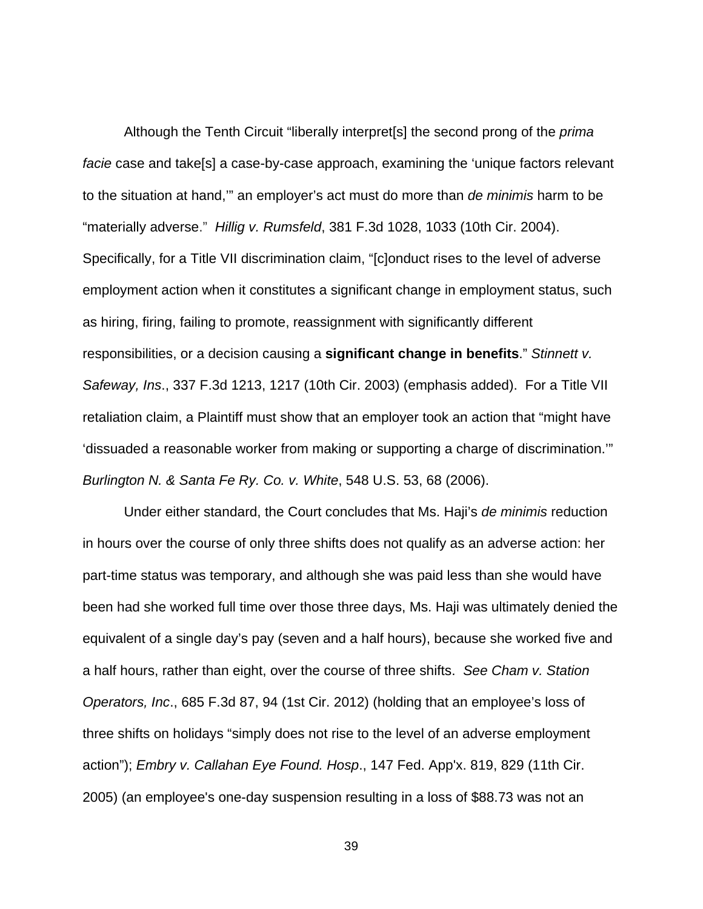Although the Tenth Circuit "liberally interpret<sup>[s]</sup> the second prong of the *prima* facie case and take[s] a case-by-case approach, examining the 'unique factors relevant to the situation at hand,'" an employer's act must do more than de minimis harm to be "materially adverse." Hillig v. Rumsfeld, 381 F.3d 1028, 1033 (10th Cir. 2004). Specifically, for a Title VII discrimination claim, "[c]onduct rises to the level of adverse employment action when it constitutes a significant change in employment status, such as hiring, firing, failing to promote, reassignment with significantly different responsibilities, or a decision causing a **significant change in benefits**." Stinnett v. Safeway, Ins., 337 F.3d 1213, 1217 (10th Cir. 2003) (emphasis added). For a Title VII retaliation claim, a Plaintiff must show that an employer took an action that "might have 'dissuaded a reasonable worker from making or supporting a charge of discrimination.'" Burlington N. & Santa Fe Ry. Co. v. White, 548 U.S. 53, 68 (2006).

Under either standard, the Court concludes that Ms. Haji's de minimis reduction in hours over the course of only three shifts does not qualify as an adverse action: her part-time status was temporary, and although she was paid less than she would have been had she worked full time over those three days, Ms. Haji was ultimately denied the equivalent of a single day's pay (seven and a half hours), because she worked five and a half hours, rather than eight, over the course of three shifts. See Cham v. Station Operators, Inc., 685 F.3d 87, 94 (1st Cir. 2012) (holding that an employee's loss of three shifts on holidays "simply does not rise to the level of an adverse employment action"); Embry v. Callahan Eye Found. Hosp., 147 Fed. App'x. 819, 829 (11th Cir. 2005) (an employee's one-day suspension resulting in a loss of \$88.73 was not an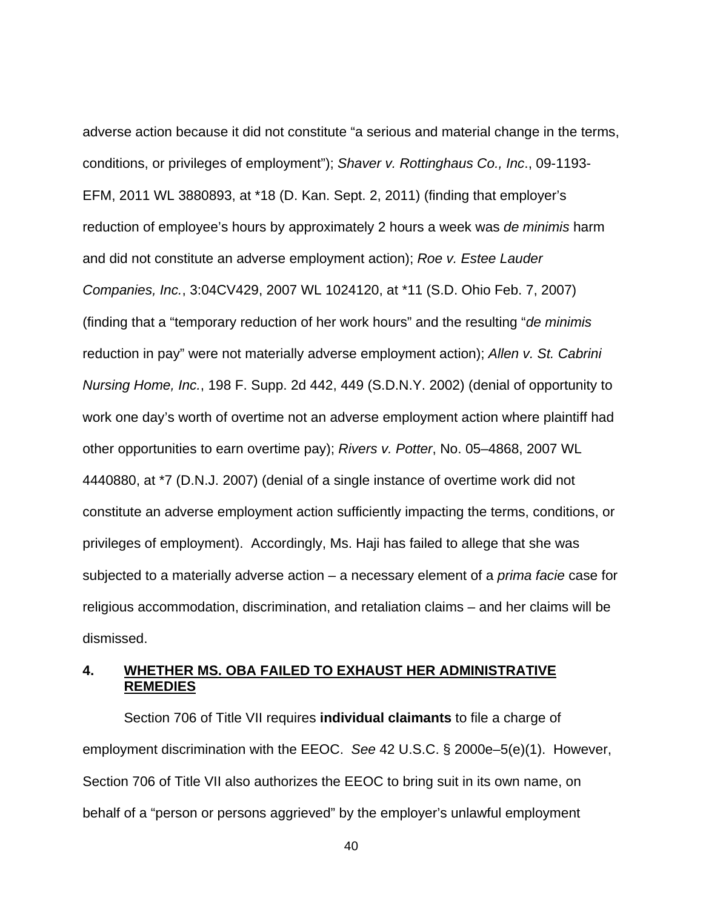adverse action because it did not constitute "a serious and material change in the terms, conditions, or privileges of employment"); Shaver v. Rottinghaus Co., Inc., 09-1193- EFM, 2011 WL 3880893, at \*18 (D. Kan. Sept. 2, 2011) (finding that employer's reduction of employee's hours by approximately 2 hours a week was de minimis harm and did not constitute an adverse employment action); Roe v. Estee Lauder Companies, Inc., 3:04CV429, 2007 WL 1024120, at \*11 (S.D. Ohio Feb. 7, 2007) (finding that a "temporary reduction of her work hours" and the resulting "de minimis reduction in pay" were not materially adverse employment action); Allen v. St. Cabrini Nursing Home, Inc., 198 F. Supp. 2d 442, 449 (S.D.N.Y. 2002) (denial of opportunity to work one day's worth of overtime not an adverse employment action where plaintiff had other opportunities to earn overtime pay); Rivers v. Potter, No. 05–4868, 2007 WL 4440880, at \*7 (D.N.J. 2007) (denial of a single instance of overtime work did not constitute an adverse employment action sufficiently impacting the terms, conditions, or privileges of employment). Accordingly, Ms. Haji has failed to allege that she was subjected to a materially adverse action – a necessary element of a *prima facie* case for religious accommodation, discrimination, and retaliation claims – and her claims will be dismissed.

# **4. WHETHER MS. OBA FAILED TO EXHAUST HER ADMINISTRATIVE REMEDIES**

Section 706 of Title VII requires **individual claimants** to file a charge of employment discrimination with the EEOC. See 42 U.S.C. § 2000e–5(e)(1). However, Section 706 of Title VII also authorizes the EEOC to bring suit in its own name, on behalf of a "person or persons aggrieved" by the employer's unlawful employment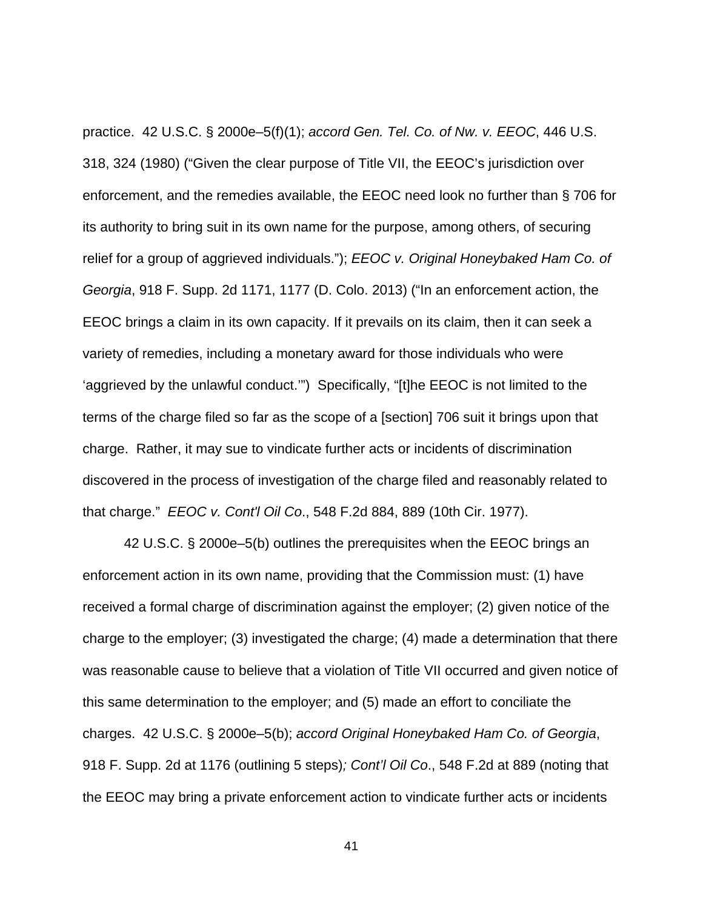practice. 42 U.S.C. § 2000e–5(f)(1); accord Gen. Tel. Co. of Nw. v. EEOC, 446 U.S. 318, 324 (1980) ("Given the clear purpose of Title VII, the EEOC's jurisdiction over enforcement, and the remedies available, the EEOC need look no further than § 706 for its authority to bring suit in its own name for the purpose, among others, of securing relief for a group of aggrieved individuals."); *EEOC v. Original Honeybaked Ham Co. of* Georgia, 918 F. Supp. 2d 1171, 1177 (D. Colo. 2013) ("In an enforcement action, the EEOC brings a claim in its own capacity. If it prevails on its claim, then it can seek a variety of remedies, including a monetary award for those individuals who were 'aggrieved by the unlawful conduct.'") Specifically, "[t]he EEOC is not limited to the terms of the charge filed so far as the scope of a [section] 706 suit it brings upon that charge. Rather, it may sue to vindicate further acts or incidents of discrimination discovered in the process of investigation of the charge filed and reasonably related to that charge." EEOC v. Cont'l Oil Co., 548 F.2d 884, 889 (10th Cir. 1977).

42 U.S.C. § 2000e–5(b) outlines the prerequisites when the EEOC brings an enforcement action in its own name, providing that the Commission must: (1) have received a formal charge of discrimination against the employer; (2) given notice of the charge to the employer; (3) investigated the charge; (4) made a determination that there was reasonable cause to believe that a violation of Title VII occurred and given notice of this same determination to the employer; and (5) made an effort to conciliate the charges. 42 U.S.C. § 2000e–5(b); accord Original Honeybaked Ham Co. of Georgia, 918 F. Supp. 2d at 1176 (outlining 5 steps); Cont'l Oil Co., 548 F.2d at 889 (noting that the EEOC may bring a private enforcement action to vindicate further acts or incidents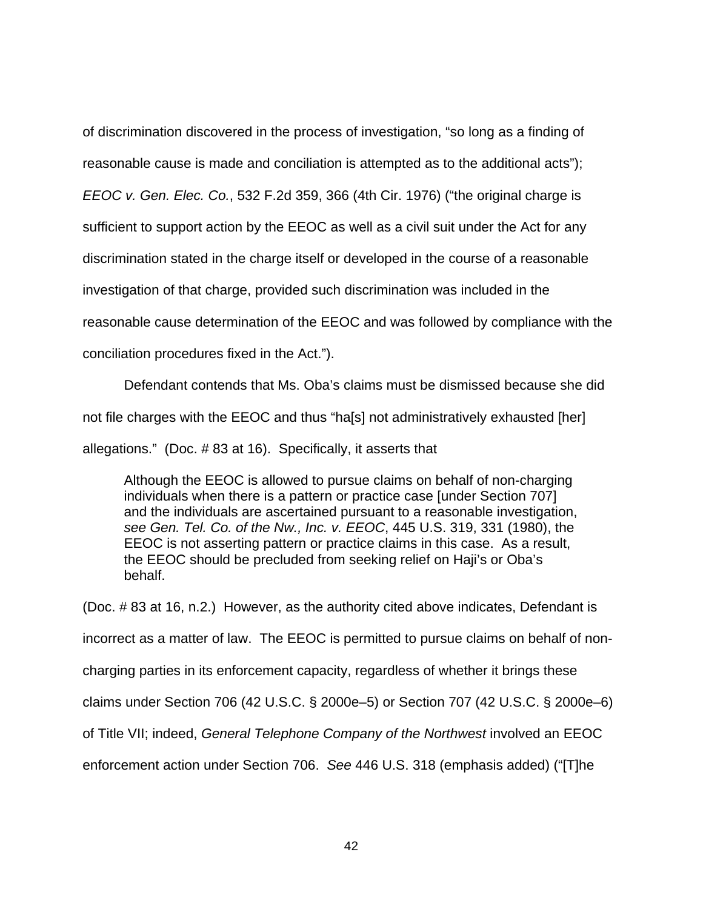of discrimination discovered in the process of investigation, "so long as a finding of reasonable cause is made and conciliation is attempted as to the additional acts"); EEOC v. Gen. Elec. Co., 532 F.2d 359, 366 (4th Cir. 1976) ("the original charge is sufficient to support action by the EEOC as well as a civil suit under the Act for any discrimination stated in the charge itself or developed in the course of a reasonable investigation of that charge, provided such discrimination was included in the reasonable cause determination of the EEOC and was followed by compliance with the conciliation procedures fixed in the Act.").

Defendant contends that Ms. Oba's claims must be dismissed because she did not file charges with the EEOC and thus "ha[s] not administratively exhausted [her] allegations." (Doc. # 83 at 16). Specifically, it asserts that

Although the EEOC is allowed to pursue claims on behalf of non-charging individuals when there is a pattern or practice case [under Section 707] and the individuals are ascertained pursuant to a reasonable investigation, see Gen. Tel. Co. of the Nw., Inc. v. EEOC, 445 U.S. 319, 331 (1980), the EEOC is not asserting pattern or practice claims in this case. As a result, the EEOC should be precluded from seeking relief on Haji's or Oba's behalf.

(Doc. # 83 at 16, n.2.) However, as the authority cited above indicates, Defendant is incorrect as a matter of law. The EEOC is permitted to pursue claims on behalf of noncharging parties in its enforcement capacity, regardless of whether it brings these claims under Section 706 (42 U.S.C. § 2000e–5) or Section 707 (42 U.S.C. § 2000e–6) of Title VII; indeed, General Telephone Company of the Northwest involved an EEOC enforcement action under Section 706. See 446 U.S. 318 (emphasis added) ("[T]he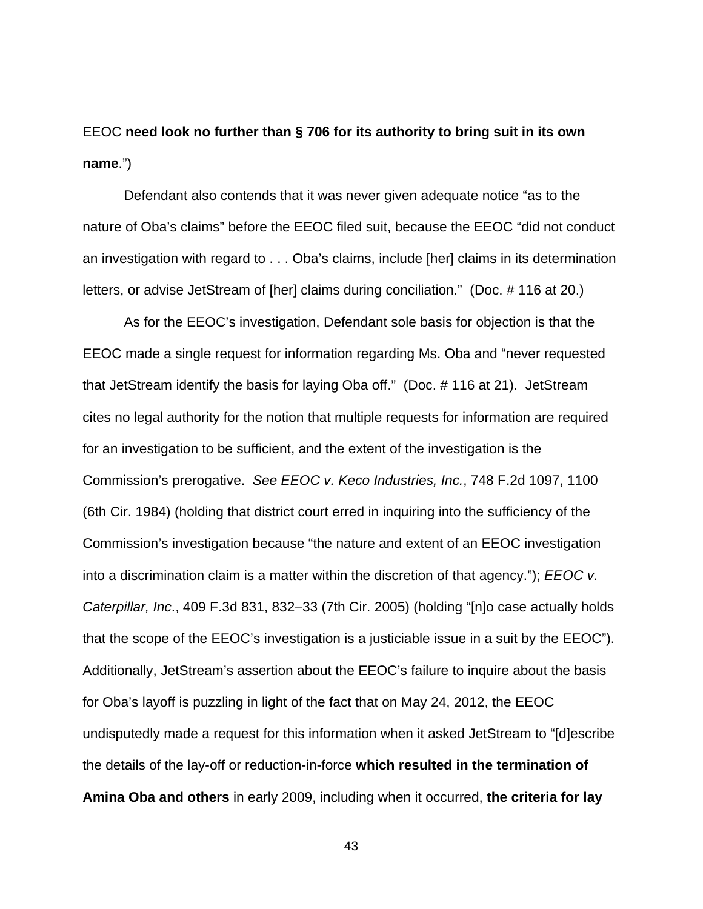EEOC **need look no further than § 706 for its authority to bring suit in its own name**.")

Defendant also contends that it was never given adequate notice "as to the nature of Oba's claims" before the EEOC filed suit, because the EEOC "did not conduct an investigation with regard to . . . Oba's claims, include [her] claims in its determination letters, or advise JetStream of [her] claims during conciliation." (Doc. # 116 at 20.)

As for the EEOC's investigation, Defendant sole basis for objection is that the EEOC made a single request for information regarding Ms. Oba and "never requested that JetStream identify the basis for laying Oba off." (Doc. # 116 at 21). JetStream cites no legal authority for the notion that multiple requests for information are required for an investigation to be sufficient, and the extent of the investigation is the Commission's prerogative. See EEOC v. Keco Industries, Inc., 748 F.2d 1097, 1100 (6th Cir. 1984) (holding that district court erred in inquiring into the sufficiency of the Commission's investigation because "the nature and extent of an EEOC investigation into a discrimination claim is a matter within the discretion of that agency.");  $EEOC$  v. Caterpillar, Inc., 409 F.3d 831, 832–33 (7th Cir. 2005) (holding "[n]o case actually holds that the scope of the EEOC's investigation is a justiciable issue in a suit by the EEOC"). Additionally, JetStream's assertion about the EEOC's failure to inquire about the basis for Oba's layoff is puzzling in light of the fact that on May 24, 2012, the EEOC undisputedly made a request for this information when it asked JetStream to "[d]escribe the details of the lay-off or reduction-in-force **which resulted in the termination of Amina Oba and others** in early 2009, including when it occurred, **the criteria for lay**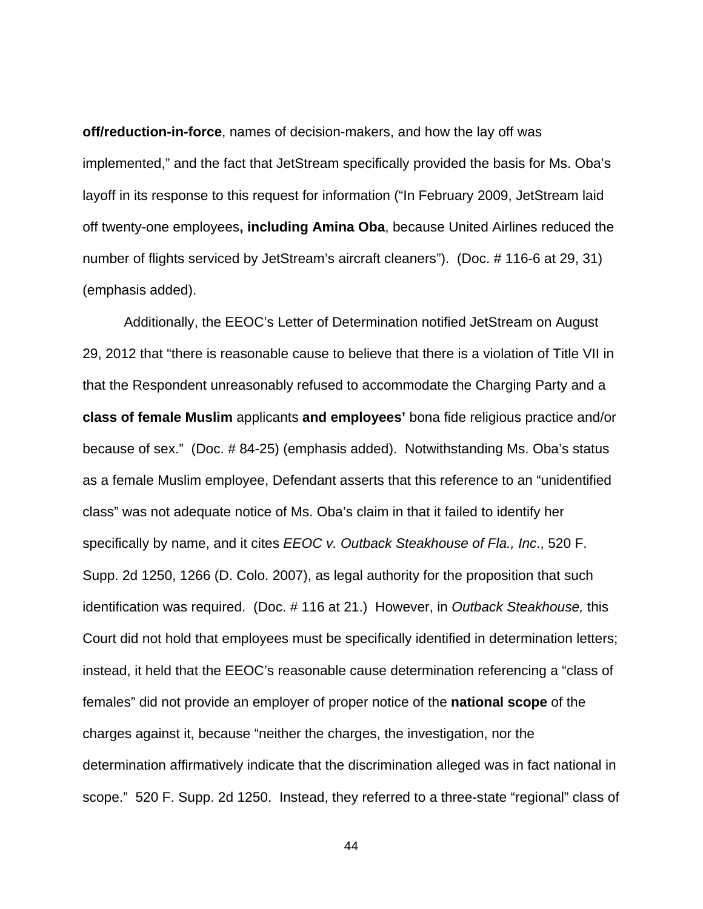**off/reduction-in-force**, names of decision-makers, and how the lay off was implemented," and the fact that JetStream specifically provided the basis for Ms. Oba's layoff in its response to this request for information ("In February 2009, JetStream laid off twenty-one employees**, including Amina Oba**, because United Airlines reduced the number of flights serviced by JetStream's aircraft cleaners"). (Doc. # 116-6 at 29, 31) (emphasis added).

Additionally, the EEOC's Letter of Determination notified JetStream on August 29, 2012 that "there is reasonable cause to believe that there is a violation of Title VII in that the Respondent unreasonably refused to accommodate the Charging Party and a **class of female Muslim** applicants **and employees'** bona fide religious practice and/or because of sex." (Doc. # 84-25) (emphasis added). Notwithstanding Ms. Oba's status as a female Muslim employee, Defendant asserts that this reference to an "unidentified class" was not adequate notice of Ms. Oba's claim in that it failed to identify her specifically by name, and it cites EEOC v. Outback Steakhouse of Fla., Inc., 520 F. Supp. 2d 1250, 1266 (D. Colo. 2007), as legal authority for the proposition that such identification was required. (Doc. #116 at 21.) However, in Outback Steakhouse, this Court did not hold that employees must be specifically identified in determination letters; instead, it held that the EEOC's reasonable cause determination referencing a "class of females" did not provide an employer of proper notice of the **national scope** of the charges against it, because "neither the charges, the investigation, nor the determination affirmatively indicate that the discrimination alleged was in fact national in scope." 520 F. Supp. 2d 1250. Instead, they referred to a three-state "regional" class of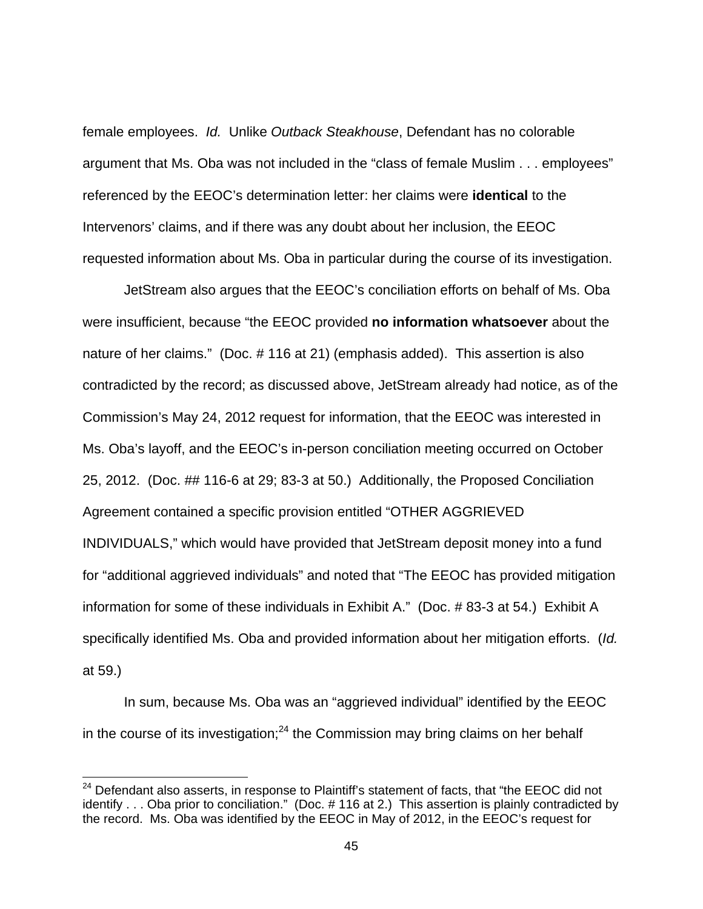female employees. Id. Unlike Outback Steakhouse, Defendant has no colorable argument that Ms. Oba was not included in the "class of female Muslim . . . employees" referenced by the EEOC's determination letter: her claims were **identical** to the Intervenors' claims, and if there was any doubt about her inclusion, the EEOC requested information about Ms. Oba in particular during the course of its investigation.

JetStream also argues that the EEOC's conciliation efforts on behalf of Ms. Oba were insufficient, because "the EEOC provided **no information whatsoever** about the nature of her claims." (Doc. # 116 at 21) (emphasis added). This assertion is also contradicted by the record; as discussed above, JetStream already had notice, as of the Commission's May 24, 2012 request for information, that the EEOC was interested in Ms. Oba's layoff, and the EEOC's in-person conciliation meeting occurred on October 25, 2012. (Doc. ## 116-6 at 29; 83-3 at 50.) Additionally, the Proposed Conciliation Agreement contained a specific provision entitled "OTHER AGGRIEVED INDIVIDUALS," which would have provided that JetStream deposit money into a fund for "additional aggrieved individuals" and noted that "The EEOC has provided mitigation information for some of these individuals in Exhibit A." (Doc. # 83-3 at 54.) Exhibit A specifically identified Ms. Oba and provided information about her mitigation efforts. (Id. at 59.)

In sum, because Ms. Oba was an "aggrieved individual" identified by the EEOC in the course of its investigation; $^{24}$  the Commission may bring claims on her behalf

 $\overline{a}$ 

<sup>&</sup>lt;sup>24</sup> Defendant also asserts, in response to Plaintiff's statement of facts, that "the EEOC did not identify . . . Oba prior to conciliation." (Doc. # 116 at 2.) This assertion is plainly contradicted by the record. Ms. Oba was identified by the EEOC in May of 2012, in the EEOC's request for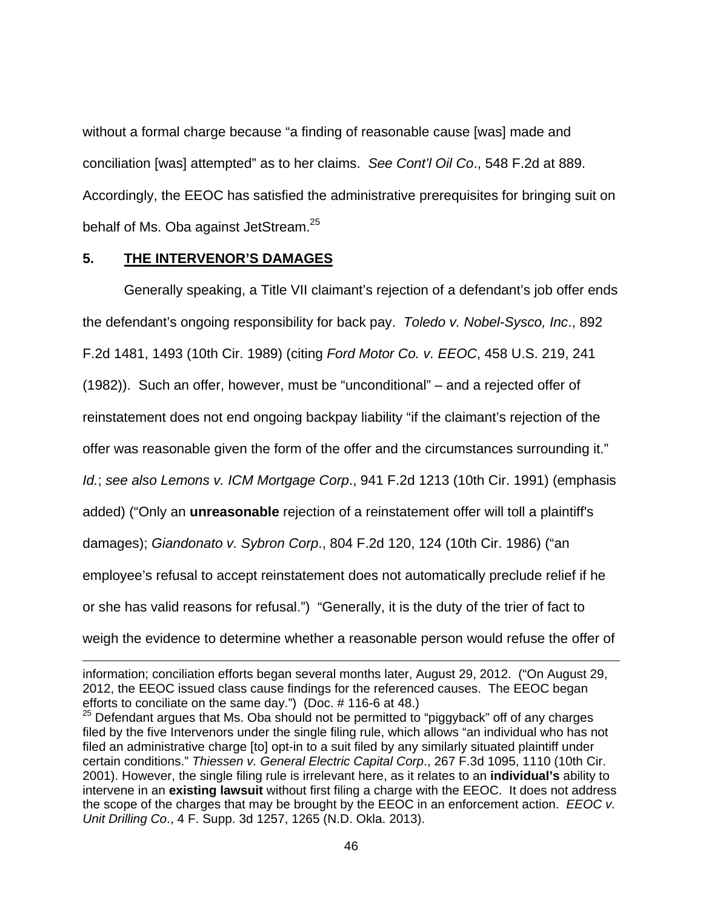without a formal charge because "a finding of reasonable cause [was] made and conciliation [was] attempted" as to her claims. See Cont'l Oil Co., 548 F.2d at 889. Accordingly, the EEOC has satisfied the administrative prerequisites for bringing suit on behalf of Ms. Oba against JetStream.<sup>25</sup>

### **5. THE INTERVENOR'S DAMAGES**

 $\overline{a}$ 

Generally speaking, a Title VII claimant's rejection of a defendant's job offer ends the defendant's ongoing responsibility for back pay. Toledo v. Nobel-Sysco, Inc., 892 F.2d 1481, 1493 (10th Cir. 1989) (citing Ford Motor Co. v. EEOC, 458 U.S. 219, 241 (1982)). Such an offer, however, must be "unconditional" – and a rejected offer of reinstatement does not end ongoing backpay liability "if the claimant's rejection of the offer was reasonable given the form of the offer and the circumstances surrounding it." Id.; see also Lemons v. ICM Mortgage Corp., 941 F.2d 1213 (10th Cir. 1991) (emphasis added) ("Only an **unreasonable** rejection of a reinstatement offer will toll a plaintiff's damages); Giandonato v. Sybron Corp., 804 F.2d 120, 124 (10th Cir. 1986) ("an employee's refusal to accept reinstatement does not automatically preclude relief if he or she has valid reasons for refusal.") "Generally, it is the duty of the trier of fact to weigh the evidence to determine whether a reasonable person would refuse the offer of

information; conciliation efforts began several months later, August 29, 2012. ("On August 29, 2012, the EEOC issued class cause findings for the referenced causes. The EEOC began efforts to conciliate on the same day.") (Doc. # 116-6 at 48.)

 $25$  Defendant argues that Ms. Oba should not be permitted to "piggyback" off of any charges filed by the five Intervenors under the single filing rule, which allows "an individual who has not filed an administrative charge [to] opt-in to a suit filed by any similarly situated plaintiff under certain conditions." Thiessen v. General Electric Capital Corp., 267 F.3d 1095, 1110 (10th Cir. 2001). However, the single filing rule is irrelevant here, as it relates to an **individual's** ability to intervene in an **existing lawsuit** without first filing a charge with the EEOC. It does not address the scope of the charges that may be brought by the EEOC in an enforcement action. EEOC v. Unit Drilling Co., 4 F. Supp. 3d 1257, 1265 (N.D. Okla. 2013).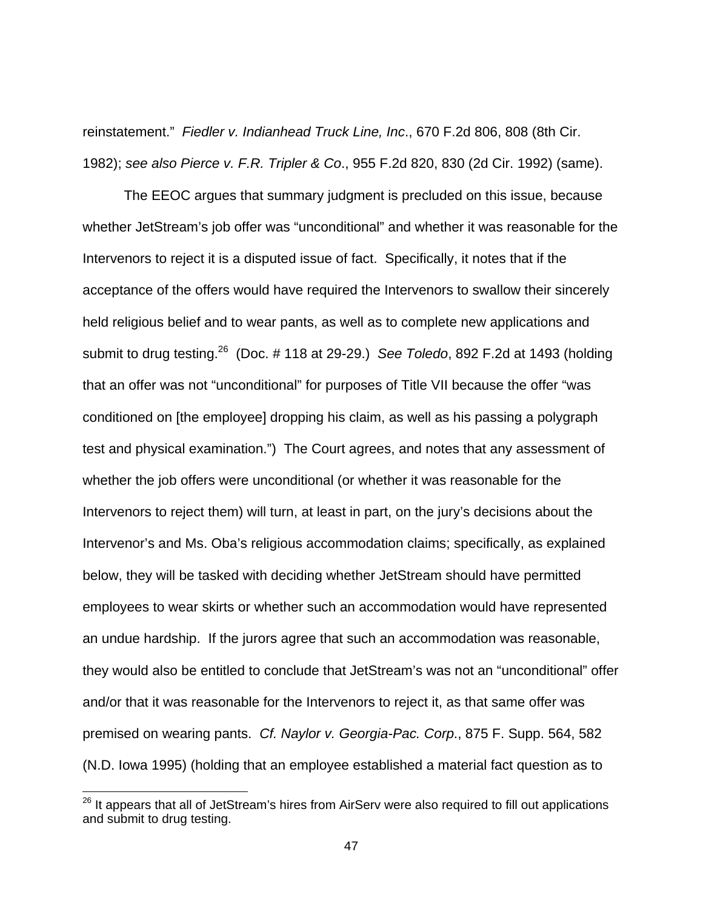reinstatement." Fiedler v. Indianhead Truck Line, Inc., 670 F.2d 806, 808 (8th Cir. 1982); see also Pierce v. F.R. Tripler & Co., 955 F.2d 820, 830 (2d Cir. 1992) (same).

The EEOC argues that summary judgment is precluded on this issue, because whether JetStream's job offer was "unconditional" and whether it was reasonable for the Intervenors to reject it is a disputed issue of fact. Specifically, it notes that if the acceptance of the offers would have required the Intervenors to swallow their sincerely held religious belief and to wear pants, as well as to complete new applications and submit to drug testing.<sup>26</sup> (Doc. # 118 at 29-29.) See Toledo, 892 F.2d at 1493 (holding that an offer was not "unconditional" for purposes of Title VII because the offer "was conditioned on [the employee] dropping his claim, as well as his passing a polygraph test and physical examination.") The Court agrees, and notes that any assessment of whether the job offers were unconditional (or whether it was reasonable for the Intervenors to reject them) will turn, at least in part, on the jury's decisions about the Intervenor's and Ms. Oba's religious accommodation claims; specifically, as explained below, they will be tasked with deciding whether JetStream should have permitted employees to wear skirts or whether such an accommodation would have represented an undue hardship. If the jurors agree that such an accommodation was reasonable, they would also be entitled to conclude that JetStream's was not an "unconditional" offer and/or that it was reasonable for the Intervenors to reject it, as that same offer was premised on wearing pants. Cf. Naylor v. Georgia-Pac. Corp., 875 F. Supp. 564, 582 (N.D. Iowa 1995) (holding that an employee established a material fact question as to

 $^{26}$  It appears that all of JetStream's hires from AirServ were also required to fill out applications and submit to drug testing.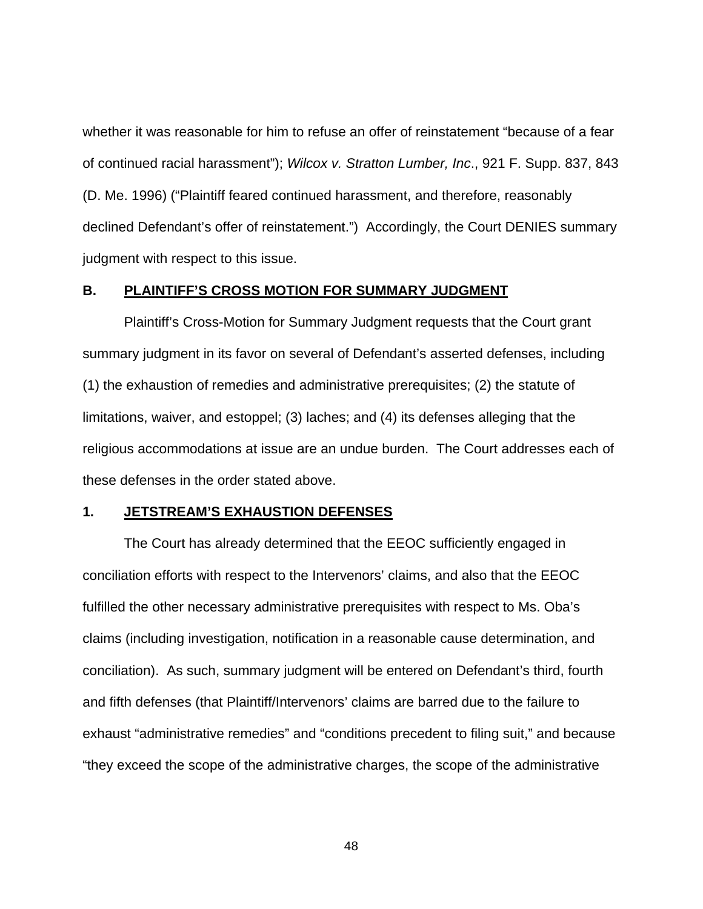whether it was reasonable for him to refuse an offer of reinstatement "because of a fear of continued racial harassment"); Wilcox v. Stratton Lumber, Inc., 921 F. Supp. 837, 843 (D. Me. 1996) ("Plaintiff feared continued harassment, and therefore, reasonably declined Defendant's offer of reinstatement.") Accordingly, the Court DENIES summary judgment with respect to this issue.

### **B. PLAINTIFF'S CROSS MOTION FOR SUMMARY JUDGMENT**

 Plaintiff's Cross-Motion for Summary Judgment requests that the Court grant summary judgment in its favor on several of Defendant's asserted defenses, including (1) the exhaustion of remedies and administrative prerequisites; (2) the statute of limitations, waiver, and estoppel; (3) laches; and (4) its defenses alleging that the religious accommodations at issue are an undue burden. The Court addresses each of these defenses in the order stated above.

#### **1. JETSTREAM'S EXHAUSTION DEFENSES**

The Court has already determined that the EEOC sufficiently engaged in conciliation efforts with respect to the Intervenors' claims, and also that the EEOC fulfilled the other necessary administrative prerequisites with respect to Ms. Oba's claims (including investigation, notification in a reasonable cause determination, and conciliation). As such, summary judgment will be entered on Defendant's third, fourth and fifth defenses (that Plaintiff/Intervenors' claims are barred due to the failure to exhaust "administrative remedies" and "conditions precedent to filing suit," and because "they exceed the scope of the administrative charges, the scope of the administrative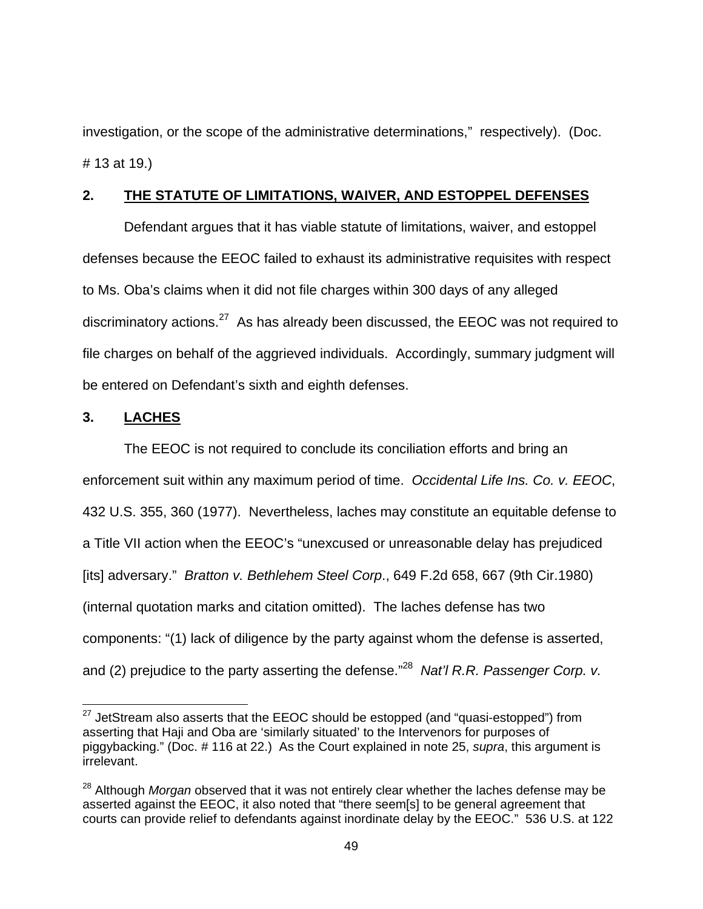investigation, or the scope of the administrative determinations," respectively). (Doc. # 13 at 19.)

## **2. THE STATUTE OF LIMITATIONS, WAIVER, AND ESTOPPEL DEFENSES**

Defendant argues that it has viable statute of limitations, waiver, and estoppel defenses because the EEOC failed to exhaust its administrative requisites with respect to Ms. Oba's claims when it did not file charges within 300 days of any alleged discriminatory actions. $27$  As has already been discussed, the EEOC was not required to file charges on behalf of the aggrieved individuals. Accordingly, summary judgment will be entered on Defendant's sixth and eighth defenses.

# **3. LACHES**

-

The EEOC is not required to conclude its conciliation efforts and bring an enforcement suit within any maximum period of time. Occidental Life Ins. Co. v. EEOC, 432 U.S. 355, 360 (1977). Nevertheless, laches may constitute an equitable defense to a Title VII action when the EEOC's "unexcused or unreasonable delay has prejudiced [its] adversary." Bratton v. Bethlehem Steel Corp., 649 F.2d 658, 667 (9th Cir.1980) (internal quotation marks and citation omitted). The laches defense has two components: "(1) lack of diligence by the party against whom the defense is asserted, and (2) prejudice to the party asserting the defense."<sup>28</sup> Nat'l R.R. Passenger Corp. v.

 $27$  JetStream also asserts that the EEOC should be estopped (and "quasi-estopped") from asserting that Haji and Oba are 'similarly situated' to the Intervenors for purposes of piggybacking." (Doc. # 116 at 22.) As the Court explained in note 25, supra, this argument is irrelevant.

<sup>&</sup>lt;sup>28</sup> Although Morgan observed that it was not entirely clear whether the laches defense may be asserted against the EEOC, it also noted that "there seem[s] to be general agreement that courts can provide relief to defendants against inordinate delay by the EEOC." 536 U.S. at 122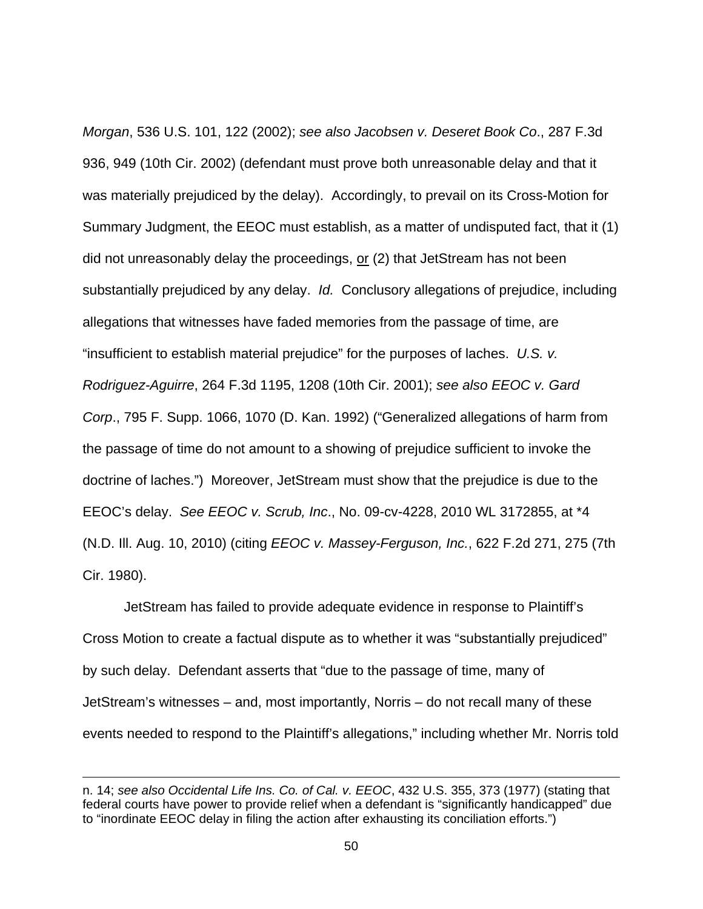Morgan, 536 U.S. 101, 122 (2002); see also Jacobsen v. Deseret Book Co., 287 F.3d 936, 949 (10th Cir. 2002) (defendant must prove both unreasonable delay and that it was materially prejudiced by the delay). Accordingly, to prevail on its Cross-Motion for Summary Judgment, the EEOC must establish, as a matter of undisputed fact, that it (1) did not unreasonably delay the proceedings,  $or$  (2) that JetStream has not been substantially prejudiced by any delay. *Id.* Conclusory allegations of prejudice, including allegations that witnesses have faded memories from the passage of time, are "insufficient to establish material prejudice" for the purposes of laches. U.S. v. Rodriguez-Aguirre, 264 F.3d 1195, 1208 (10th Cir. 2001); see also EEOC v. Gard Corp., 795 F. Supp. 1066, 1070 (D. Kan. 1992) ("Generalized allegations of harm from the passage of time do not amount to a showing of prejudice sufficient to invoke the doctrine of laches.") Moreover, JetStream must show that the prejudice is due to the EEOC's delay. See EEOC v. Scrub, Inc., No. 09-cv-4228, 2010 WL 3172855, at \*4 (N.D. Ill. Aug. 10, 2010) (citing EEOC v. Massey-Ferguson, Inc., 622 F.2d 271, 275 (7th Cir. 1980).

JetStream has failed to provide adequate evidence in response to Plaintiff's Cross Motion to create a factual dispute as to whether it was "substantially prejudiced" by such delay. Defendant asserts that "due to the passage of time, many of JetStream's witnesses – and, most importantly, Norris – do not recall many of these events needed to respond to the Plaintiff's allegations," including whether Mr. Norris told

 $\overline{a}$ 

n. 14; see also Occidental Life Ins. Co. of Cal. v. EEOC, 432 U.S. 355, 373 (1977) (stating that federal courts have power to provide relief when a defendant is "significantly handicapped" due to "inordinate EEOC delay in filing the action after exhausting its conciliation efforts.")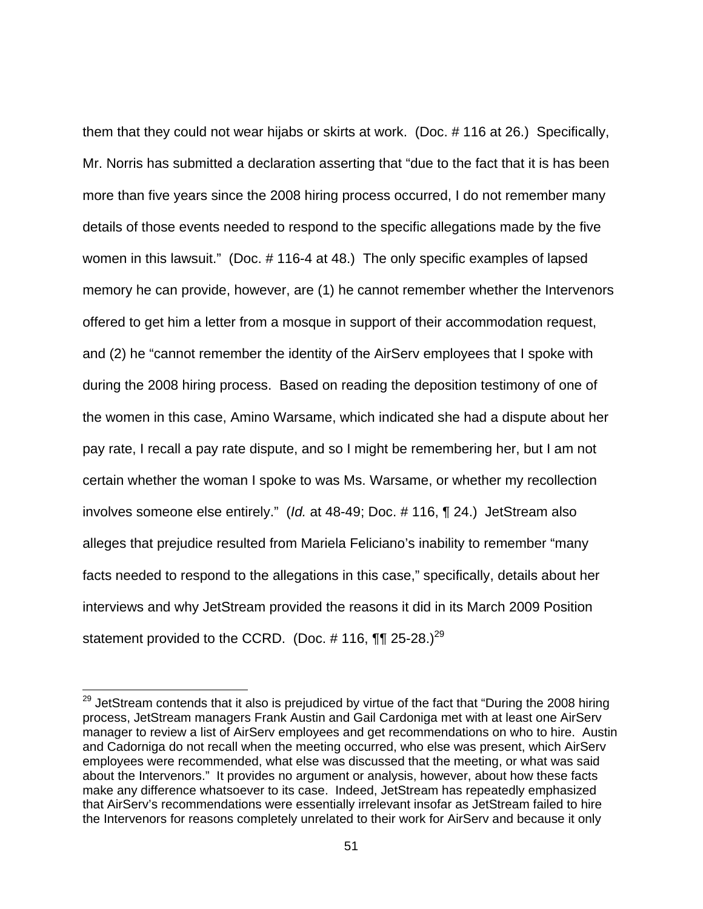them that they could not wear hijabs or skirts at work. (Doc. # 116 at 26.) Specifically, Mr. Norris has submitted a declaration asserting that "due to the fact that it is has been more than five years since the 2008 hiring process occurred, I do not remember many details of those events needed to respond to the specific allegations made by the five women in this lawsuit." (Doc. # 116-4 at 48.) The only specific examples of lapsed memory he can provide, however, are (1) he cannot remember whether the Intervenors offered to get him a letter from a mosque in support of their accommodation request, and (2) he "cannot remember the identity of the AirServ employees that I spoke with during the 2008 hiring process. Based on reading the deposition testimony of one of the women in this case, Amino Warsame, which indicated she had a dispute about her pay rate, I recall a pay rate dispute, and so I might be remembering her, but I am not certain whether the woman I spoke to was Ms. Warsame, or whether my recollection involves someone else entirely." (Id. at 48-49; Doc. # 116, ¶ 24.) JetStream also alleges that prejudice resulted from Mariela Feliciano's inability to remember "many facts needed to respond to the allegations in this case," specifically, details about her interviews and why JetStream provided the reasons it did in its March 2009 Position statement provided to the CCRD. (Doc.  $\#$  116, ¶¶ 25-28.)<sup>29</sup>

<sup>&</sup>lt;sup>29</sup> JetStream contends that it also is prejudiced by virtue of the fact that "During the 2008 hiring process, JetStream managers Frank Austin and Gail Cardoniga met with at least one AirServ manager to review a list of AirServ employees and get recommendations on who to hire. Austin and Cadorniga do not recall when the meeting occurred, who else was present, which AirServ employees were recommended, what else was discussed that the meeting, or what was said about the Intervenors." It provides no argument or analysis, however, about how these facts make any difference whatsoever to its case. Indeed, JetStream has repeatedly emphasized that AirServ's recommendations were essentially irrelevant insofar as JetStream failed to hire the Intervenors for reasons completely unrelated to their work for AirServ and because it only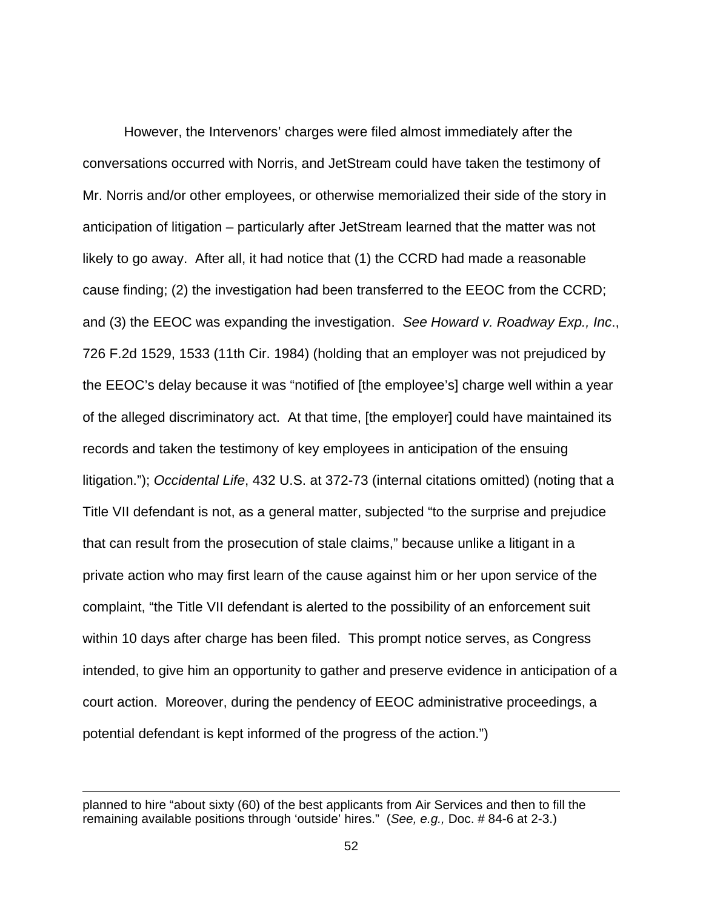However, the Intervenors' charges were filed almost immediately after the conversations occurred with Norris, and JetStream could have taken the testimony of Mr. Norris and/or other employees, or otherwise memorialized their side of the story in anticipation of litigation – particularly after JetStream learned that the matter was not likely to go away. After all, it had notice that (1) the CCRD had made a reasonable cause finding; (2) the investigation had been transferred to the EEOC from the CCRD; and (3) the EEOC was expanding the investigation. See Howard v. Roadway Exp., Inc., 726 F.2d 1529, 1533 (11th Cir. 1984) (holding that an employer was not prejudiced by the EEOC's delay because it was "notified of [the employee's] charge well within a year of the alleged discriminatory act. At that time, [the employer] could have maintained its records and taken the testimony of key employees in anticipation of the ensuing litigation."); Occidental Life, 432 U.S. at 372-73 (internal citations omitted) (noting that a Title VII defendant is not, as a general matter, subjected "to the surprise and prejudice that can result from the prosecution of stale claims," because unlike a litigant in a private action who may first learn of the cause against him or her upon service of the complaint, "the Title VII defendant is alerted to the possibility of an enforcement suit within 10 days after charge has been filed. This prompt notice serves, as Congress intended, to give him an opportunity to gather and preserve evidence in anticipation of a court action. Moreover, during the pendency of EEOC administrative proceedings, a potential defendant is kept informed of the progress of the action.")

-

planned to hire "about sixty (60) of the best applicants from Air Services and then to fill the remaining available positions through 'outside' hires." (See, e.g., Doc. # 84-6 at 2-3.)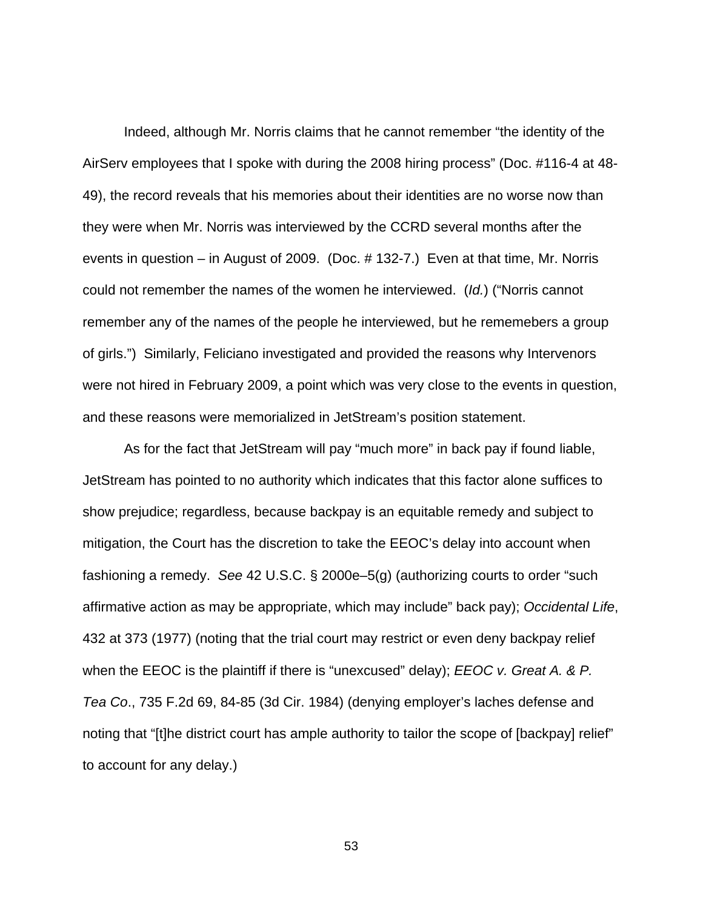Indeed, although Mr. Norris claims that he cannot remember "the identity of the AirServ employees that I spoke with during the 2008 hiring process" (Doc. #116-4 at 48- 49), the record reveals that his memories about their identities are no worse now than they were when Mr. Norris was interviewed by the CCRD several months after the events in question – in August of 2009. (Doc. # 132-7.) Even at that time, Mr. Norris could not remember the names of the women he interviewed. (Id.) ("Norris cannot remember any of the names of the people he interviewed, but he rememebers a group of girls.") Similarly, Feliciano investigated and provided the reasons why Intervenors were not hired in February 2009, a point which was very close to the events in question, and these reasons were memorialized in JetStream's position statement.

As for the fact that JetStream will pay "much more" in back pay if found liable, JetStream has pointed to no authority which indicates that this factor alone suffices to show prejudice; regardless, because backpay is an equitable remedy and subject to mitigation, the Court has the discretion to take the EEOC's delay into account when fashioning a remedy. See 42 U.S.C. § 2000e–5(g) (authorizing courts to order "such affirmative action as may be appropriate, which may include" back pay); Occidental Life, 432 at 373 (1977) (noting that the trial court may restrict or even deny backpay relief when the EEOC is the plaintiff if there is "unexcused" delay); *EEOC v. Great A. & P.* Tea Co., 735 F.2d 69, 84-85 (3d Cir. 1984) (denying employer's laches defense and noting that "[t]he district court has ample authority to tailor the scope of [backpay] relief" to account for any delay.)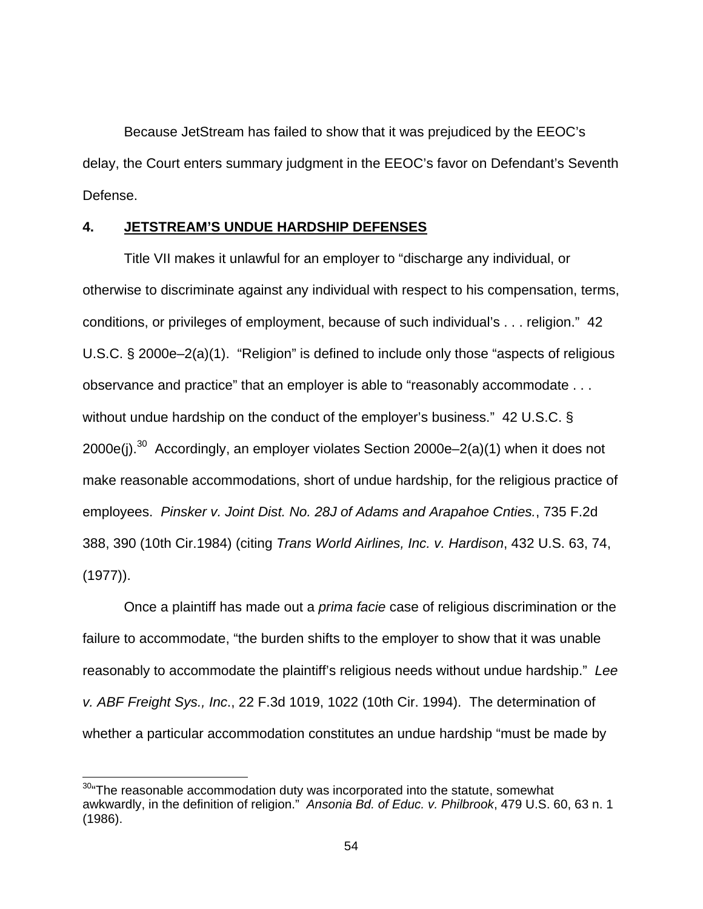Because JetStream has failed to show that it was prejudiced by the EEOC's delay, the Court enters summary judgment in the EEOC's favor on Defendant's Seventh Defense.

## **4. JETSTREAM'S UNDUE HARDSHIP DEFENSES**

Title VII makes it unlawful for an employer to "discharge any individual, or otherwise to discriminate against any individual with respect to his compensation, terms, conditions, or privileges of employment, because of such individual's . . . religion." 42 U.S.C. § 2000e–2(a)(1). "Religion" is defined to include only those "aspects of religious observance and practice" that an employer is able to "reasonably accommodate . . . without undue hardship on the conduct of the employer's business." 42 U.S.C. § 2000e(j).<sup>30</sup> Accordingly, an employer violates Section 2000e–2(a)(1) when it does not make reasonable accommodations, short of undue hardship, for the religious practice of employees. Pinsker v. Joint Dist. No. 28J of Adams and Arapahoe Cnties., 735 F.2d 388, 390 (10th Cir.1984) (citing Trans World Airlines, Inc. v. Hardison, 432 U.S. 63, 74, (1977)).

Once a plaintiff has made out a prima facie case of religious discrimination or the failure to accommodate, "the burden shifts to the employer to show that it was unable reasonably to accommodate the plaintiff's religious needs without undue hardship." Lee v. ABF Freight Sys., Inc., 22 F.3d 1019, 1022 (10th Cir. 1994). The determination of whether a particular accommodation constitutes an undue hardship "must be made by

 $\overline{a}$ 

 $30$ "The reasonable accommodation duty was incorporated into the statute, somewhat awkwardly, in the definition of religion." Ansonia Bd. of Educ. v. Philbrook, 479 U.S. 60, 63 n. 1 (1986).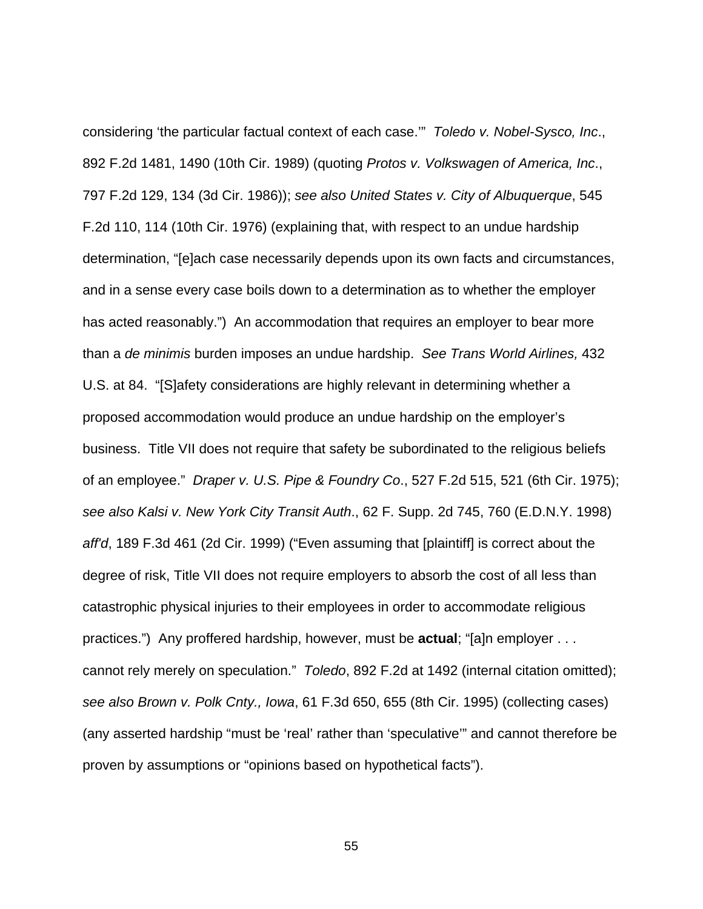considering 'the particular factual context of each case.'" Toledo v. Nobel-Sysco, Inc., 892 F.2d 1481, 1490 (10th Cir. 1989) (quoting Protos v. Volkswagen of America, Inc., 797 F.2d 129, 134 (3d Cir. 1986)); see also United States v. City of Albuquerque, 545 F.2d 110, 114 (10th Cir. 1976) (explaining that, with respect to an undue hardship determination, "[e]ach case necessarily depends upon its own facts and circumstances, and in a sense every case boils down to a determination as to whether the employer has acted reasonably.") An accommodation that requires an employer to bear more than a de minimis burden imposes an undue hardship. See Trans World Airlines, 432 U.S. at 84. "[S]afety considerations are highly relevant in determining whether a proposed accommodation would produce an undue hardship on the employer's business. Title VII does not require that safety be subordinated to the religious beliefs of an employee." Draper v. U.S. Pipe & Foundry Co., 527 F.2d 515, 521 (6th Cir. 1975); see also Kalsi v. New York City Transit Auth., 62 F. Supp. 2d 745, 760 (E.D.N.Y. 1998) aff'd, 189 F.3d 461 (2d Cir. 1999) ("Even assuming that [plaintiff] is correct about the degree of risk, Title VII does not require employers to absorb the cost of all less than catastrophic physical injuries to their employees in order to accommodate religious practices.") Any proffered hardship, however, must be **actual**; "[a]n employer . . . cannot rely merely on speculation." Toledo, 892 F.2d at 1492 (internal citation omitted); see also Brown v. Polk Cnty., Iowa, 61 F.3d 650, 655 (8th Cir. 1995) (collecting cases) (any asserted hardship "must be 'real' rather than 'speculative'" and cannot therefore be proven by assumptions or "opinions based on hypothetical facts").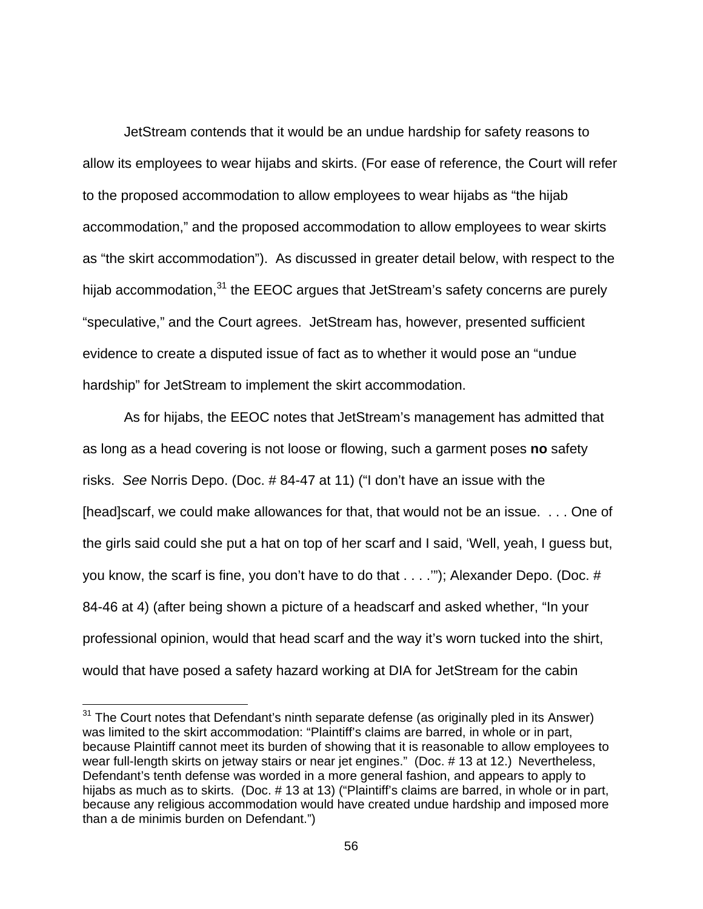JetStream contends that it would be an undue hardship for safety reasons to allow its employees to wear hijabs and skirts. (For ease of reference, the Court will refer to the proposed accommodation to allow employees to wear hijabs as "the hijab accommodation," and the proposed accommodation to allow employees to wear skirts as "the skirt accommodation"). As discussed in greater detail below, with respect to the hijab accommodation,<sup>31</sup> the EEOC argues that JetStream's safety concerns are purely "speculative," and the Court agrees. JetStream has, however, presented sufficient evidence to create a disputed issue of fact as to whether it would pose an "undue hardship" for JetStream to implement the skirt accommodation.

As for hijabs, the EEOC notes that JetStream's management has admitted that as long as a head covering is not loose or flowing, such a garment poses **no** safety risks. See Norris Depo. (Doc. # 84-47 at 11) ("I don't have an issue with the [head]scarf, we could make allowances for that, that would not be an issue. . . . One of the girls said could she put a hat on top of her scarf and I said, 'Well, yeah, I guess but, you know, the scarf is fine, you don't have to do that . . . .'"); Alexander Depo. (Doc. # 84-46 at 4) (after being shown a picture of a headscarf and asked whether, "In your professional opinion, would that head scarf and the way it's worn tucked into the shirt, would that have posed a safety hazard working at DIA for JetStream for the cabin

-

 $31$  The Court notes that Defendant's ninth separate defense (as originally pled in its Answer) was limited to the skirt accommodation: "Plaintiff's claims are barred, in whole or in part, because Plaintiff cannot meet its burden of showing that it is reasonable to allow employees to wear full-length skirts on jetway stairs or near jet engines." (Doc. # 13 at 12.) Nevertheless, Defendant's tenth defense was worded in a more general fashion, and appears to apply to hijabs as much as to skirts. (Doc. # 13 at 13) ("Plaintiff's claims are barred, in whole or in part, because any religious accommodation would have created undue hardship and imposed more than a de minimis burden on Defendant.")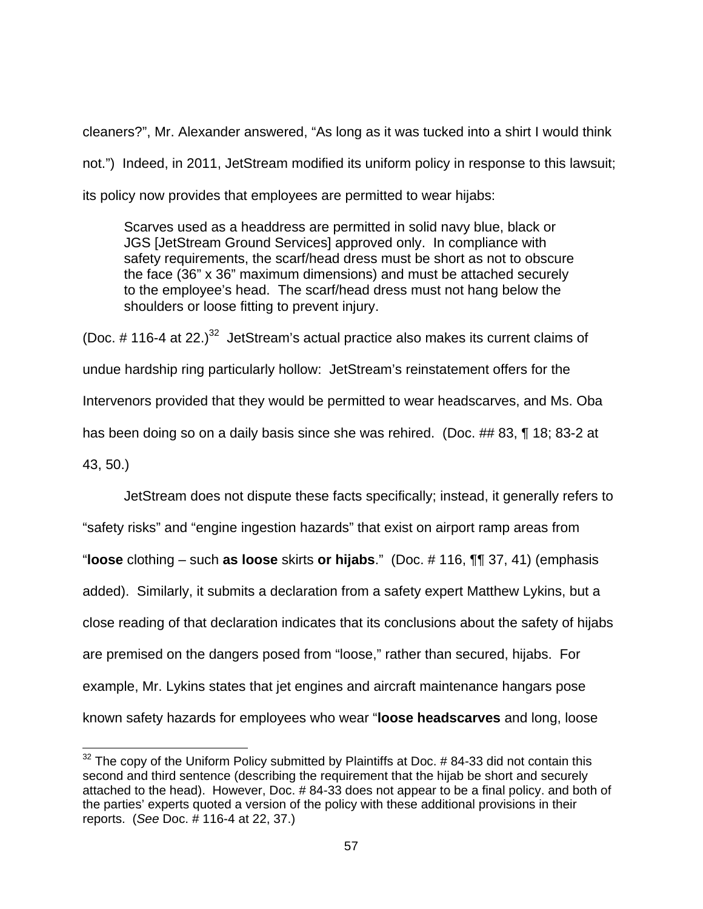cleaners?", Mr. Alexander answered, "As long as it was tucked into a shirt I would think not.") Indeed, in 2011, JetStream modified its uniform policy in response to this lawsuit; its policy now provides that employees are permitted to wear hijabs:

Scarves used as a headdress are permitted in solid navy blue, black or JGS [JetStream Ground Services] approved only. In compliance with safety requirements, the scarf/head dress must be short as not to obscure the face (36" x 36" maximum dimensions) and must be attached securely to the employee's head. The scarf/head dress must not hang below the shoulders or loose fitting to prevent injury.

(Doc.  $\#$  116-4 at 22.)<sup>32</sup> JetStream's actual practice also makes its current claims of undue hardship ring particularly hollow: JetStream's reinstatement offers for the Intervenors provided that they would be permitted to wear headscarves, and Ms. Oba has been doing so on a daily basis since she was rehired. (Doc. ## 83, ¶ 18; 83-2 at 43, 50.)

JetStream does not dispute these facts specifically; instead, it generally refers to "safety risks" and "engine ingestion hazards" that exist on airport ramp areas from "**loose** clothing – such **as loose** skirts **or hijabs**." (Doc. # 116, ¶¶ 37, 41) (emphasis added). Similarly, it submits a declaration from a safety expert Matthew Lykins, but a close reading of that declaration indicates that its conclusions about the safety of hijabs are premised on the dangers posed from "loose," rather than secured, hijabs. For example, Mr. Lykins states that jet engines and aircraft maintenance hangars pose known safety hazards for employees who wear "**loose headscarves** and long, loose

 $32$  The copy of the Uniform Policy submitted by Plaintiffs at Doc. #84-33 did not contain this second and third sentence (describing the requirement that the hijab be short and securely attached to the head). However, Doc. # 84-33 does not appear to be a final policy. and both of the parties' experts quoted a version of the policy with these additional provisions in their reports. (See Doc. # 116-4 at 22, 37.)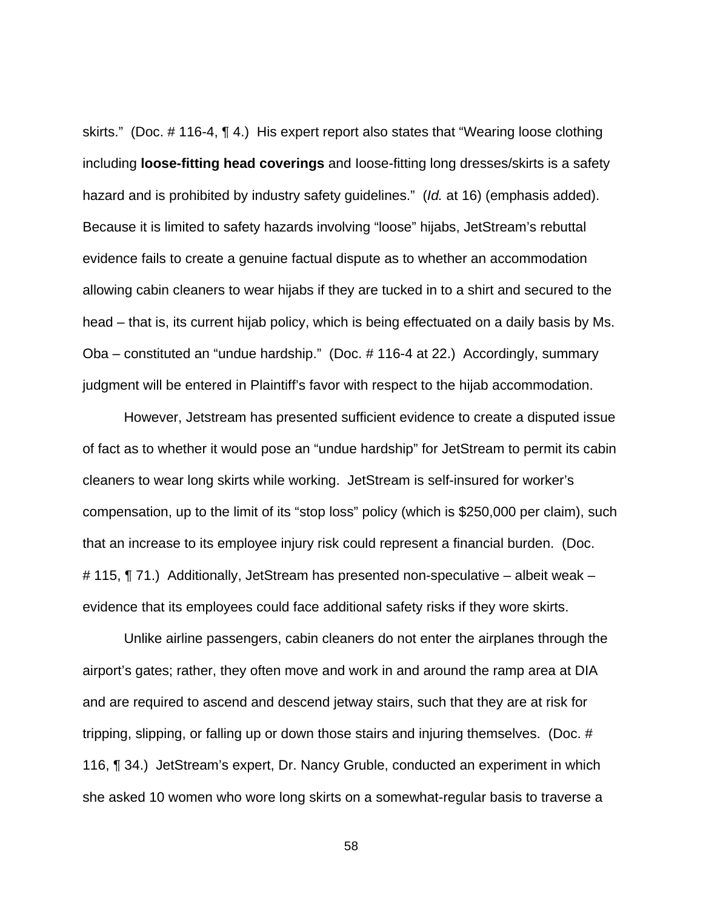skirts." (Doc. # 116-4, ¶ 4.) His expert report also states that "Wearing loose clothing including **loose-fitting head coverings** and Ioose-fitting long dresses/skirts is a safety hazard and is prohibited by industry safety guidelines." (*Id.* at 16) (emphasis added). Because it is limited to safety hazards involving "loose" hijabs, JetStream's rebuttal evidence fails to create a genuine factual dispute as to whether an accommodation allowing cabin cleaners to wear hijabs if they are tucked in to a shirt and secured to the head – that is, its current hijab policy, which is being effectuated on a daily basis by Ms. Oba – constituted an "undue hardship." (Doc. # 116-4 at 22.) Accordingly, summary judgment will be entered in Plaintiff's favor with respect to the hijab accommodation.

However, Jetstream has presented sufficient evidence to create a disputed issue of fact as to whether it would pose an "undue hardship" for JetStream to permit its cabin cleaners to wear long skirts while working. JetStream is self-insured for worker's compensation, up to the limit of its "stop loss" policy (which is \$250,000 per claim), such that an increase to its employee injury risk could represent a financial burden. (Doc. # 115, ¶ 71.) Additionally, JetStream has presented non-speculative – albeit weak – evidence that its employees could face additional safety risks if they wore skirts.

Unlike airline passengers, cabin cleaners do not enter the airplanes through the airport's gates; rather, they often move and work in and around the ramp area at DIA and are required to ascend and descend jetway stairs, such that they are at risk for tripping, slipping, or falling up or down those stairs and injuring themselves. (Doc. # 116, ¶ 34.) JetStream's expert, Dr. Nancy Gruble, conducted an experiment in which she asked 10 women who wore long skirts on a somewhat-regular basis to traverse a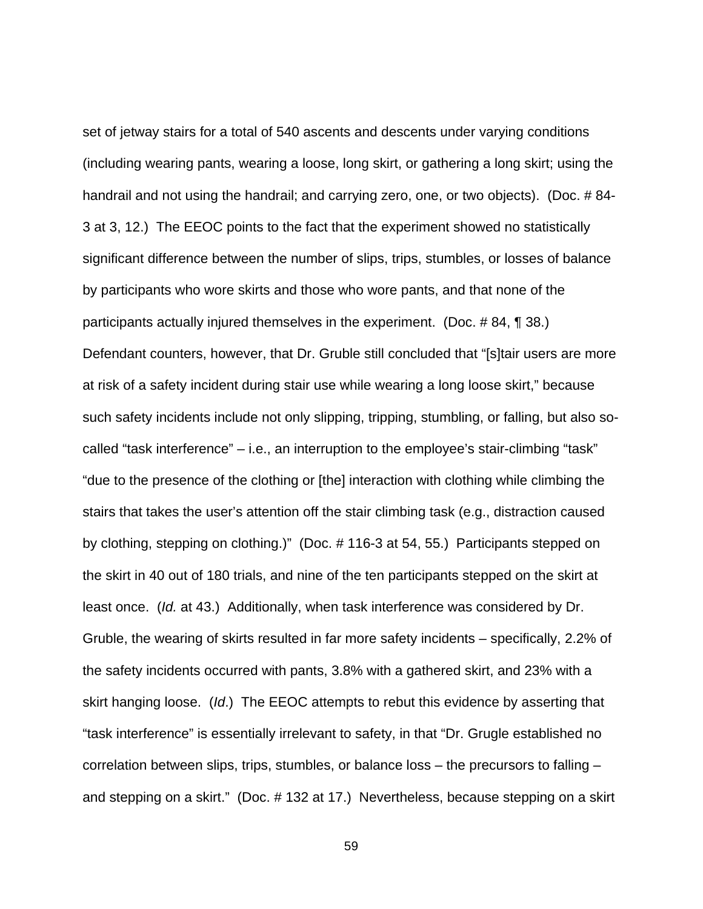set of jetway stairs for a total of 540 ascents and descents under varying conditions (including wearing pants, wearing a loose, long skirt, or gathering a long skirt; using the handrail and not using the handrail; and carrying zero, one, or two objects). (Doc. # 84- 3 at 3, 12.) The EEOC points to the fact that the experiment showed no statistically significant difference between the number of slips, trips, stumbles, or losses of balance by participants who wore skirts and those who wore pants, and that none of the participants actually injured themselves in the experiment. (Doc. # 84, ¶ 38.) Defendant counters, however, that Dr. Gruble still concluded that "[s]tair users are more at risk of a safety incident during stair use while wearing a long loose skirt," because such safety incidents include not only slipping, tripping, stumbling, or falling, but also socalled "task interference" – i.e., an interruption to the employee's stair-climbing "task" "due to the presence of the clothing or [the] interaction with clothing while climbing the stairs that takes the user's attention off the stair climbing task (e.g., distraction caused by clothing, stepping on clothing.)" (Doc. # 116-3 at 54, 55.) Participants stepped on the skirt in 40 out of 180 trials, and nine of the ten participants stepped on the skirt at least once. (Id. at 43.) Additionally, when task interference was considered by Dr. Gruble, the wearing of skirts resulted in far more safety incidents – specifically, 2.2% of the safety incidents occurred with pants, 3.8% with a gathered skirt, and 23% with a skirt hanging loose. (Id.) The EEOC attempts to rebut this evidence by asserting that "task interference" is essentially irrelevant to safety, in that "Dr. Grugle established no correlation between slips, trips, stumbles, or balance loss – the precursors to falling – and stepping on a skirt." (Doc. # 132 at 17.) Nevertheless, because stepping on a skirt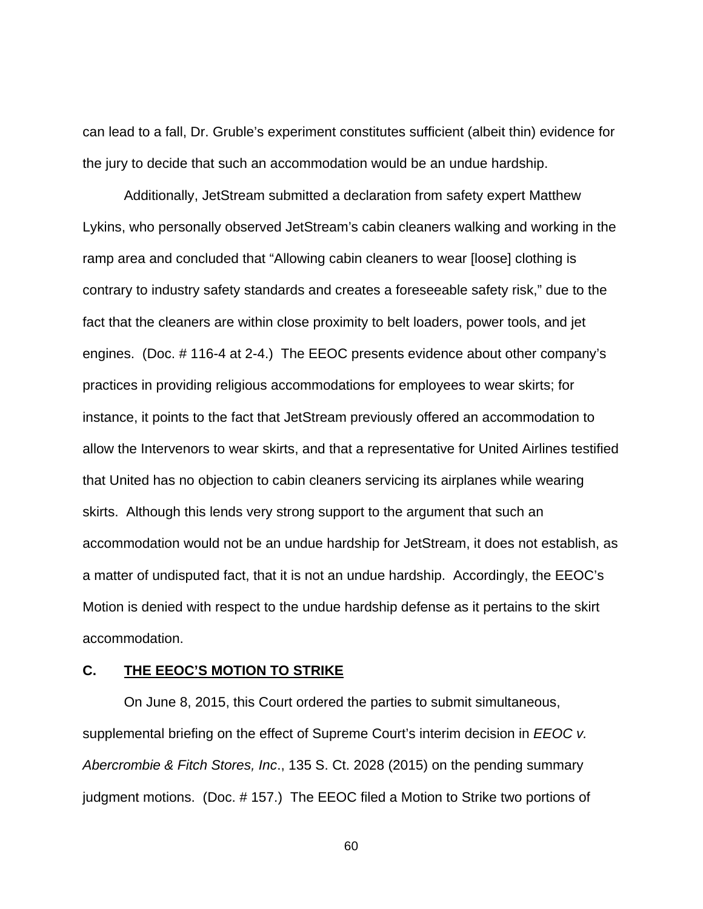can lead to a fall, Dr. Gruble's experiment constitutes sufficient (albeit thin) evidence for the jury to decide that such an accommodation would be an undue hardship.

Additionally, JetStream submitted a declaration from safety expert Matthew Lykins, who personally observed JetStream's cabin cleaners walking and working in the ramp area and concluded that "Allowing cabin cleaners to wear [loose] clothing is contrary to industry safety standards and creates a foreseeable safety risk," due to the fact that the cleaners are within close proximity to belt loaders, power tools, and jet engines. (Doc. # 116-4 at 2-4.) The EEOC presents evidence about other company's practices in providing religious accommodations for employees to wear skirts; for instance, it points to the fact that JetStream previously offered an accommodation to allow the Intervenors to wear skirts, and that a representative for United Airlines testified that United has no objection to cabin cleaners servicing its airplanes while wearing skirts. Although this lends very strong support to the argument that such an accommodation would not be an undue hardship for JetStream, it does not establish, as a matter of undisputed fact, that it is not an undue hardship. Accordingly, the EEOC's Motion is denied with respect to the undue hardship defense as it pertains to the skirt accommodation.

#### **C. THE EEOC'S MOTION TO STRIKE**

 On June 8, 2015, this Court ordered the parties to submit simultaneous, supplemental briefing on the effect of Supreme Court's interim decision in *EEOC v.* Abercrombie & Fitch Stores, Inc., 135 S. Ct. 2028 (2015) on the pending summary judgment motions. (Doc. # 157.) The EEOC filed a Motion to Strike two portions of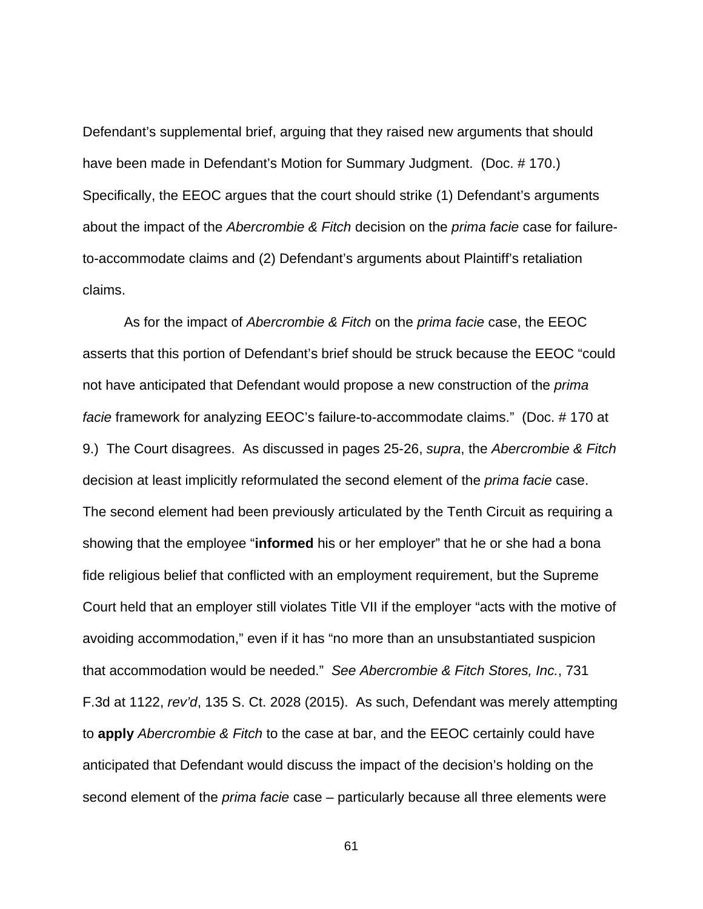Defendant's supplemental brief, arguing that they raised new arguments that should have been made in Defendant's Motion for Summary Judgment. (Doc. # 170.) Specifically, the EEOC argues that the court should strike (1) Defendant's arguments about the impact of the Abercrombie & Fitch decision on the prima facie case for failureto-accommodate claims and (2) Defendant's arguments about Plaintiff's retaliation claims.

As for the impact of Abercrombie & Fitch on the prima facie case, the EEOC asserts that this portion of Defendant's brief should be struck because the EEOC "could not have anticipated that Defendant would propose a new construction of the *prima* facie framework for analyzing EEOC's failure-to-accommodate claims." (Doc. # 170 at 9.) The Court disagrees. As discussed in pages 25-26, supra, the Abercrombie & Fitch decision at least implicitly reformulated the second element of the prima facie case. The second element had been previously articulated by the Tenth Circuit as requiring a showing that the employee "**informed** his or her employer" that he or she had a bona fide religious belief that conflicted with an employment requirement, but the Supreme Court held that an employer still violates Title VII if the employer "acts with the motive of avoiding accommodation," even if it has "no more than an unsubstantiated suspicion that accommodation would be needed." See Abercrombie & Fitch Stores, Inc., 731 F.3d at 1122, rev'd, 135 S. Ct. 2028 (2015). As such, Defendant was merely attempting to **apply** Abercrombie & Fitch to the case at bar, and the EEOC certainly could have anticipated that Defendant would discuss the impact of the decision's holding on the second element of the *prima facie* case – particularly because all three elements were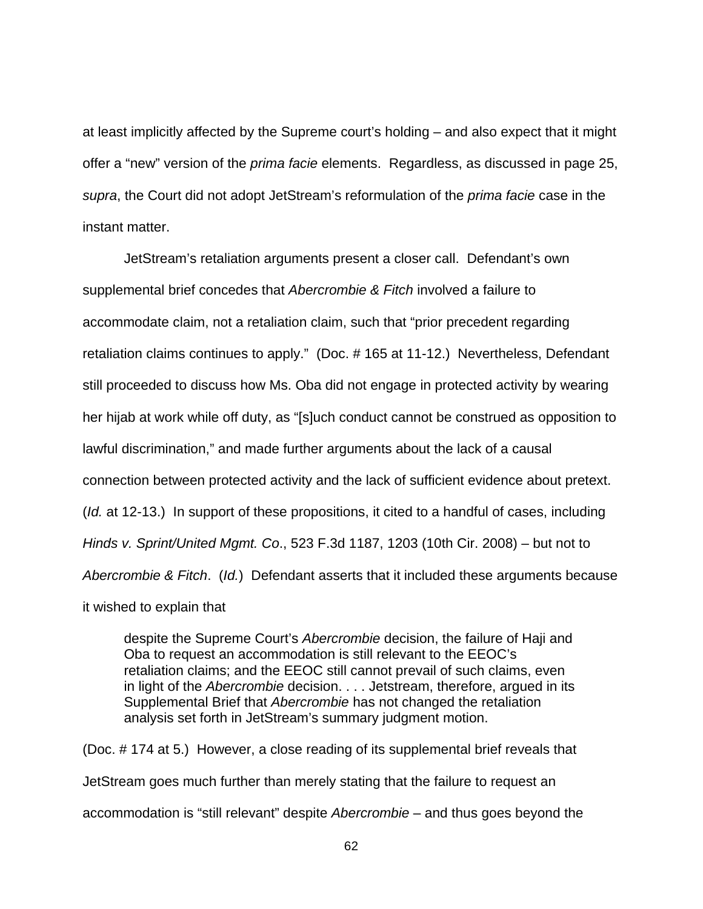at least implicitly affected by the Supreme court's holding – and also expect that it might offer a "new" version of the *prima facie* elements. Regardless, as discussed in page 25, supra, the Court did not adopt JetStream's reformulation of the *prima facie* case in the instant matter.

 JetStream's retaliation arguments present a closer call. Defendant's own supplemental brief concedes that Abercrombie & Fitch involved a failure to accommodate claim, not a retaliation claim, such that "prior precedent regarding retaliation claims continues to apply." (Doc. # 165 at 11-12.) Nevertheless, Defendant still proceeded to discuss how Ms. Oba did not engage in protected activity by wearing her hijab at work while off duty, as "[s]uch conduct cannot be construed as opposition to lawful discrimination," and made further arguments about the lack of a causal connection between protected activity and the lack of sufficient evidence about pretext. (*Id.* at 12-13.) In support of these propositions, it cited to a handful of cases, including Hinds v. Sprint/United Mgmt. Co., 523 F.3d 1187, 1203 (10th Cir. 2008) – but not to Abercrombie & Fitch. (Id.) Defendant asserts that it included these arguments because

it wished to explain that

despite the Supreme Court's Abercrombie decision, the failure of Haji and Oba to request an accommodation is still relevant to the EEOC's retaliation claims; and the EEOC still cannot prevail of such claims, even in light of the Abercrombie decision. . . . Jetstream, therefore, argued in its Supplemental Brief that Abercrombie has not changed the retaliation analysis set forth in JetStream's summary judgment motion.

(Doc. # 174 at 5.) However, a close reading of its supplemental brief reveals that JetStream goes much further than merely stating that the failure to request an accommodation is "still relevant" despite Abercrombie – and thus goes beyond the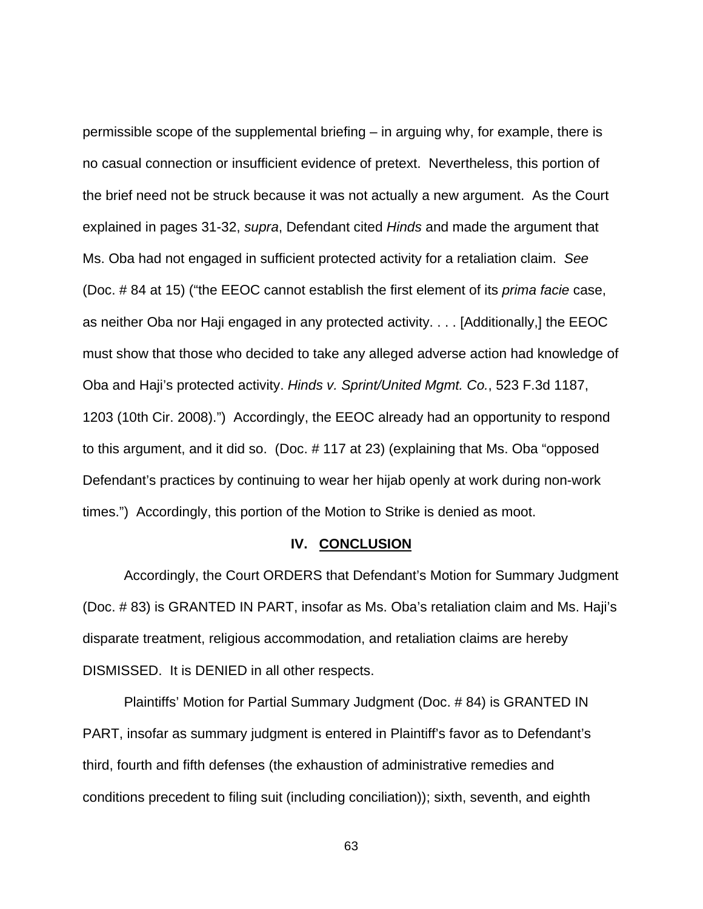permissible scope of the supplemental briefing – in arguing why, for example, there is no casual connection or insufficient evidence of pretext. Nevertheless, this portion of the brief need not be struck because it was not actually a new argument. As the Court explained in pages 31-32, supra, Defendant cited Hinds and made the argument that Ms. Oba had not engaged in sufficient protected activity for a retaliation claim. See (Doc. # 84 at 15) ("the EEOC cannot establish the first element of its prima facie case, as neither Oba nor Haji engaged in any protected activity. . . . [Additionally,] the EEOC must show that those who decided to take any alleged adverse action had knowledge of Oba and Haji's protected activity. Hinds v. Sprint/United Mgmt. Co., 523 F.3d 1187, 1203 (10th Cir. 2008).") Accordingly, the EEOC already had an opportunity to respond to this argument, and it did so. (Doc. # 117 at 23) (explaining that Ms. Oba "opposed Defendant's practices by continuing to wear her hijab openly at work during non-work times.") Accordingly, this portion of the Motion to Strike is denied as moot.

#### **IV. CONCLUSION**

 Accordingly, the Court ORDERS that Defendant's Motion for Summary Judgment (Doc. # 83) is GRANTED IN PART, insofar as Ms. Oba's retaliation claim and Ms. Haji's disparate treatment, religious accommodation, and retaliation claims are hereby DISMISSED. It is DENIED in all other respects.

Plaintiffs' Motion for Partial Summary Judgment (Doc. # 84) is GRANTED IN PART, insofar as summary judgment is entered in Plaintiff's favor as to Defendant's third, fourth and fifth defenses (the exhaustion of administrative remedies and conditions precedent to filing suit (including conciliation)); sixth, seventh, and eighth